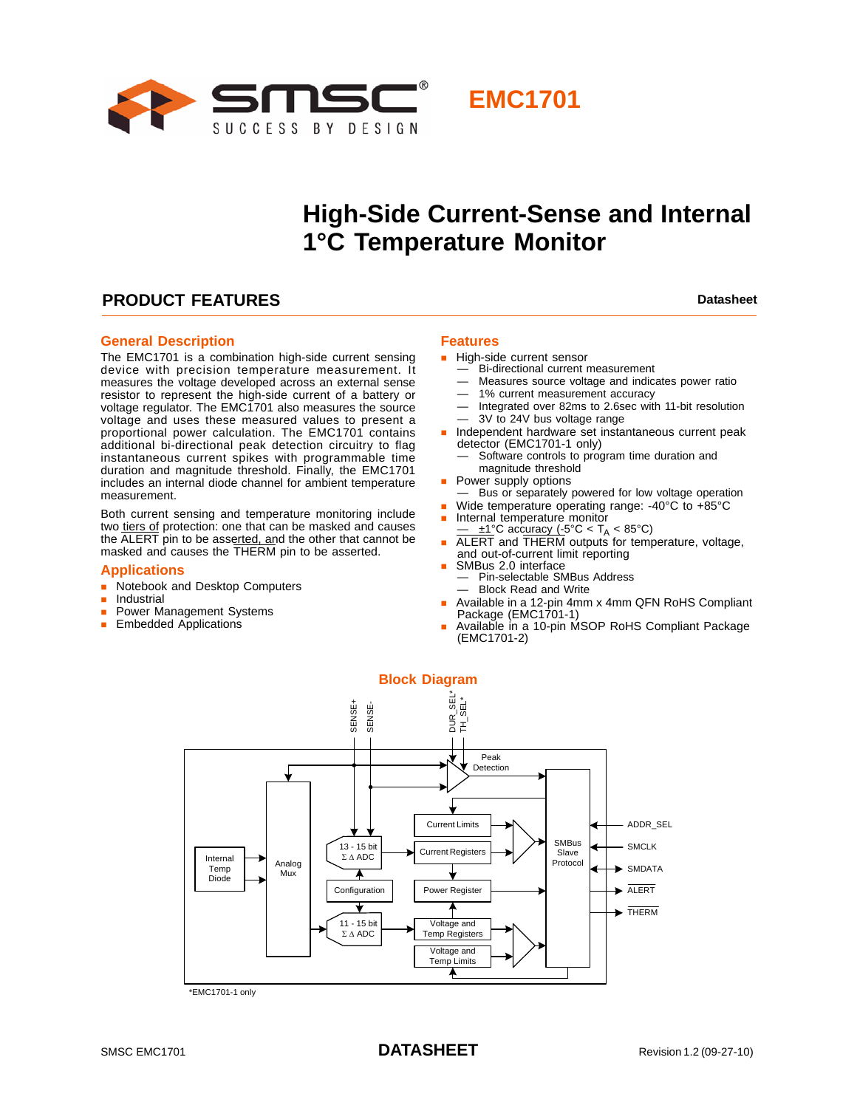



**EMC1701**

### **PRODUCT FEATURES Datasheet Datasheet Datasheet**

#### **General Description**

The EMC1701 is a combination high-side current sensing device with precision temperature measurement. It measures the voltage developed across an external sense resistor to represent the high-side current of a battery or voltage regulator. The EMC1701 also measures the source voltage and uses these measured values to present a proportional power calculation. The EMC1701 contains additional bi-directional peak detection circuitry to flag instantaneous current spikes with programmable time duration and magnitude threshold. Finally, the EMC1701 includes an internal diode channel for ambient temperature measurement.

Both current sensing and temperature monitoring include two tiers of protection: one that can be masked and causes the ALERT pin to be asserted, and the other that cannot be masked and causes the THERM pin to be asserted.

#### **Applications**

- **Notebook and Desktop Computers**
- **Industrial**
- **Power Management Systems**
- **Embedded Applications**

#### **Features**

- High-side current sensor
	- Bi-directional current measurement
	- Measures source voltage and indicates power ratio
	- 1% current measurement accuracy
	- Integrated over 82ms to 2.6sec with 11-bit resolution — 3V to 24V bus voltage range
- **n** Independent hardware set instantaneous current peak detector (EMC1701-1 only)
	- Software controls to program time duration and magnitude threshold
	- Power supply options
- Bus or separately powered for low voltage operation
- Wide temperature operating range: -40°C to +85°C Internal temperature monitor
- 
- $\frac{1}{\sqrt{1-\pm 1}}$ °C accuracy (-5°C < T<sub>A</sub> < 85°C)<br> **ALERT** and THERM outputs for temperature, voltage, and out-of-current limit reporting
- SMBus 2.0 interface
- Pin-selectable SMBus Address
- Block Read and Write
- Available in a 12-pin 4mm x 4mm QFN RoHS Compliant Package (EMC1701-1)
- Available in a 10-pin MSOP RoHS Compliant Package (EMC1701-2)



\*EMC1701-1 only

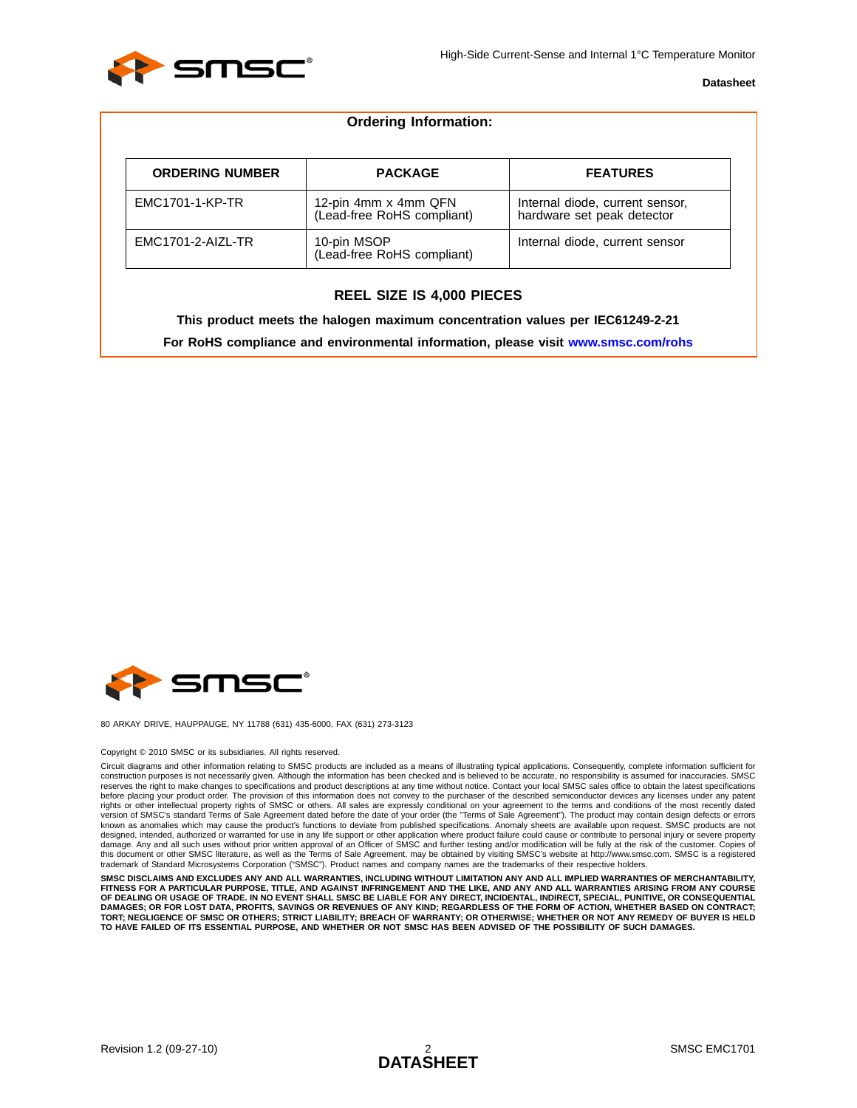

| <b>Ordering Information:</b> |                                                    |                                                               |  |  |  |  |  |
|------------------------------|----------------------------------------------------|---------------------------------------------------------------|--|--|--|--|--|
| <b>ORDERING NUMBER</b>       | <b>PACKAGE</b>                                     | <b>FEATURES</b>                                               |  |  |  |  |  |
| EMC1701-1-KP-TR              | 12-pin 4mm x 4mm QFN<br>(Lead-free RoHS compliant) | Internal diode, current sensor,<br>hardware set peak detector |  |  |  |  |  |
| EMC1701-2-AIZL-TR            | 10-pin MSOP<br>(Lead-free RoHS compliant)          | Internal diode, current sensor                                |  |  |  |  |  |

#### **REEL SIZE IS 4,000 PIECES**

**This product meets the halogen maximum concentration values per IEC61249-2-21**

**For RoHS compliance and environmental information, please visit [www.smsc.com/rohs](http://www.smsc.com/index.php?tid=219
)**



80 ARKAY DRIVE, HAUPPAUGE, NY 11788 (631) 435-6000, FAX (631) 273-3123

#### Copyright © 2010 SMSC or its subsidiaries. All rights reserved.

Circuit diagrams and other information relating to SMSC products are included as a means of illustrating typical applications. Consequently, complete information sufficient for construction purposes is not necessarily given. Although the information has been checked and is believed to be accurate, no responsibility is assumed for inaccuracies. SMSC reserves the right to make changes to specifications and product descriptions at any time without notice. Contact your local SMSC sales office to obtain the latest specifications before placing your product order. The provision of this information does not convey to the purchaser of the described semiconductor devices any licenses under any patent rights or other intellectual property rights of SMSC or others. All sales are expressly conditional on your agreement to the terms and conditions of the most recently dated version of SMSC's standard Terms of Sale Agreement dated before the date of your order (the "Terms of Sale Agreement"). The product may contain design defects or errors<br>known as anomalies which may cause the product's func designed, intended, authorized or warranted for use in any life support or other application where product failure could cause or contribute to personal injury or severe property damage. Any and all such uses without prior written approval of an Officer of SMSC and further testing and/or modification will be fully at the risk of the customer. Copies of<br>this document or other SMSC literature, as wel trademark of Standard Microsystems Corporation ("SMSC"). Product names and company names are the trademarks of their respective holders.

SMSC DISCLAIMS AND EXCLUDES ANY AND ALL WARRANTIES, INCLUDING WITHOUT LIMITATION ANY AND ALL IMPLIED WARRANTIES OF MERCHANTABILITY,<br>FITNESS FOR A PARTICULAR PURPOSE, TITLE, AND AGAINST INFRINGEMENT AND THE LIKE, AND ANY AN **OF DEALING OR USAGE OF TRADE. IN NO EVENT SHALL SMSC BE LIABLE FOR ANY DIRECT, INCIDENTAL, INDIRECT, SPECIAL, PUNITIVE, OR CONSEQUENTIAL** DAMAGES; OR FOR LOST DATA, PROFITS, SAVINGS OR REVENUES OF ANY KIND; REGARDLESS OF THE FORM OF ACTION, WHETHER BASED ON CONTRACT;<br>TORT; NEGLIGENCE OF SMSC OR OTHERS; STRICT LIABILITY; BREACH OF WARRANTY; OR OTHERWISE; WHET **TO HAVE FAILED OF ITS ESSENTIAL PURPOSE, AND WHETHER OR NOT SMSC HAS BEEN ADVISED OF THE POSSIBILITY OF SUCH DAMAGES.**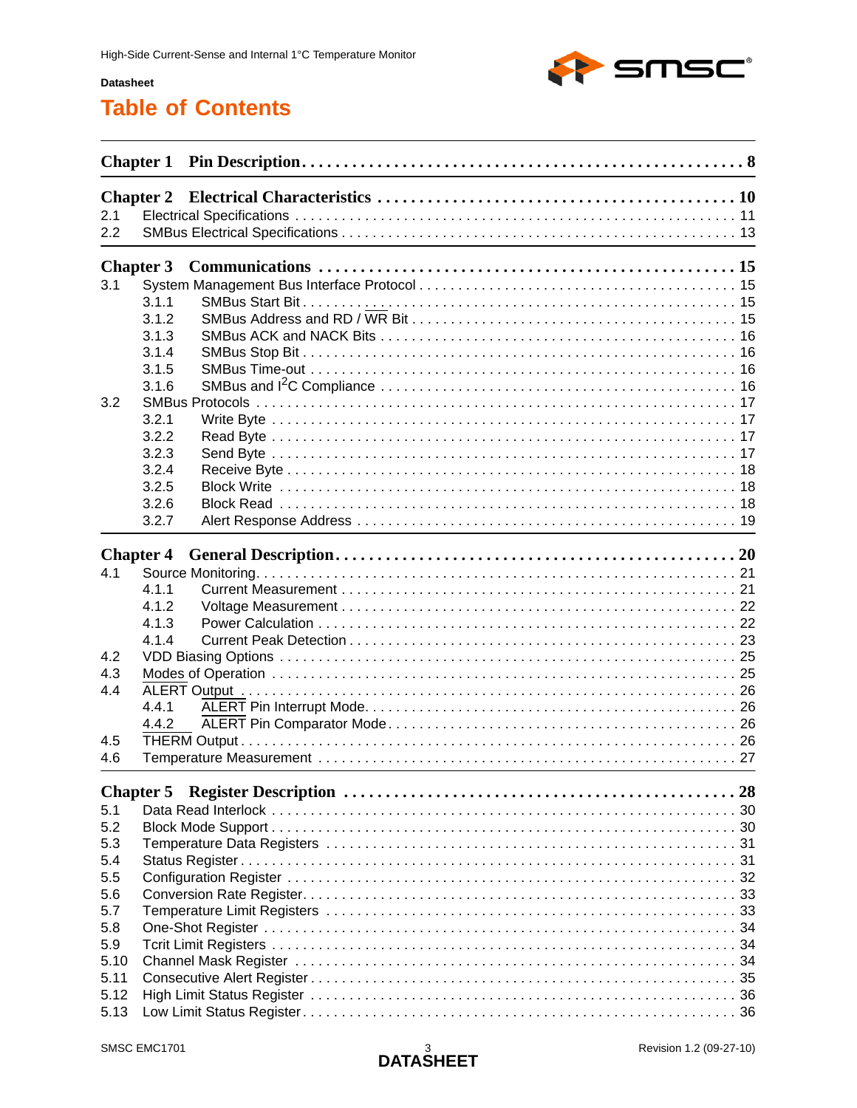

## **Table of Contents**

|      | <b>Chapter 2</b> |  |  |  |  |  |  |  |
|------|------------------|--|--|--|--|--|--|--|
| 2.1  |                  |  |  |  |  |  |  |  |
| 2.2  |                  |  |  |  |  |  |  |  |
|      | <b>Chapter 3</b> |  |  |  |  |  |  |  |
| 3.1  |                  |  |  |  |  |  |  |  |
|      | 3.1.1            |  |  |  |  |  |  |  |
|      | 3.1.2            |  |  |  |  |  |  |  |
|      | 3.1.3            |  |  |  |  |  |  |  |
|      | 3.1.4            |  |  |  |  |  |  |  |
|      | 3.1.5            |  |  |  |  |  |  |  |
|      |                  |  |  |  |  |  |  |  |
|      | 3.1.6            |  |  |  |  |  |  |  |
| 3.2  |                  |  |  |  |  |  |  |  |
|      | 3.2.1            |  |  |  |  |  |  |  |
|      | 3.2.2            |  |  |  |  |  |  |  |
|      | 3.2.3            |  |  |  |  |  |  |  |
|      | 3.2.4            |  |  |  |  |  |  |  |
|      | 3.2.5            |  |  |  |  |  |  |  |
|      | 3.2.6            |  |  |  |  |  |  |  |
|      | 3.2.7            |  |  |  |  |  |  |  |
|      | <b>Chapter 4</b> |  |  |  |  |  |  |  |
| 4.1  |                  |  |  |  |  |  |  |  |
|      | 4.1.1            |  |  |  |  |  |  |  |
|      | 4.1.2            |  |  |  |  |  |  |  |
|      | 4.1.3            |  |  |  |  |  |  |  |
|      | 4.1.4            |  |  |  |  |  |  |  |
| 4.2  |                  |  |  |  |  |  |  |  |
| 4.3  |                  |  |  |  |  |  |  |  |
|      |                  |  |  |  |  |  |  |  |
| 4.4  |                  |  |  |  |  |  |  |  |
|      | 4.4.1            |  |  |  |  |  |  |  |
|      | 4.4.2            |  |  |  |  |  |  |  |
| 4.5  |                  |  |  |  |  |  |  |  |
| 4.6  |                  |  |  |  |  |  |  |  |
|      | <b>Chapter 5</b> |  |  |  |  |  |  |  |
| 5.1  |                  |  |  |  |  |  |  |  |
| 5.2  |                  |  |  |  |  |  |  |  |
| 5.3  |                  |  |  |  |  |  |  |  |
| 5.4  |                  |  |  |  |  |  |  |  |
| 5.5  |                  |  |  |  |  |  |  |  |
| 5.6  |                  |  |  |  |  |  |  |  |
| 5.7  |                  |  |  |  |  |  |  |  |
| 5.8  |                  |  |  |  |  |  |  |  |
| 5.9  |                  |  |  |  |  |  |  |  |
| 5.10 |                  |  |  |  |  |  |  |  |
| 5.11 |                  |  |  |  |  |  |  |  |
| 5.12 |                  |  |  |  |  |  |  |  |
| 5.13 |                  |  |  |  |  |  |  |  |
|      |                  |  |  |  |  |  |  |  |

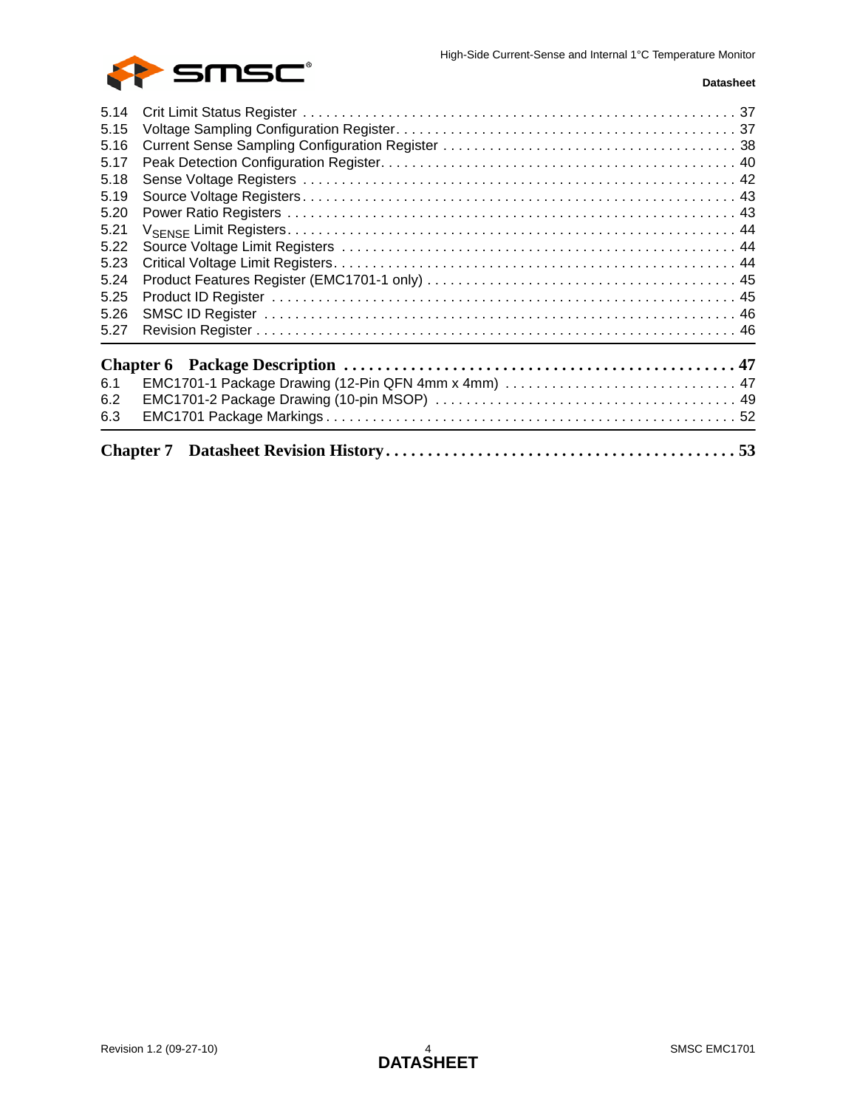

| 5.14 |  |
|------|--|
| 5.15 |  |
| 5.16 |  |
| 5.17 |  |
| 5.18 |  |
| 5.19 |  |
| 5.20 |  |
| 5.21 |  |
| 5.22 |  |
| 5.23 |  |
| 5.24 |  |
| 5.25 |  |
| 5.26 |  |
| 5.27 |  |
|      |  |
| 6.1  |  |
| 6.2  |  |
| 6.3  |  |
|      |  |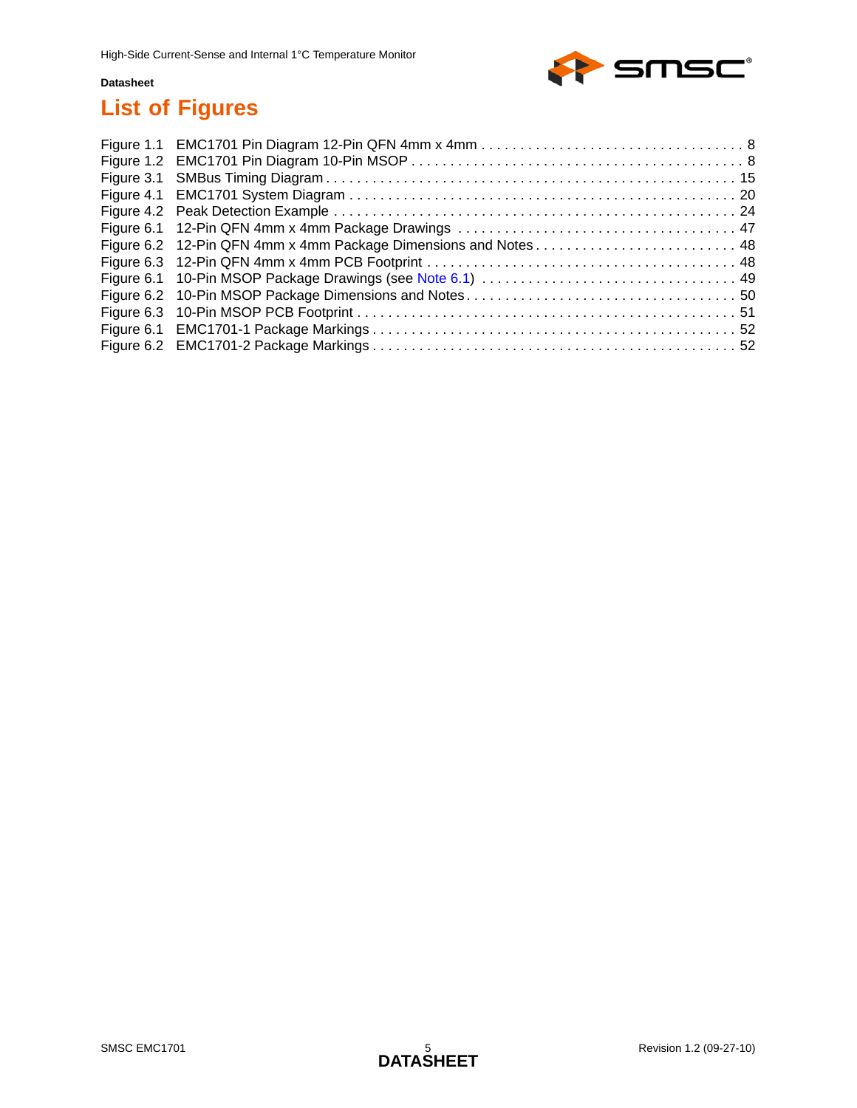

# **List of Figures**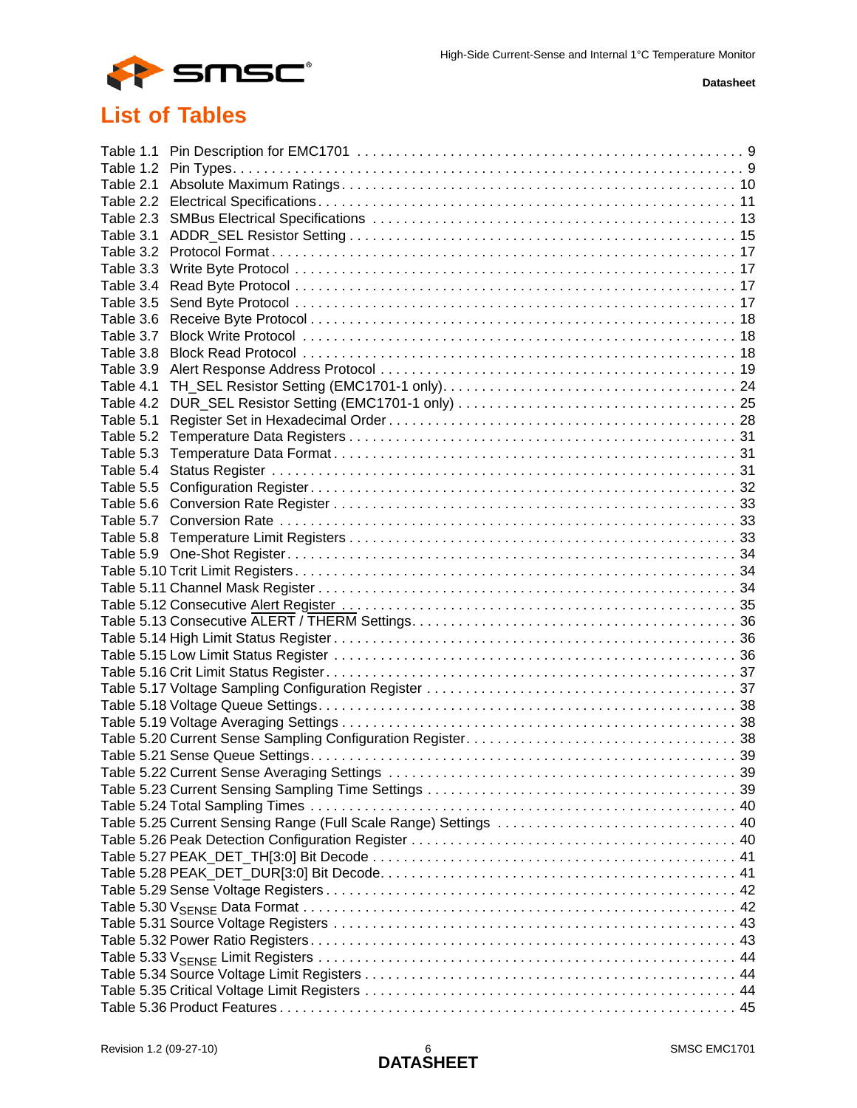

# **List of Tables**

| Table 1.1 |                                                                  |  |
|-----------|------------------------------------------------------------------|--|
| Table 1.2 |                                                                  |  |
| Table 2.1 |                                                                  |  |
|           |                                                                  |  |
| Table 2.3 |                                                                  |  |
| Table 3.1 |                                                                  |  |
| Table 3.2 |                                                                  |  |
| Table 3.3 |                                                                  |  |
| Table 3.4 |                                                                  |  |
| Table 3.5 |                                                                  |  |
| Table 3.6 |                                                                  |  |
| Table 3.7 |                                                                  |  |
| Table 3.8 |                                                                  |  |
| Table 3.9 |                                                                  |  |
| Table 4.1 |                                                                  |  |
| Table 4.2 |                                                                  |  |
| Table 5.1 |                                                                  |  |
| Table 5.2 |                                                                  |  |
| Table 5.3 |                                                                  |  |
| Table 5.4 |                                                                  |  |
| Table 5.5 |                                                                  |  |
|           |                                                                  |  |
|           |                                                                  |  |
| Table 5.8 |                                                                  |  |
|           |                                                                  |  |
|           |                                                                  |  |
|           |                                                                  |  |
|           |                                                                  |  |
|           |                                                                  |  |
|           |                                                                  |  |
|           |                                                                  |  |
|           |                                                                  |  |
|           |                                                                  |  |
|           |                                                                  |  |
|           |                                                                  |  |
|           |                                                                  |  |
|           |                                                                  |  |
|           |                                                                  |  |
|           |                                                                  |  |
|           |                                                                  |  |
|           | Table 5.25 Current Sensing Range (Full Scale Range) Settings  40 |  |
|           |                                                                  |  |
|           |                                                                  |  |
|           |                                                                  |  |
|           |                                                                  |  |
|           |                                                                  |  |
|           |                                                                  |  |
|           |                                                                  |  |
|           |                                                                  |  |
|           |                                                                  |  |
|           |                                                                  |  |
|           |                                                                  |  |
|           |                                                                  |  |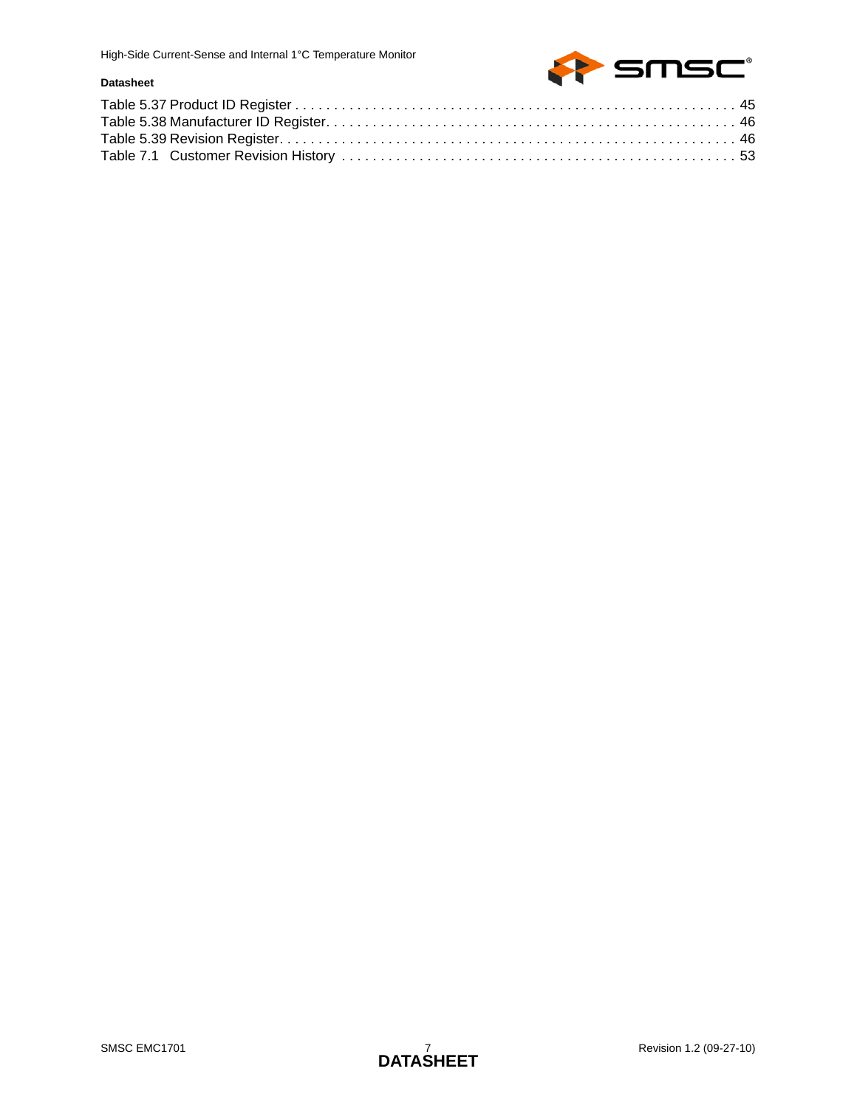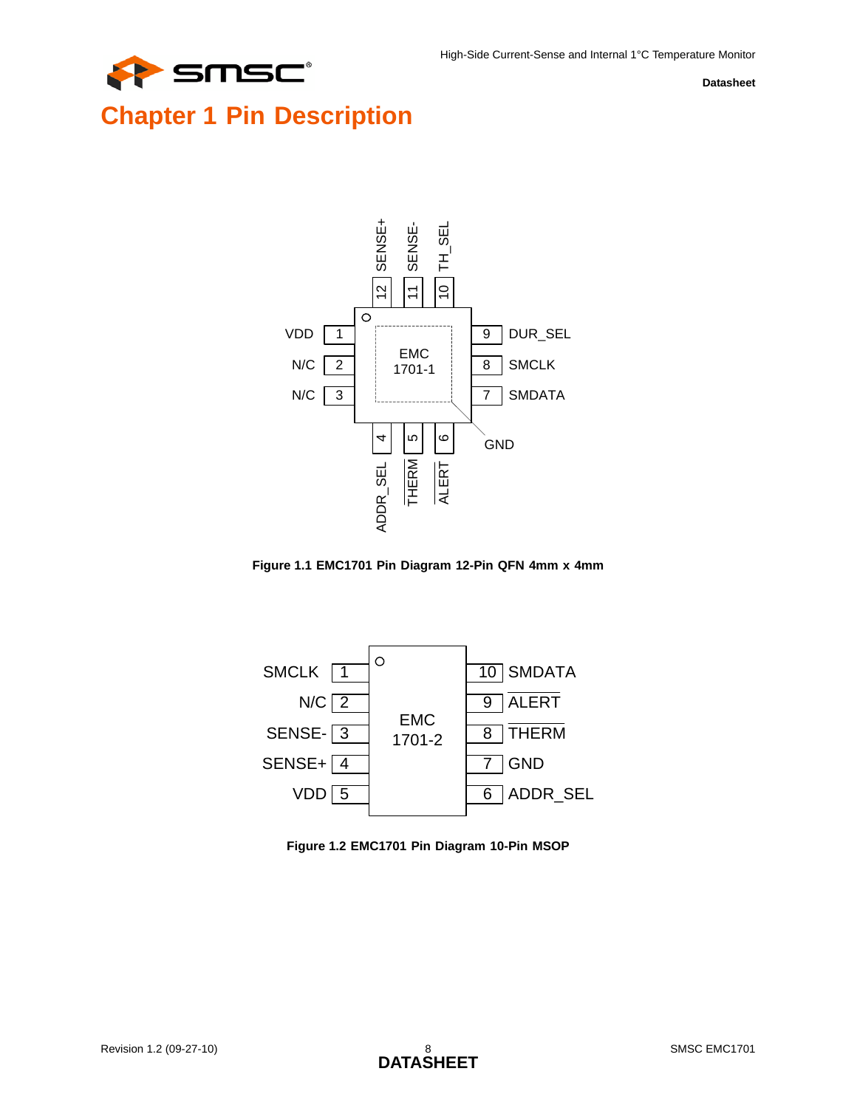

# <span id="page-7-0"></span>**Chapter 1 Pin Description**



<span id="page-7-1"></span>



<span id="page-7-2"></span>**Figure 1.2 EMC1701 Pin Diagram 10-Pin MSOP**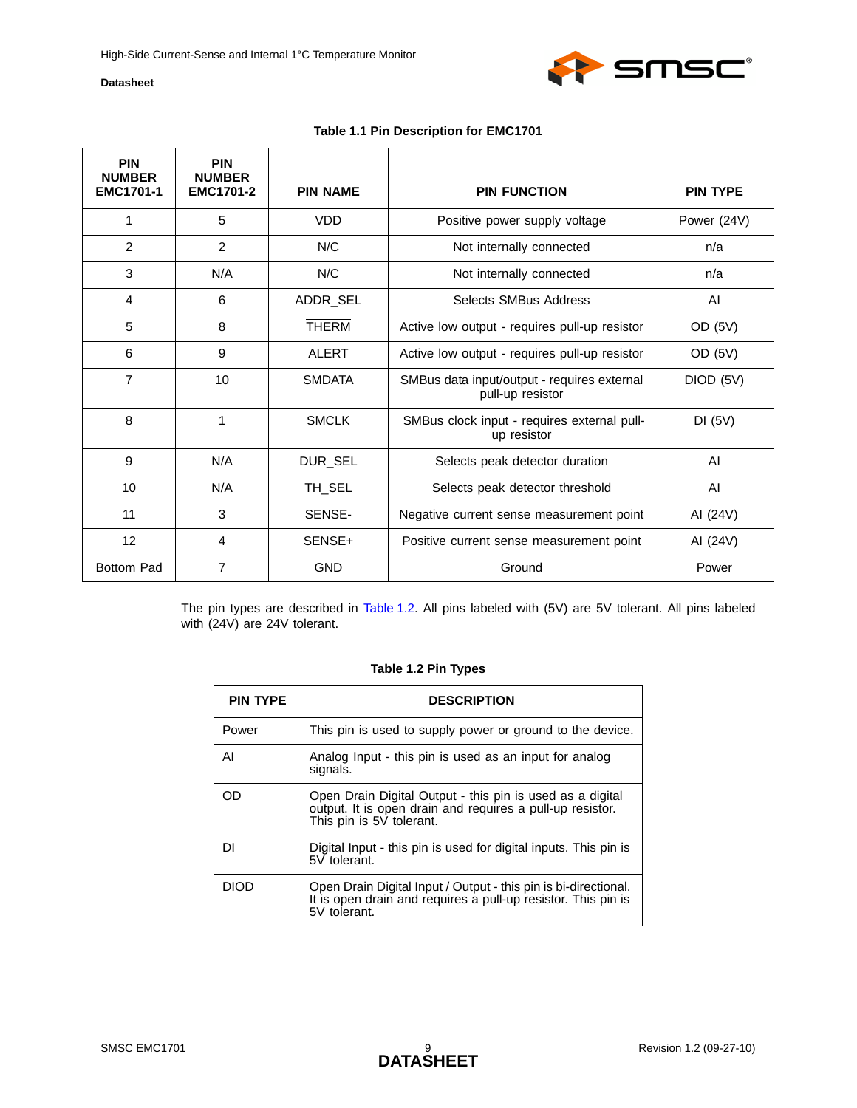

<span id="page-8-0"></span>

| <b>PIN</b><br><b>NUMBER</b><br><b>EMC1701-1</b> | <b>PIN</b><br><b>NUMBER</b><br><b>EMC1701-2</b> | <b>PIN NAME</b> | <b>PIN FUNCTION</b>                                             | <b>PIN TYPE</b> |
|-------------------------------------------------|-------------------------------------------------|-----------------|-----------------------------------------------------------------|-----------------|
| 1                                               | 5                                               | <b>VDD</b>      | Positive power supply voltage                                   | Power (24V)     |
| $\overline{2}$                                  | 2                                               | N/C             | Not internally connected                                        | n/a             |
| 3                                               | N/A                                             | N/C             | Not internally connected                                        | n/a             |
| 4                                               | 6                                               | ADDR_SEL        | Selects SMBus Address                                           | AI              |
| 5                                               | 8                                               | <b>THERM</b>    | Active low output - requires pull-up resistor                   | OD (5V)         |
| 6                                               | 9                                               | <b>ALERT</b>    | Active low output - requires pull-up resistor                   | OD (5V)         |
| $\overline{7}$                                  | 10                                              | <b>SMDATA</b>   | SMBus data input/output - requires external<br>pull-up resistor | DIOD (5V)       |
| 8                                               | 1                                               | <b>SMCLK</b>    | SMBus clock input - requires external pull-<br>up resistor      | DI(5V)          |
| 9                                               | N/A                                             | DUR_SEL         | Selects peak detector duration                                  | AI              |
| 10                                              | N/A                                             | TH SEL          | Selects peak detector threshold                                 | AI              |
| 11                                              | 3                                               | SENSE-          | Negative current sense measurement point                        | AI (24V)        |
| 12                                              | 4                                               | SENSE+          | Positive current sense measurement point                        | AI (24V)        |
| <b>Bottom Pad</b>                               | $\overline{7}$                                  | <b>GND</b>      | Ground                                                          | Power           |

<span id="page-8-1"></span>The pin types are described in [Table 1.2](#page-8-1). All pins labeled with (5V) are 5V tolerant. All pins labeled with (24V) are 24V tolerant.

#### **Table 1.2 Pin Types**

| <b>PIN TYPE</b> | <b>DESCRIPTION</b>                                                                                                                                 |  |  |  |  |  |
|-----------------|----------------------------------------------------------------------------------------------------------------------------------------------------|--|--|--|--|--|
| Power           | This pin is used to supply power or ground to the device.                                                                                          |  |  |  |  |  |
| ΑI              | Analog Input - this pin is used as an input for analog<br>signals.                                                                                 |  |  |  |  |  |
| ററ              | Open Drain Digital Output - this pin is used as a digital<br>output. It is open drain and requires a pull-up resistor.<br>This pin is 5V tolerant. |  |  |  |  |  |
| DΙ              | Digital Input - this pin is used for digital inputs. This pin is<br>5V tolerant.                                                                   |  |  |  |  |  |
| DIOD            | Open Drain Digital Input / Output - this pin is bi-directional.<br>It is open drain and requires a pull-up resistor. This pin is<br>5V tolerant.   |  |  |  |  |  |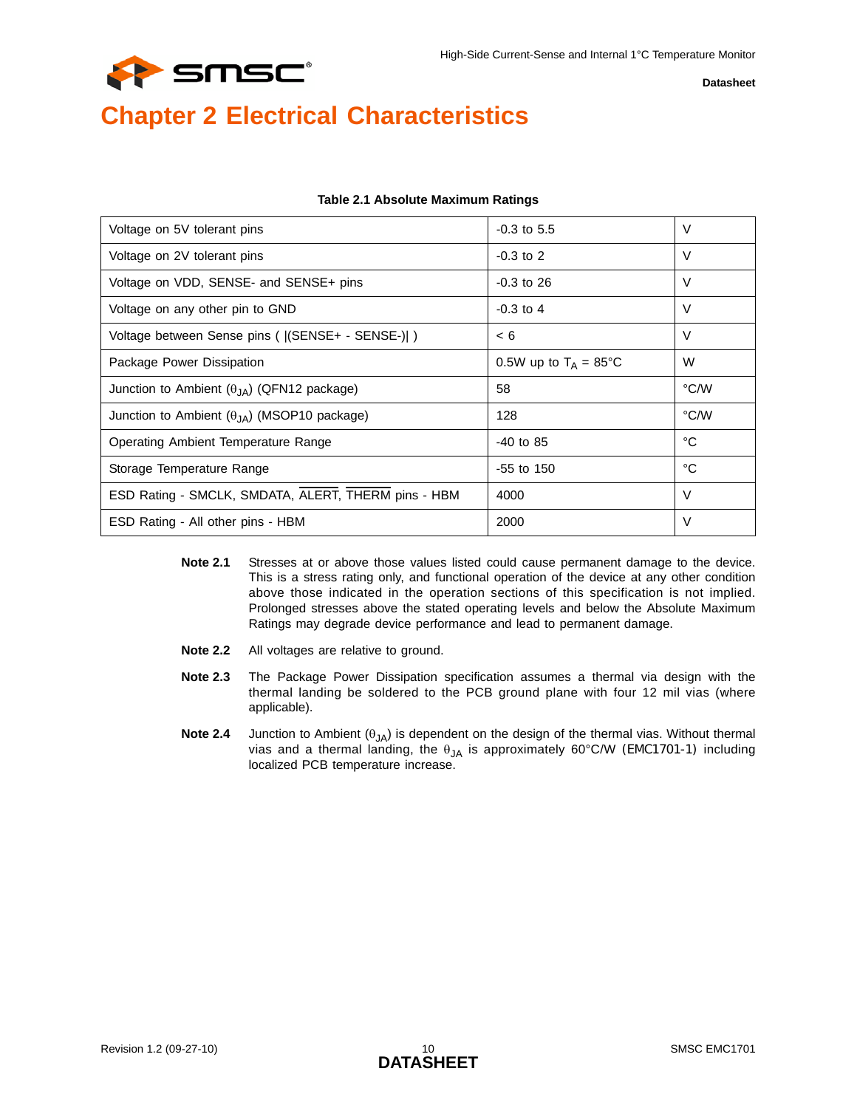

# <span id="page-9-0"></span>**Chapter 2 Electrical Characteristics**

<span id="page-9-1"></span>

| Voltage on 5V tolerant pins                          | $-0.3$ to 5.5                   | $\vee$ |
|------------------------------------------------------|---------------------------------|--------|
| Voltage on 2V tolerant pins                          | $-0.3$ to $2$                   | V      |
| Voltage on VDD, SENSE- and SENSE+ pins               | $-0.3$ to 26                    | V      |
| Voltage on any other pin to GND                      | $-0.3$ to 4                     | V      |
| Voltage between Sense pins (   (SENSE+ - SENSE-)  )  | < 6                             | $\vee$ |
| Package Power Dissipation                            | 0.5W up to $T_A = 85^{\circ}$ C | W      |
| Junction to Ambient $(\theta_{JA})$ (QFN12 package)  | 58                              | °C/W   |
| Junction to Ambient $(\theta_{JA})$ (MSOP10 package) | 128                             | °C/W   |
| Operating Ambient Temperature Range                  | $-40$ to 85                     | °C     |
| Storage Temperature Range                            | $-55$ to $150$                  | °C     |
| ESD Rating - SMCLK, SMDATA, ALERT, THERM pins - HBM  | 4000                            | $\vee$ |
| ESD Rating - All other pins - HBM                    | 2000                            | V      |

#### <span id="page-9-2"></span>**Table 2.1 Absolute Maximum Ratings**

- **Note 2.1** Stresses at or above those values listed could cause permanent damage to the device. This is a stress rating only, and functional operation of the device at any other condition above those indicated in the operation sections of this specification is not implied. Prolonged stresses above the stated operating levels and below the Absolute Maximum Ratings may degrade device performance and lead to permanent damage.
- **Note 2.2** All voltages are relative to ground.
- **Note 2.3** The Package Power Dissipation specification assumes a thermal via design with the thermal landing be soldered to the PCB ground plane with four 12 mil vias (where applicable).
- **Note 2.4** Junction to Ambient (θ<sub>JA</sub>) is dependent on the design of the thermal vias. Without thermal vias and a thermal landing, the  $\theta_{JA}$  is approximately 60°C/W (EMC1701-1) including localized PCB temperature increase.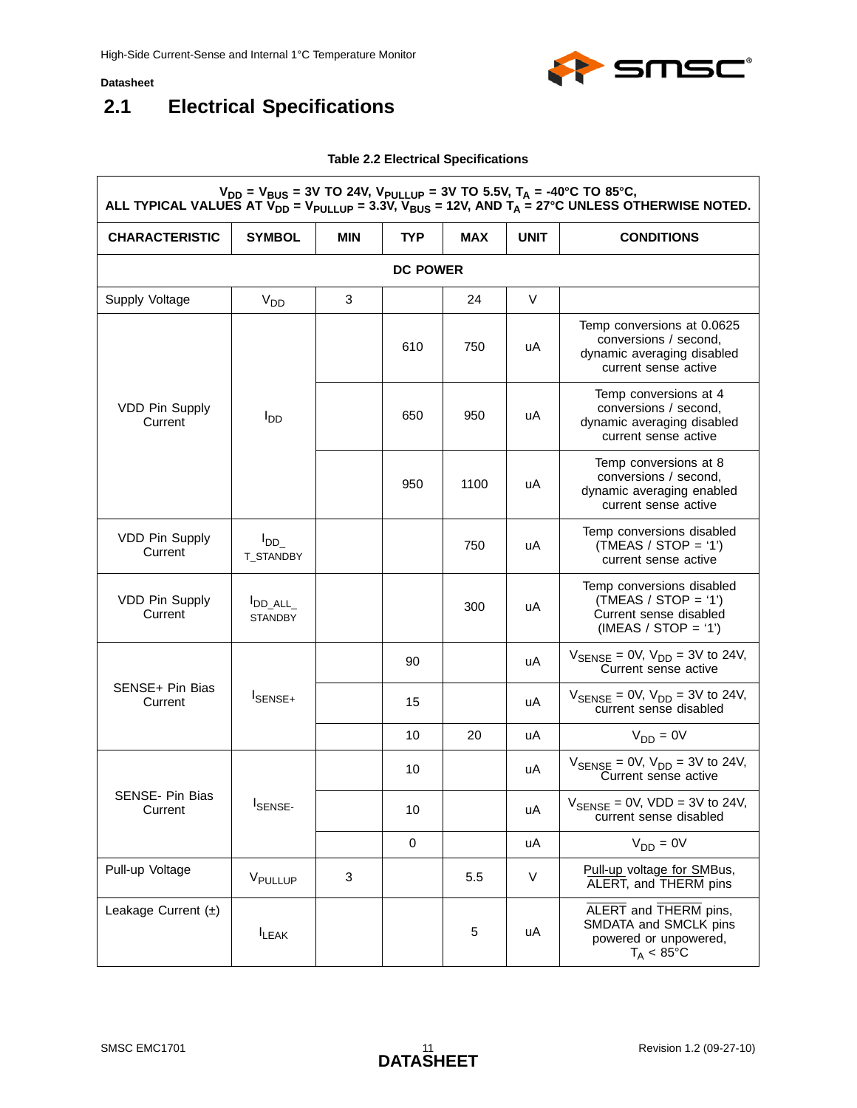<span id="page-10-1"></span> $\Gamma$ 



## <span id="page-10-0"></span>**2.1 Electrical Specifications**

#### <span id="page-10-2"></span>**Table 2.2 Electrical Specifications**

| $V_{DD} = V_{BUS} = 3V$ TO 24V, $V_{PULLUP} = 3V$ TO 5.5V, $T_A = -40^{\circ}$ C TO 85°C,<br>ALL TYPICAL VALUES AT $\bar{V}_{DD}$ = V <sub>PULLUP</sub> = 3.3V, $\bar{V}_{BUS}$ = 12V, AND T <sub>A</sub> = 27°C UNLESS OTHERWISE NOTED. |                                    |            |                 |            |             |                                                                                                           |
|------------------------------------------------------------------------------------------------------------------------------------------------------------------------------------------------------------------------------------------|------------------------------------|------------|-----------------|------------|-------------|-----------------------------------------------------------------------------------------------------------|
| <b>CHARACTERISTIC</b>                                                                                                                                                                                                                    | <b>SYMBOL</b>                      | <b>MIN</b> | TYP             | <b>MAX</b> | <b>UNIT</b> | <b>CONDITIONS</b>                                                                                         |
|                                                                                                                                                                                                                                          |                                    |            | <b>DC POWER</b> |            |             |                                                                                                           |
| Supply Voltage                                                                                                                                                                                                                           | V <sub>DD</sub>                    | 3          |                 | 24         | $\vee$      |                                                                                                           |
|                                                                                                                                                                                                                                          |                                    |            | 610             | 750        | uA          | Temp conversions at 0.0625<br>conversions / second,<br>dynamic averaging disabled<br>current sense active |
| <b>VDD Pin Supply</b><br>Current                                                                                                                                                                                                         | l <sub>DD</sub>                    |            | 650             | 950        | uA          | Temp conversions at 4<br>conversions / second,<br>dynamic averaging disabled<br>current sense active      |
|                                                                                                                                                                                                                                          |                                    |            | 950             | 1100       | uA          | Temp conversions at 8<br>conversions / second,<br>dynamic averaging enabled<br>current sense active       |
| <b>VDD Pin Supply</b><br>Current                                                                                                                                                                                                         | $I_{DD}$<br>T_STANDBY              |            |                 | 750        | uA          | Temp conversions disabled<br>$(TMEAS / STOP = '1')$<br>current sense active                               |
| <b>VDD Pin Supply</b><br>Current                                                                                                                                                                                                         | <b>I</b> DD_ALL_<br><b>STANDBY</b> |            |                 | 300        | uA          | Temp conversions disabled<br>$(TMEAS / STOP = '1')$<br>Current sense disabled<br>$(IMEAS / STOP = '1')$   |
|                                                                                                                                                                                                                                          | I <sub>SENSE+</sub>                |            | 90              |            | uA          | $V_{\text{SENSE}} = 0 \text{V}, V_{\text{DD}} = 3 \text{V}$ to 24V,<br>Current sense active               |
| SENSE+ Pin Bias<br>Current                                                                                                                                                                                                               |                                    |            | 15              |            | uA          | $V_{\text{SENSE}} = 0V$ , $V_{\text{DD}} = 3V$ to 24V,<br>current sense disabled                          |
|                                                                                                                                                                                                                                          |                                    |            | 10              | 20         | uA          | $V_{DD} = 0V$                                                                                             |
|                                                                                                                                                                                                                                          | <b>ISENSE-</b>                     |            | 10              |            | uA          | $V_{\text{SENSE}} = 0 \text{V}, V_{\text{DD}} = 3 \text{V}$ to 24V,<br>Current sense active               |
| SENSE- Pin Bias<br>Current                                                                                                                                                                                                               |                                    |            | 10              |            | uA          | $V_{\text{SENSE}} = 0V$ , VDD = 3V to 24V,<br>current sense disabled                                      |
|                                                                                                                                                                                                                                          |                                    |            | $\mathbf 0$     |            | uA          | $V_{DD} = 0V$                                                                                             |
| Pull-up Voltage                                                                                                                                                                                                                          | VPULLUP                            | 3          |                 | 5.5        | V           | Pull-up voltage for SMBus,<br>ALERT, and THERM pins                                                       |
| Leakage Current $(\pm)$                                                                                                                                                                                                                  | <b>ILEAK</b>                       |            |                 | 5          | uA          | ALERT and THERM pins,<br>SMDATA and SMCLK pins<br>powered or unpowered,<br>$T_A < 85^{\circ}$ C           |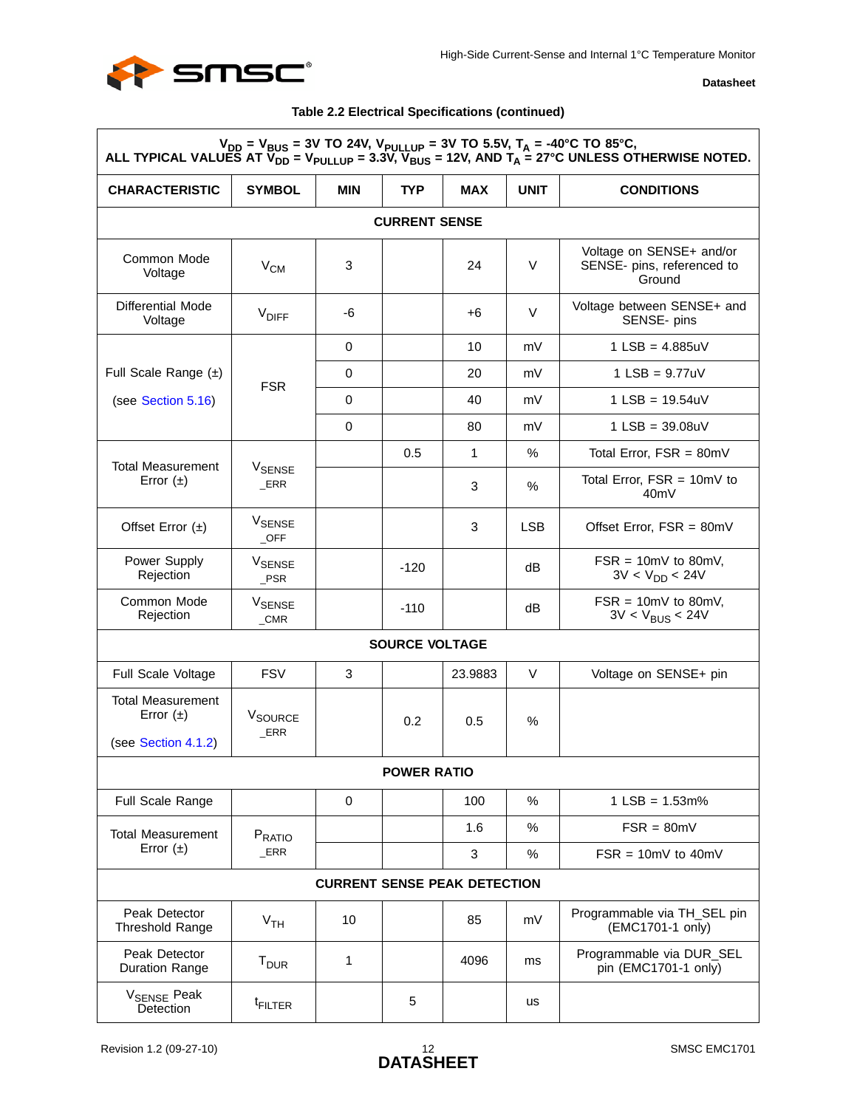

#### **Table 2.2 Electrical Specifications (continued)**

| $V_{DD} = V_{BUS} = 3V$ TO 24V, $V_{PULLUP} = 3V$ TO 5.5V, $T_A = -40^{\circ}$ C TO 85°C,<br>ALL TYPICAL VALUES AT $\overline{V}_{DD} = V_{PULLUP} = 3.3\overline{V}$ , $\overline{V}_{BUS} = 12V$ , AND $T_A = 27^{\circ}$ C UNLESS OTHERWISE NOTED. |                                     |     |                       |              |             |                                                                  |  |  |  |
|-------------------------------------------------------------------------------------------------------------------------------------------------------------------------------------------------------------------------------------------------------|-------------------------------------|-----|-----------------------|--------------|-------------|------------------------------------------------------------------|--|--|--|
| <b>CHARACTERISTIC</b>                                                                                                                                                                                                                                 | <b>SYMBOL</b>                       | MIN | TYP.                  | <b>MAX</b>   | <b>UNIT</b> | <b>CONDITIONS</b>                                                |  |  |  |
|                                                                                                                                                                                                                                                       | <b>CURRENT SENSE</b>                |     |                       |              |             |                                                                  |  |  |  |
| Common Mode<br>Voltage                                                                                                                                                                                                                                | $V_{CM}$                            | 3   |                       | 24           | V           | Voltage on SENSE+ and/or<br>SENSE- pins, referenced to<br>Ground |  |  |  |
| <b>Differential Mode</b><br>Voltage                                                                                                                                                                                                                   | <b>VDIFF</b>                        | -6  |                       | +6           | V           | Voltage between SENSE+ and<br>SENSE- pins                        |  |  |  |
|                                                                                                                                                                                                                                                       |                                     | 0   |                       | 10           | mV          | $1$ LSB = 4.885uV                                                |  |  |  |
| Full Scale Range $(\pm)$                                                                                                                                                                                                                              | <b>FSR</b>                          | 0   |                       | 20           | mV          | 1 LSB = $9.77uV$                                                 |  |  |  |
| (see Section 5.16)                                                                                                                                                                                                                                    |                                     | 0   |                       | 40           | mV          | $1$ LSB = 19.54uV                                                |  |  |  |
|                                                                                                                                                                                                                                                       |                                     | 0   |                       | 80           | mV          | $1$ LSB = 39.08uV                                                |  |  |  |
| <b>Total Measurement</b>                                                                                                                                                                                                                              |                                     |     | 0.5                   | $\mathbf{1}$ | %           | Total Error, $FSR = 80mV$                                        |  |  |  |
| Error $(\pm)$                                                                                                                                                                                                                                         | <b>V<sub>SENSE</sub></b><br>ERR     |     |                       | 3            | $\%$        | Total Error, $FSR = 10mV$ to<br>40 <sub>m</sub> V                |  |  |  |
| Offset Error $(\pm)$                                                                                                                                                                                                                                  | <b>V<sub>SENSE</sub></b><br>$\_OFF$ |     |                       | 3            | <b>LSB</b>  | Offset Error, $FSR = 80mV$                                       |  |  |  |
| Power Supply<br>Rejection                                                                                                                                                                                                                             | <b>V<sub>SENSE</sub></b><br>$_P$ SR |     | $-120$                |              | dB          | $FSR = 10mV$ to 80mV,<br>$3V < V_{DD} < 24V$                     |  |  |  |
| Common Mode<br>Rejection                                                                                                                                                                                                                              | <b>V<sub>SENSE</sub></b><br>$\_CMR$ |     | $-110$                |              | dB          | $FSR = 10mV$ to 80mV,<br>$3V < V_{BUS} < 24V$                    |  |  |  |
|                                                                                                                                                                                                                                                       |                                     |     | <b>SOURCE VOLTAGE</b> |              |             |                                                                  |  |  |  |
| Full Scale Voltage                                                                                                                                                                                                                                    | <b>FSV</b>                          | 3   |                       | 23.9883      | V           | Voltage on SENSE+ pin                                            |  |  |  |
| <b>Total Measurement</b><br>Error $(\pm)$<br>(see Section 4.1.2)                                                                                                                                                                                      | V <sub>SOURCE</sub><br>ERR          |     | 0.2                   | 0.5          | $\%$        |                                                                  |  |  |  |
|                                                                                                                                                                                                                                                       |                                     |     | <b>POWER RATIO</b>    |              |             |                                                                  |  |  |  |
| Full Scale Range                                                                                                                                                                                                                                      |                                     | 0   |                       | 100          | $\%$        | $1$ LSB = $1.53$ m%                                              |  |  |  |
| <b>Total Measurement</b>                                                                                                                                                                                                                              | PRATIO                              |     |                       | 1.6          | $\%$        | $FSR = 80mV$                                                     |  |  |  |
| Error $(\pm)$                                                                                                                                                                                                                                         | ERR                                 |     |                       | 3            | %           | $FSR = 10mV$ to $40mV$                                           |  |  |  |
|                                                                                                                                                                                                                                                       | <b>CURRENT SENSE PEAK DETECTION</b> |     |                       |              |             |                                                                  |  |  |  |
| Peak Detector<br><b>Threshold Range</b>                                                                                                                                                                                                               | V <sub>TH</sub>                     | 10  |                       | 85           | mV          | Programmable via TH_SEL pin<br>(EMC1701-1 only)                  |  |  |  |
| Peak Detector<br><b>Duration Range</b>                                                                                                                                                                                                                | T <sub>DUR</sub>                    | 1   |                       | 4096         | ms          | Programmable via DUR_SEL<br>pin (EMC1701-1 only)                 |  |  |  |
| V <sub>SENSE</sub> Peak<br><b>Detection</b>                                                                                                                                                                                                           | <sup>t</sup> FILTER                 |     | 5                     |              | <b>us</b>   |                                                                  |  |  |  |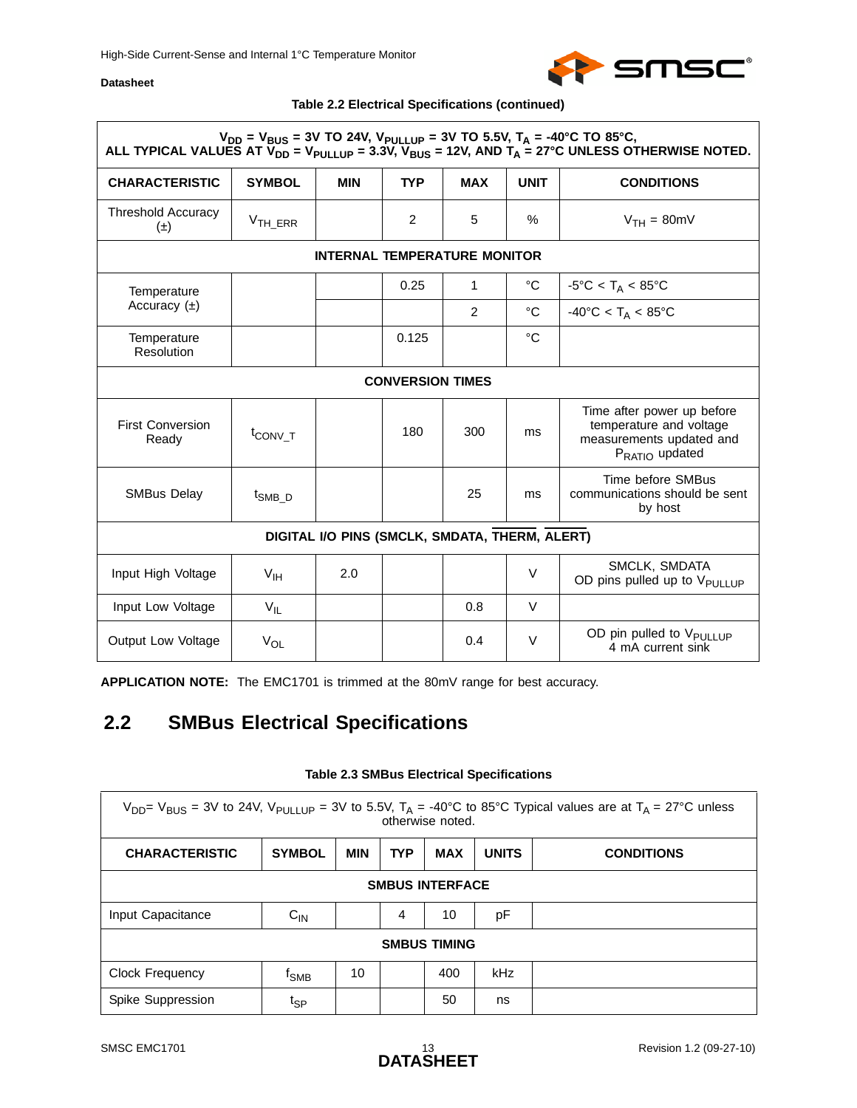

#### **Table 2.2 Electrical Specifications (continued)**

|                                      | $V_{DD} = V_{BUS} = 3V$ TO 24V, $V_{PULLUP} = 3V$ TO 5.5V, $T_A = -40^{\circ}$ C TO 85°C, |                                                |                         |            |               | ALL TYPICAL VALUES AT $\bar{V}_{DD}$ = V <sub>PULLUP</sub> = 3.3V, V <sub>BUS</sub> = 12V, AND T <sub>A</sub> = 27°C UNLESS OTHERWISE NOTED. |  |  |  |  |  |
|--------------------------------------|-------------------------------------------------------------------------------------------|------------------------------------------------|-------------------------|------------|---------------|----------------------------------------------------------------------------------------------------------------------------------------------|--|--|--|--|--|
| <b>CHARACTERISTIC</b>                | <b>SYMBOL</b>                                                                             | <b>MIN</b>                                     | <b>TYP</b>              | <b>MAX</b> | <b>UNIT</b>   | <b>CONDITIONS</b>                                                                                                                            |  |  |  |  |  |
| <b>Threshold Accuracy</b><br>$(\pm)$ | $VTH_ERR$                                                                                 |                                                | $\overline{2}$          | 5          | $\frac{0}{0}$ | $VTH = 80mV$                                                                                                                                 |  |  |  |  |  |
| <b>INTERNAL TEMPERATURE MONITOR</b>  |                                                                                           |                                                |                         |            |               |                                                                                                                                              |  |  |  |  |  |
| Temperature                          |                                                                                           |                                                | 0.25                    | 1          | °C            | $-5^{\circ}$ C < T <sub>A</sub> < 85 $^{\circ}$ C                                                                                            |  |  |  |  |  |
| Accuracy $(\pm)$                     |                                                                                           |                                                |                         | 2          | $^{\circ}C$   | $-40^{\circ}$ C < T <sub>A</sub> < 85°C                                                                                                      |  |  |  |  |  |
| Temperature<br>Resolution            |                                                                                           |                                                | 0.125                   |            | °C            |                                                                                                                                              |  |  |  |  |  |
|                                      |                                                                                           |                                                | <b>CONVERSION TIMES</b> |            |               |                                                                                                                                              |  |  |  |  |  |
| <b>First Conversion</b><br>Ready     | t <sub>CONV_T</sub>                                                                       |                                                | 180                     | 300        | ms            | Time after power up before<br>temperature and voltage<br>measurements updated and<br>P <sub>RATIO</sub> updated                              |  |  |  |  |  |
| <b>SMBus Delay</b>                   | <sup>t</sup> SMB D                                                                        |                                                |                         | 25         | ms            | Time before SMBus<br>communications should be sent<br>by host                                                                                |  |  |  |  |  |
|                                      |                                                                                           | DIGITAL I/O PINS (SMCLK, SMDATA, THERM, ALERT) |                         |            |               |                                                                                                                                              |  |  |  |  |  |
| Input High Voltage                   | V <sub>IH</sub>                                                                           | 2.0                                            |                         |            | $\vee$        | SMCLK, SMDATA<br>OD pins pulled up to V <sub>PULLUP</sub>                                                                                    |  |  |  |  |  |
| Input Low Voltage                    | $V_{IL}$                                                                                  |                                                |                         | 0.8        | V             |                                                                                                                                              |  |  |  |  |  |
| Output Low Voltage                   | $V_{OL}$                                                                                  |                                                |                         | 0.4        | $\vee$        | OD pin pulled to V <sub>PULLUP</sub><br>4 mA current sink                                                                                    |  |  |  |  |  |

**APPLICATION NOTE:** The EMC1701 is trimmed at the 80mV range for best accuracy.

## <span id="page-12-0"></span>**2.2 SMBus Electrical Specifications**

#### <span id="page-12-2"></span>**Table 2.3 SMBus Electrical Specifications**

<span id="page-12-1"></span>

| $V_{DD}$ = V <sub>BUS</sub> = 3V to 24V, V <sub>PULLUP</sub> = 3V to 5.5V, T <sub>A</sub> = -40°C to 85°C Typical values are at T <sub>A</sub> = 27°C unless<br>otherwise noted. |                              |     |            |                     |              |                   |  |  |  |  |  |
|----------------------------------------------------------------------------------------------------------------------------------------------------------------------------------|------------------------------|-----|------------|---------------------|--------------|-------------------|--|--|--|--|--|
| <b>CHARACTERISTIC</b>                                                                                                                                                            | <b>SYMBOL</b>                | MIN | <b>TYP</b> | <b>MAX</b>          | <b>UNITS</b> | <b>CONDITIONS</b> |  |  |  |  |  |
| <b>SMBUS INTERFACE</b>                                                                                                                                                           |                              |     |            |                     |              |                   |  |  |  |  |  |
| Input Capacitance                                                                                                                                                                | $C_{IN}$                     |     | 4          | 10                  | рF           |                   |  |  |  |  |  |
|                                                                                                                                                                                  |                              |     |            | <b>SMBUS TIMING</b> |              |                   |  |  |  |  |  |
| <b>Clock Frequency</b>                                                                                                                                                           | <sup>t</sup> sm <sub>B</sub> | 10  |            | 400                 | kHz          |                   |  |  |  |  |  |
| Spike Suppression                                                                                                                                                                | t <sub>SP</sub>              |     |            | 50                  | ns           |                   |  |  |  |  |  |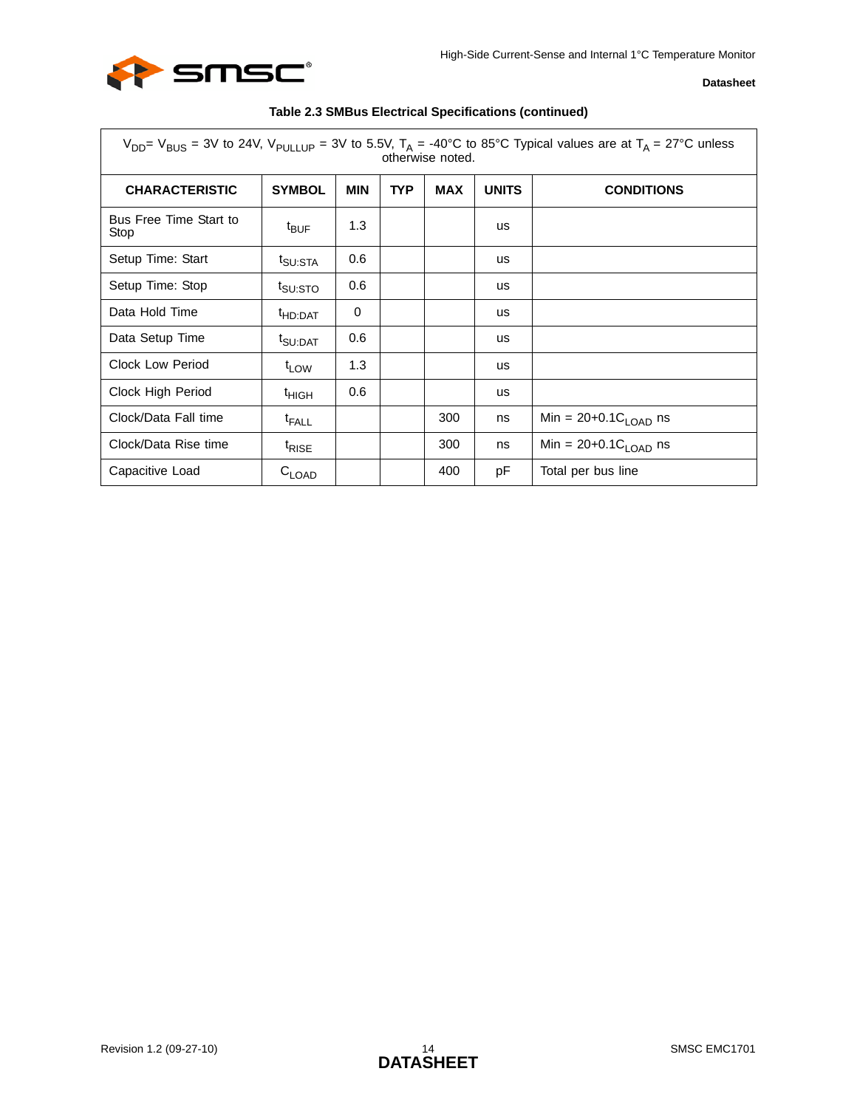

|                                | $V_{DD}$ V <sub>BUS</sub> = 3V to 24V, V <sub>PULLUP</sub> = 3V to 5.5V, T <sub>A</sub> = -40°C to 85°C Typical values are at T <sub>A</sub> = 27°C unless<br>otherwise noted. |            |            |            |              |                                  |  |  |  |  |  |  |  |
|--------------------------------|--------------------------------------------------------------------------------------------------------------------------------------------------------------------------------|------------|------------|------------|--------------|----------------------------------|--|--|--|--|--|--|--|
| <b>CHARACTERISTIC</b>          | <b>SYMBOL</b>                                                                                                                                                                  | <b>MIN</b> | <b>TYP</b> | <b>MAX</b> | <b>UNITS</b> | <b>CONDITIONS</b>                |  |  |  |  |  |  |  |
| Bus Free Time Start to<br>Stop | $t_{\text{BUF}}$                                                                                                                                                               | 1.3        |            |            | us           |                                  |  |  |  |  |  |  |  |
| Setup Time: Start              | <sup>t</sup> SU:STA                                                                                                                                                            | 0.6        |            |            | us           |                                  |  |  |  |  |  |  |  |
| Setup Time: Stop               | t <sub>SU:STO</sub>                                                                                                                                                            | 0.6        |            |            | us           |                                  |  |  |  |  |  |  |  |
| Data Hold Time                 | <sup>t</sup> HD:DAT                                                                                                                                                            | 0          |            |            | us           |                                  |  |  |  |  |  |  |  |
| Data Setup Time                | <sup>t</sup> SU:DAT                                                                                                                                                            | 0.6        |            |            | <b>us</b>    |                                  |  |  |  |  |  |  |  |
| Clock Low Period               | <sup>t</sup> LOW                                                                                                                                                               | 1.3        |            |            | us           |                                  |  |  |  |  |  |  |  |
| Clock High Period              | <sup>t</sup> HIGH                                                                                                                                                              | 0.6        |            |            | us           |                                  |  |  |  |  |  |  |  |
| Clock/Data Fall time           | <sup>t</sup> FALL                                                                                                                                                              |            |            | 300        | ns           | Min = $20+0.1C_{\text{LOAD}}$ ns |  |  |  |  |  |  |  |
| Clock/Data Rise time           | <sup>t</sup> RISE                                                                                                                                                              |            |            | 300        | ns           | Min = $20+0.1C_{LOAD}$ ns        |  |  |  |  |  |  |  |
| Capacitive Load                | $C_{LOAD}$                                                                                                                                                                     |            |            | 400        | pF           | Total per bus line               |  |  |  |  |  |  |  |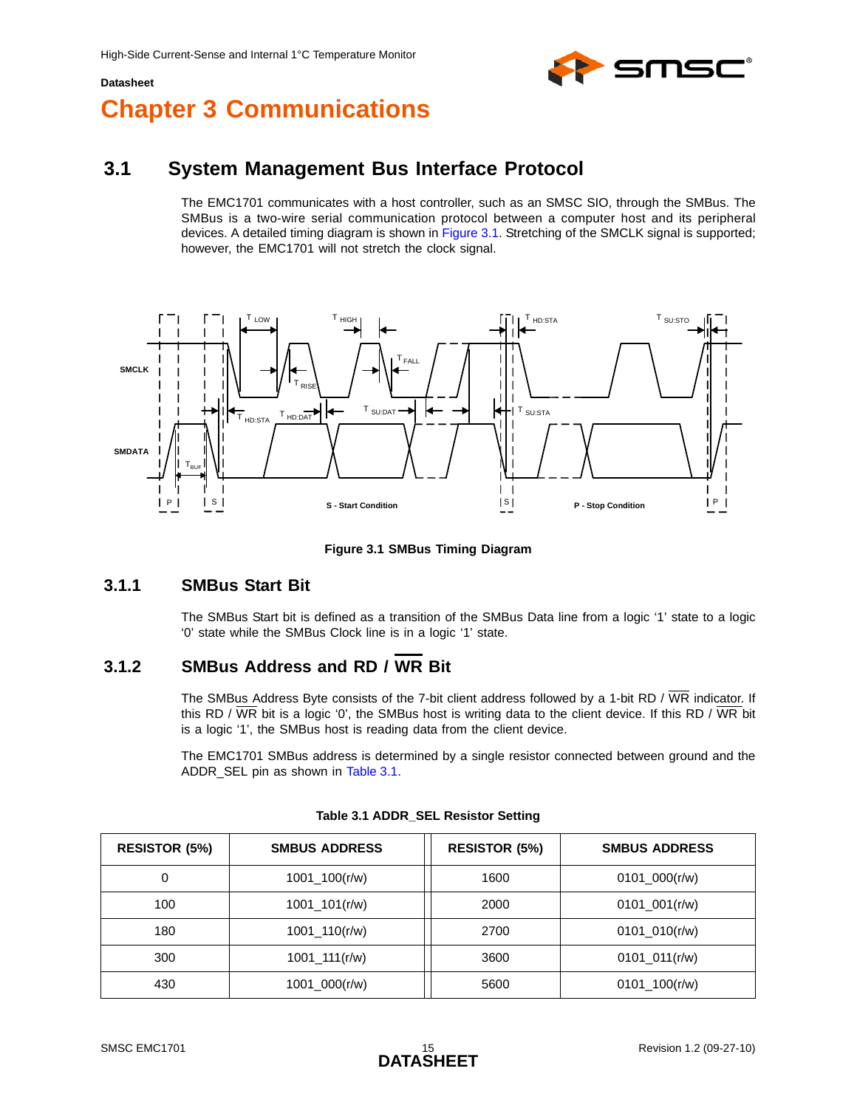

# <span id="page-14-0"></span>**Chapter 3 Communications**

## <span id="page-14-1"></span>**3.1 System Management Bus Interface Protocol**

The EMC1701 communicates with a host controller, such as an SMSC SIO, through the SMBus. The SMBus is a two-wire serial communication protocol between a computer host and its peripheral devices. A detailed timing diagram is shown in [Figure 3.1](#page-14-4). Stretching of the SMCLK signal is supported; however, the EMC1701 will not stretch the clock signal.



**Figure 3.1 SMBus Timing Diagram**

### <span id="page-14-4"></span><span id="page-14-2"></span>**3.1.1 SMBus Start Bit**

The SMBus Start bit is defined as a transition of the SMBus Data line from a logic '1' state to a logic '0' state while the SMBus Clock line is in a logic '1' state.

### <span id="page-14-3"></span>**3.1.2 SMBus Address and RD / WR Bit**

The SMBus Address Byte consists of the 7-bit client address followed by a 1-bit RD /  $\overline{\text{WR}}$  indicator. If this RD /  $\overline{WR}$  bit is a logic '0', the SMBus host is writing data to the client device. If this RD /  $\overline{WR}$  bit is a logic '1', the SMBus host is reading data from the client device.

The EMC1701 SMBus address is determined by a single resistor connected between ground and the ADDR SEL pin as shown in [Table 3.1](#page-14-5).

<span id="page-14-5"></span>

| <b>RESISTOR (5%)</b> | <b>SMBUS ADDRESS</b> | <b>RESISTOR (5%)</b> | <b>SMBUS ADDRESS</b> |
|----------------------|----------------------|----------------------|----------------------|
| 0                    | $1001\_100(r/w)$     | 1600                 | 0101 $000(r/w)$      |
| 100                  | $1001\_101(r/w)$     | 2000                 | 0101 001 $(r/w)$     |
| 180                  | $1001\_110(r/w)$     | 2700                 | 0101 010(r/w)        |
| 300                  | $1001 - 111(r/w)$    | 3600                 | $0101_011(r/w)$      |
| 430                  | $1001\_{000(r/w)}$   | 5600                 | $0101\_100(r/w)$     |

**Table 3.1 ADDR\_SEL Resistor Setting**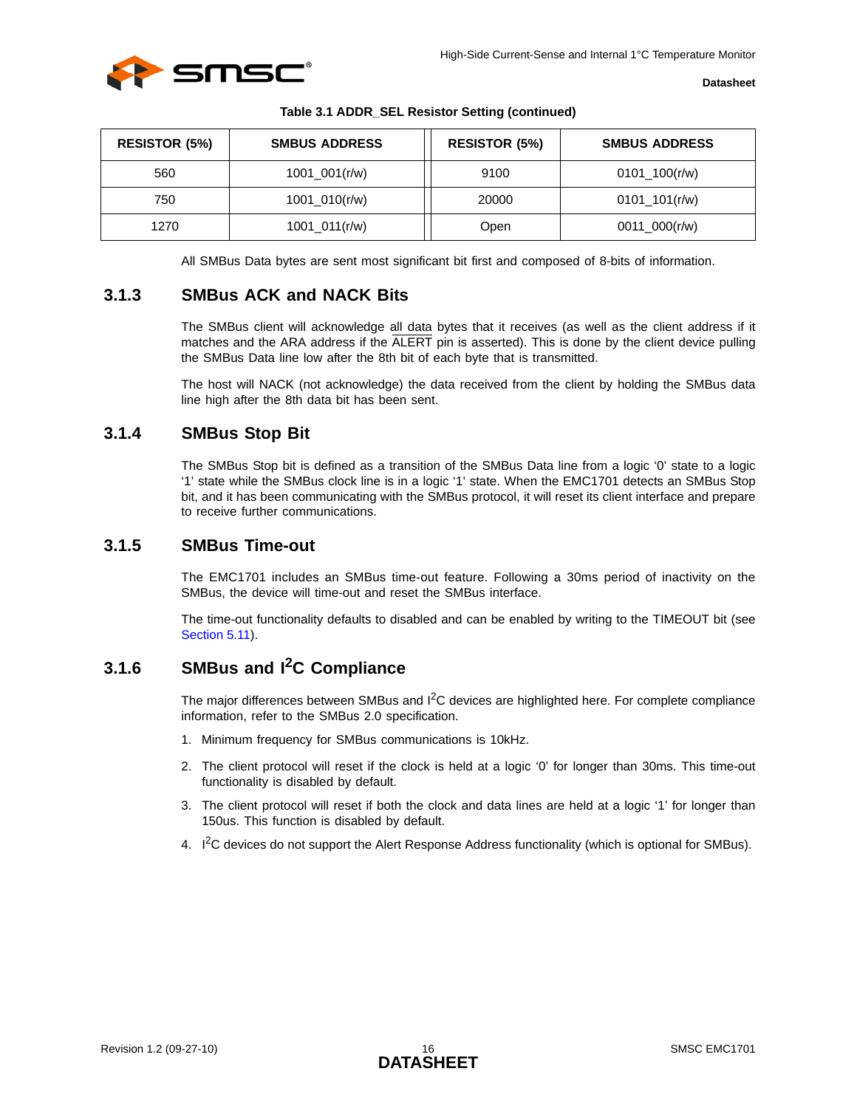

| <b>RESISTOR (5%)</b> | <b>SMBUS ADDRESS</b> | <b>RESISTOR (5%)</b> | <b>SMBUS ADDRESS</b> |
|----------------------|----------------------|----------------------|----------------------|
| 560                  | $1001\_001(r/w)$     | 9100                 | $0101\_100(r/w)$     |
| 750                  | $1001_010(r/w)$      | 20000                | $0101$ _101(r/w)     |
| 1270                 | $1001_011(r/w)$      | Open                 | $0011\_000(r/w)$     |

**Table 3.1 ADDR\_SEL Resistor Setting (continued)** 

All SMBus Data bytes are sent most significant bit first and composed of 8-bits of information.

### <span id="page-15-0"></span>**3.1.3 SMBus ACK and NACK Bits**

The SMBus client will acknowledge all data bytes that it receives (as well as the client address if it matches and the ARA address if the ALERT pin is asserted). This is done by the client device pulling the SMBus Data line low after the 8th bit of each byte that is transmitted.

The host will NACK (not acknowledge) the data received from the client by holding the SMBus data line high after the 8th data bit has been sent.

### <span id="page-15-1"></span>**3.1.4 SMBus Stop Bit**

The SMBus Stop bit is defined as a transition of the SMBus Data line from a logic '0' state to a logic '1' state while the SMBus clock line is in a logic '1' state. When the EMC1701 detects an SMBus Stop bit, and it has been communicating with the SMBus protocol, it will reset its client interface and prepare to receive further communications.

#### <span id="page-15-2"></span>**3.1.5 SMBus Time-out**

The EMC1701 includes an SMBus time-out feature. Following a 30ms period of inactivity on the SMBus, the device will time-out and reset the SMBus interface.

The time-out functionality defaults to disabled and can be enabled by writing to the TIMEOUT bit (see [Section 5.11\)](#page-34-2).

### <span id="page-15-3"></span>**3.1.6 SMBus and I2C Compliance**

The major differences between SMBus and I<sup>2</sup>C devices are highlighted here. For complete compliance information, refer to the SMBus 2.0 specification.

- 1. Minimum frequency for SMBus communications is 10kHz.
- 2. The client protocol will reset if the clock is held at a logic '0' for longer than 30ms. This time-out functionality is disabled by default.
- 3. The client protocol will reset if both the clock and data lines are held at a logic '1' for longer than 150us. This function is disabled by default.
- 4. I<sup>2</sup>C devices do not support the Alert Response Address functionality (which is optional for SMBus).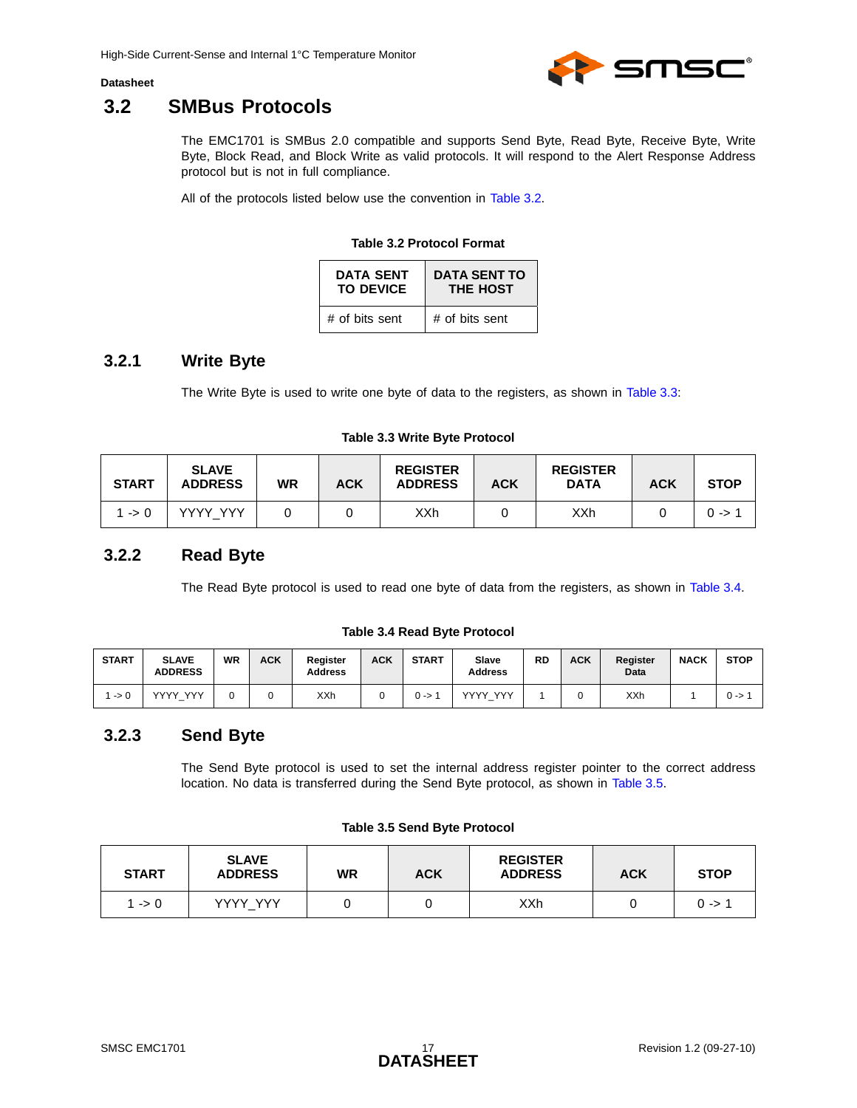

### <span id="page-16-0"></span>**3.2 SMBus Protocols**

The EMC1701 is SMBus 2.0 compatible and supports Send Byte, Read Byte, Receive Byte, Write Byte, Block Read, and Block Write as valid protocols. It will respond to the Alert Response Address protocol but is not in full compliance.

<span id="page-16-4"></span>All of the protocols listed below use the convention in [Table 3.2.](#page-16-4)

#### **Table 3.2 Protocol Format**

| <b>DATA SENT</b> | <b>DATA SENT TO</b> |
|------------------|---------------------|
| <b>TO DEVICE</b> | <b>THE HOST</b>     |
| # of bits sent   | # of bits sent      |

### <span id="page-16-1"></span>**3.2.1 Write Byte**

The Write Byte is used to write one byte of data to the registers, as shown in [Table 3.3](#page-16-5):

#### **Table 3.3 Write Byte Protocol**

<span id="page-16-5"></span>

| <b>START</b>    | <b>SLAVE</b><br><b>ADDRESS</b> | <b>WR</b> | <b>ACK</b> | <b>REGISTER</b><br><b>ADDRESS</b> | <b>ACK</b> | <b>REGISTER</b><br><b>DATA</b> | <b>ACK</b> | <b>STOP</b> |
|-----------------|--------------------------------|-----------|------------|-----------------------------------|------------|--------------------------------|------------|-------------|
| $\rightarrow 0$ | <b>VVVV VVV</b>                |           |            | XXh                               |            | XXh                            |            | 0 ->        |

### <span id="page-16-2"></span>**3.2.2 Read Byte**

The Read Byte protocol is used to read one byte of data from the registers, as shown in [Table 3.4.](#page-16-6)

#### **Table 3.4 Read Byte Protocol**

<span id="page-16-6"></span>

| <b>START</b>    | <b>SLAVE</b><br><b>ADDRESS</b> | <b>WR</b> | <b>ACK</b> | Register<br><b>Address</b> | <b>ACK</b> | <b>START</b> | Slave<br><b>Address</b>   | RD | ACK | Register<br>Data | <b>NACK</b> | <b>STOP</b> |
|-----------------|--------------------------------|-----------|------------|----------------------------|------------|--------------|---------------------------|----|-----|------------------|-------------|-------------|
| $\rightarrow 0$ | <b>VVVV VVV</b>                |           |            | XXh                        |            | () ->        | <b>VVV</b><br><b>VVVV</b> |    |     | <b>XXh</b>       |             | $0 - 5$     |

### <span id="page-16-3"></span>**3.2.3 Send Byte**

The Send Byte protocol is used to set the internal address register pointer to the correct address location. No data is transferred during the Send Byte protocol, as shown in [Table 3.5.](#page-16-7)

#### **Table 3.5 Send Byte Protocol**

<span id="page-16-7"></span>

| <b>START</b> | <b>SLAVE</b><br><b>ADDRESS</b> | <b>WR</b> | <b>ACK</b> | <b>REGISTER</b><br><b>ADDRESS</b> | <b>ACK</b> | <b>STOP</b> |
|--------------|--------------------------------|-----------|------------|-----------------------------------|------------|-------------|
| $1 - 0$      | YYYY YYY                       |           |            | XXh                               |            | $0 - 5$     |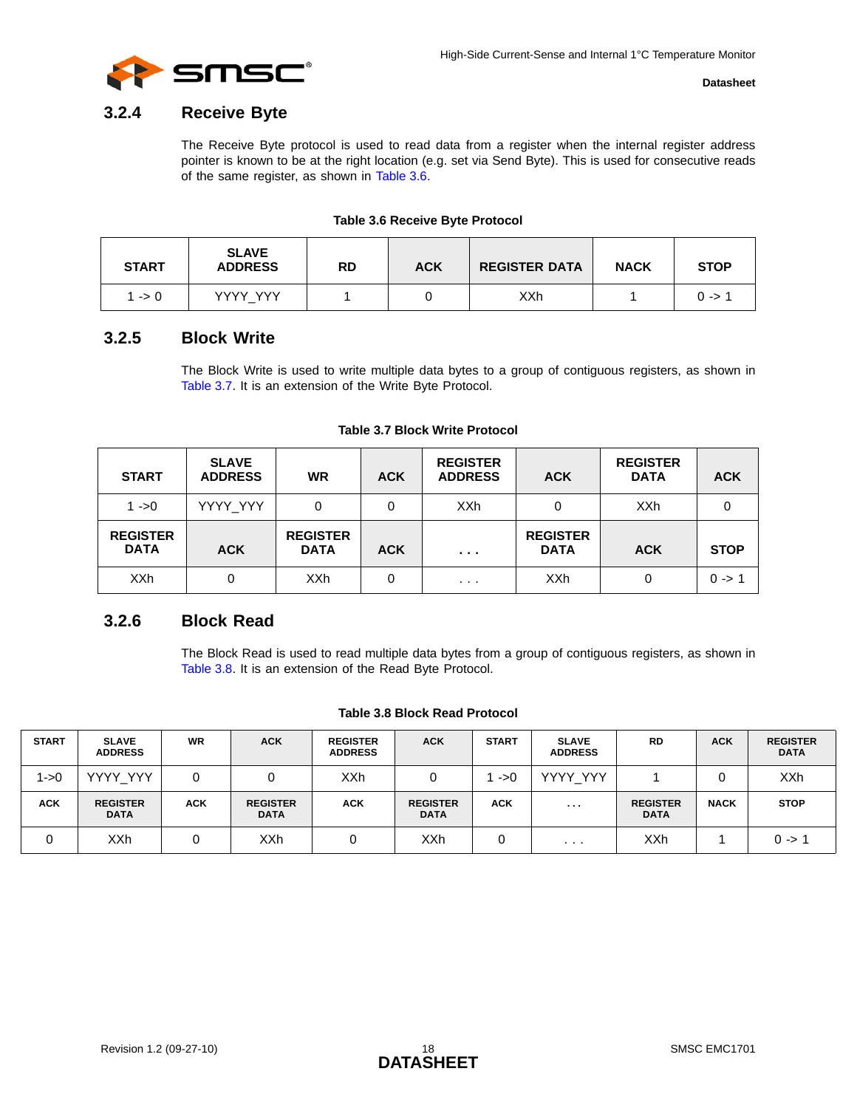

### <span id="page-17-0"></span>**3.2.4 Receive Byte**

The Receive Byte protocol is used to read data from a register when the internal register address pointer is known to be at the right location (e.g. set via Send Byte). This is used for consecutive reads of the same register, as shown in [Table 3.6](#page-17-3).

#### **Table 3.6 Receive Byte Protocol**

<span id="page-17-3"></span>

| <b>START</b> | <b>SLAVE</b><br><b>ADDRESS</b> | RD | <b>ACK</b> | <b>REGISTER DATA</b> | <b>NACK</b> | <b>STOP</b> |
|--------------|--------------------------------|----|------------|----------------------|-------------|-------------|
| $1 - 0$      | YYYY YYY                       |    |            | XXh                  |             | $0 - > 1$   |

### <span id="page-17-1"></span>**3.2.5 Block Write**

The Block Write is used to write multiple data bytes to a group of contiguous registers, as shown in [Table 3.7](#page-17-4). It is an extension of the Write Byte Protocol.

<span id="page-17-4"></span>

| <b>START</b>                   | <b>SLAVE</b><br><b>ADDRESS</b> | <b>WR</b>                      | <b>ACK</b> | <b>REGISTER</b><br><b>ADDRESS</b> | <b>ACK</b>                     | <b>REGISTER</b><br><b>DATA</b> | <b>ACK</b>  |
|--------------------------------|--------------------------------|--------------------------------|------------|-----------------------------------|--------------------------------|--------------------------------|-------------|
| $1 - 0$                        | YYYY_YYY                       | 0                              | 0          | <b>XXh</b>                        | 0                              | <b>XXh</b>                     |             |
| <b>REGISTER</b><br><b>DATA</b> | <b>ACK</b>                     | <b>REGISTER</b><br><b>DATA</b> | <b>ACK</b> | $\cdots$                          | <b>REGISTER</b><br><b>DATA</b> | <b>ACK</b>                     | <b>STOP</b> |
| <b>XXh</b>                     | 0                              | XXh                            | 0          | $\cdots$                          | <b>XXh</b>                     | 0                              | $0 - 1$     |

#### **Table 3.7 Block Write Protocol**

### <span id="page-17-2"></span>**3.2.6 Block Read**

The Block Read is used to read multiple data bytes from a group of contiguous registers, as shown in [Table 3.8](#page-17-5). It is an extension of the Read Byte Protocol.

#### **Table 3.8 Block Read Protocol**

<span id="page-17-5"></span>

| <b>START</b> | <b>SLAVE</b><br><b>ADDRESS</b> | <b>WR</b>  | <b>ACK</b>                     | <b>REGISTER</b><br><b>ADDRESS</b> | <b>ACK</b>                     | <b>START</b> | <b>SLAVE</b><br><b>ADDRESS</b> | <b>RD</b>                      | <b>ACK</b>  | <b>REGISTER</b><br><b>DATA</b> |
|--------------|--------------------------------|------------|--------------------------------|-----------------------------------|--------------------------------|--------------|--------------------------------|--------------------------------|-------------|--------------------------------|
| l->0         | YYYY_YYY                       |            |                                | XXh                               |                                | ->0          | YYYY_YYY                       |                                |             | XXh                            |
| <b>ACK</b>   | <b>REGISTER</b><br><b>DATA</b> | <b>ACK</b> | <b>REGISTER</b><br><b>DATA</b> | <b>ACK</b>                        | <b>REGISTER</b><br><b>DATA</b> | <b>ACK</b>   | .                              | <b>REGISTER</b><br><b>DATA</b> | <b>NACK</b> | <b>STOP</b>                    |
|              | XXh                            |            | XXh                            |                                   | XXh                            |              | .                              | XXh                            |             | $0 \rightarrow 1$              |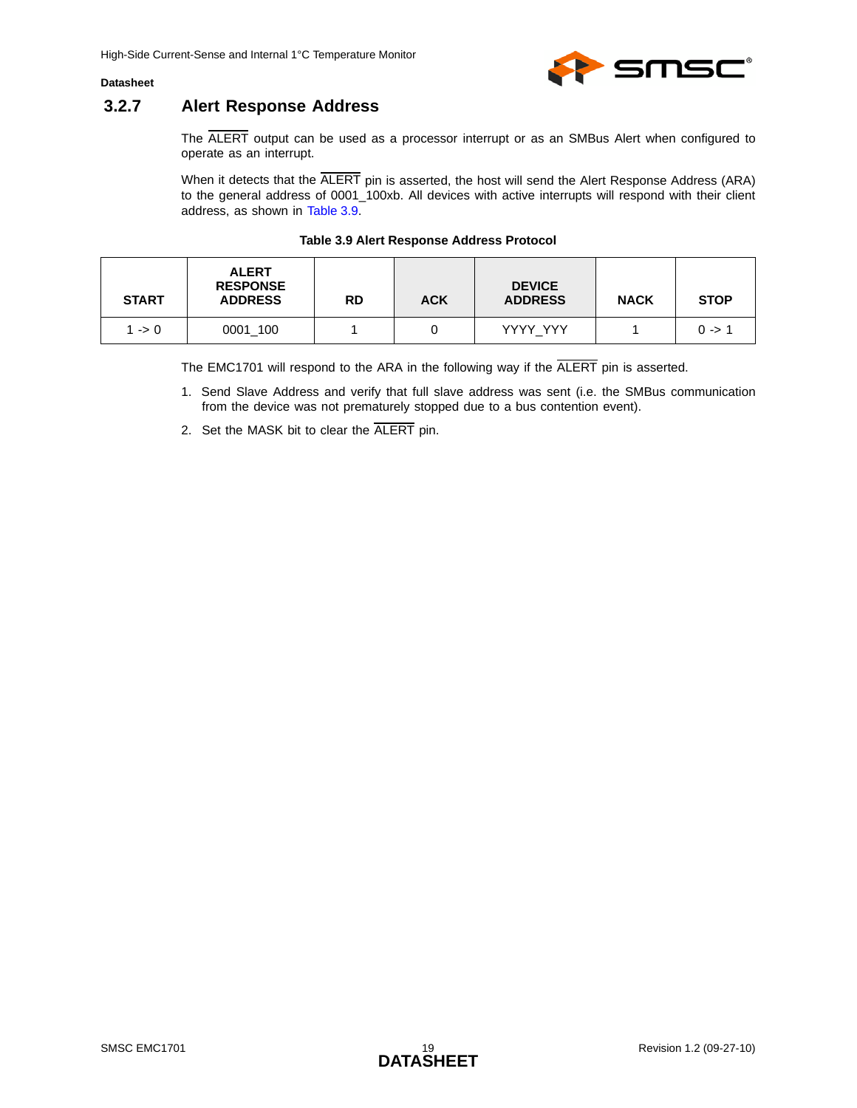

### <span id="page-18-0"></span>**3.2.7 Alert Response Address**

The ALERT output can be used as a processor interrupt or as an SMBus Alert when configured to operate as an interrupt.

When it detects that the  $\overline{\text{ALERT}}$  pin is asserted, the host will send the Alert Response Address (ARA) to the general address of 0001\_100xb. All devices with active interrupts will respond with their client address, as shown in [Table 3.9.](#page-18-1)

| <b>Table 3.9 Alert Response Address Protocol</b> |  |  |  |  |  |  |
|--------------------------------------------------|--|--|--|--|--|--|
|                                                  |  |  |  |  |  |  |

<span id="page-18-1"></span>

| <b>START</b> | <b>ALERT</b><br><b>RESPONSE</b><br><b>ADDRESS</b> | <b>RD</b> | <b>ACK</b> | <b>DEVICE</b><br><b>ADDRESS</b> | <b>NACK</b> | <b>STOP</b> |
|--------------|---------------------------------------------------|-----------|------------|---------------------------------|-------------|-------------|
| 1 -> 0       | 0001 100                                          |           |            | YYYY YYY                        |             | $0 - > 1$   |

The EMC1701 will respond to the ARA in the following way if the ALERT pin is asserted.

- 1. Send Slave Address and verify that full slave address was sent (i.e. the SMBus communication from the device was not prematurely stopped due to a bus contention event).
- 2. Set the MASK bit to clear the ALERT pin.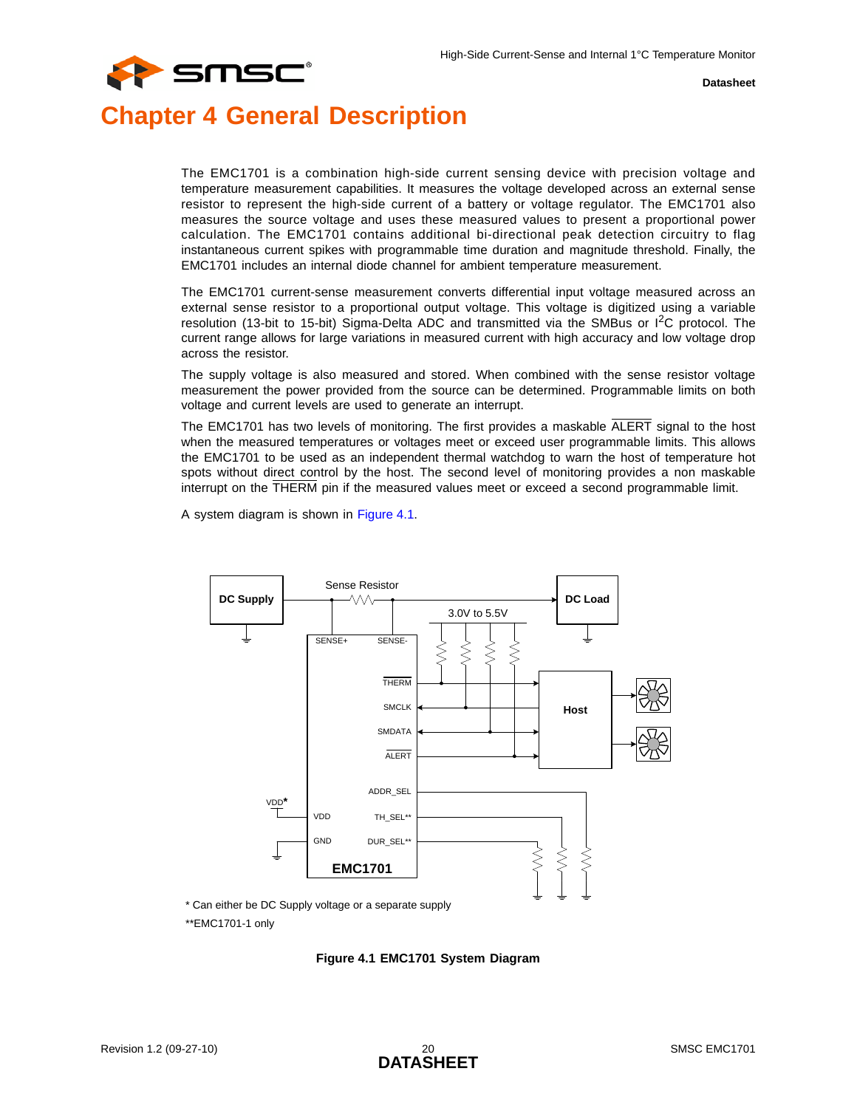

## <span id="page-19-0"></span>**Chapter 4 General Description**

The EMC1701 is a combination high-side current sensing device with precision voltage and temperature measurement capabilities. It measures the voltage developed across an external sense resistor to represent the high-side current of a battery or voltage regulator. The EMC1701 also measures the source voltage and uses these measured values to present a proportional power calculation. The EMC1701 contains additional bi-directional peak detection circuitry to flag instantaneous current spikes with programmable time duration and magnitude threshold. Finally, the EMC1701 includes an internal diode channel for ambient temperature measurement.

The EMC1701 current-sense measurement converts differential input voltage measured across an external sense resistor to a proportional output voltage. This voltage is digitized using a variable resolution (13-bit to 15-bit) Sigma-Delta ADC and transmitted via the SMBus or  $I^2C$  protocol. The current range allows for large variations in measured current with high accuracy and low voltage drop across the resistor.

The supply voltage is also measured and stored. When combined with the sense resistor voltage measurement the power provided from the source can be determined. Programmable limits on both voltage and current levels are used to generate an interrupt.

The EMC1701 has two levels of monitoring. The first provides a maskable ALERT signal to the host when the measured temperatures or voltages meet or exceed user programmable limits. This allows the EMC1701 to be used as an independent thermal watchdog to warn the host of temperature hot spots without direct control by the host. The second level of monitoring provides a non maskable interrupt on the THERM pin if the measured values meet or exceed a second programmable limit.

A system diagram is shown in [Figure 4.1.](#page-19-1)



\* Can either be DC Supply voltage or a separate supply

<span id="page-19-1"></span>\*\*EMC1701-1 only

**Figure 4.1 EMC1701 System Diagram**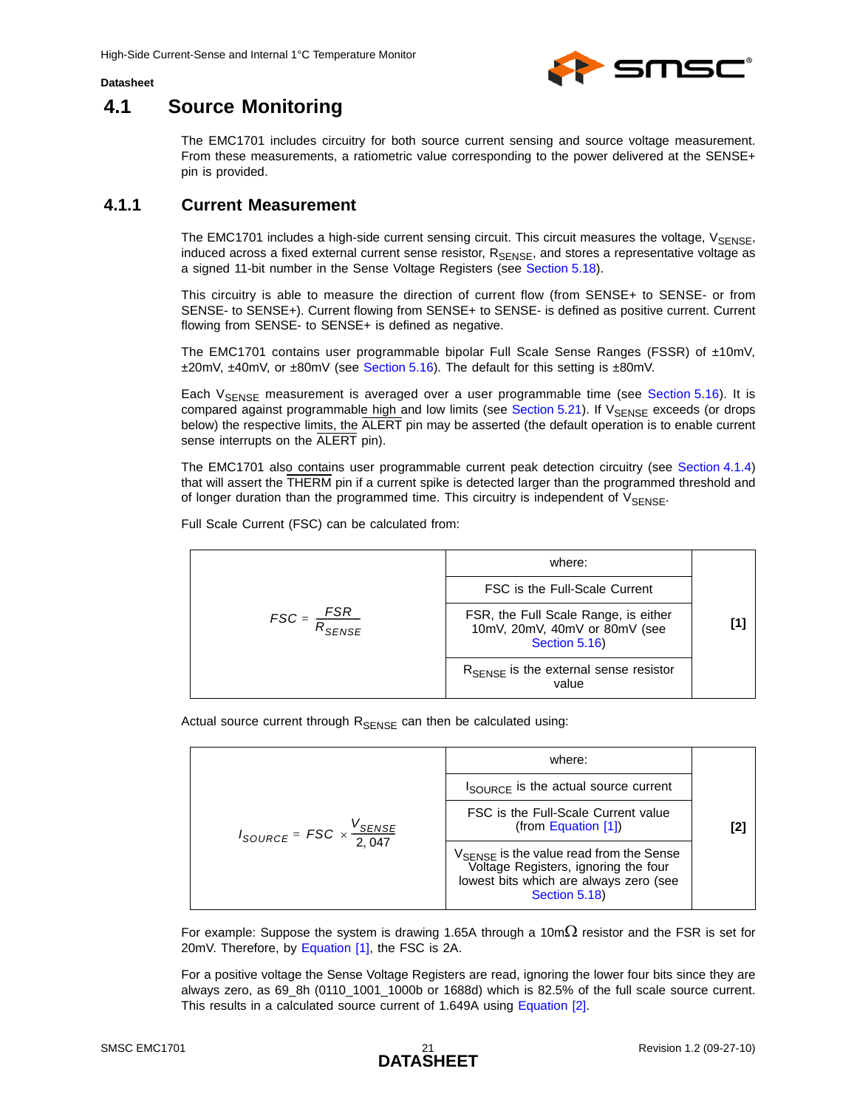

## <span id="page-20-0"></span>**4.1 Source Monitoring**

The EMC1701 includes circuitry for both source current sensing and source voltage measurement. From these measurements, a ratiometric value corresponding to the power delivered at the SENSE+ pin is provided.

### <span id="page-20-1"></span>**4.1.1 Current Measurement**

<span id="page-20-4"></span>The EMC1701 includes a high-side current sensing circuit. This circuit measures the voltage,  $V_{\text{SENSE}}$ , induced across a fixed external current sense resistor, R<sub>SENSE</sub>, and stores a representative voltage as a signed 11-bit number in the Sense Voltage Registers (see [Section 5.18](#page-41-3)).

This circuitry is able to measure the direction of current flow (from SENSE+ to SENSE- or from SENSE- to SENSE+). Current flowing from SENSE+ to SENSE- is defined as positive current. Current flowing from SENSE- to SENSE+ is defined as negative.

The EMC1701 contains user programmable bipolar Full Scale Sense Ranges (FSSR) of ±10mV, ±20mV, ±40mV, or ±80mV (see [Section 5.16\)](#page-37-4). The default for this setting is ±80mV.

Each V<sub>SENSE</sub> measurement is averaged over a user programmable time (see [Section 5.16](#page-37-4)). It is compared against programmable high and low limits (see [Section 5.21\)](#page-43-6). If VSENSE exceeds (or drops below) the respective limits, the ALERT pin may be asserted (the default operation is to enable current sense interrupts on the ALERT pin).

The EMC1701 also contains user programmable current peak detection circuitry (see [Section 4.1.4](#page-22-0)) that will assert the THERM pin if a current spike is detected larger than the programmed threshold and of longer duration than the programmed time. This circuitry is independent of  $V_{\text{SENSE}}$ .

Full Scale Current (FSC) can be calculated from:



Actual source current through  $R_{\text{SENSE}}$  can then be calculated using:

<span id="page-20-3"></span><span id="page-20-2"></span>where:  
\n
$$
I_{\text{SOURCE}} = FSC \times \frac{V_{\text{SENSE}}}{2,047}
$$
\n
$$
I_{\text{SOURCE}} = \frac{V_{\text{SENSE}}}{2,047}
$$
\n
$$
V_{\text{SENSE}} = Voltage
$$
\n
$$
V_{\text{SENSE}} = Voltage
$$
\n
$$
V_{\text{SENSE}} = Voltage
$$
\n
$$
V_{\text{SENSE}} = Voltage
$$
\n
$$
V_{\text{SENSE}} = Voltage
$$
\n
$$
Voltage
$$
\n
$$
Voltage
$$
\n
$$
Voltage
$$
\n
$$
Voltage
$$
\n
$$
Voltage
$$
\n
$$
Voltage
$$
\n
$$
Voltage
$$
\n
$$
Voltage
$$
\n
$$
Voltage
$$
\n
$$
Voltage
$$
\n
$$
Voltage
$$
\n
$$
Voltage
$$
\n
$$
Voltage
$$
\n
$$
Voltage
$$
\n
$$
Voltage
$$
\n
$$
Voltage
$$
\n
$$
Voltage
$$
\n
$$
Voltage
$$
\n
$$
Voltage
$$
\n
$$
Voltage
$$
\n
$$
Voltage
$$
\n
$$
Voltage
$$
\n
$$
Voltage
$$
\n
$$
Voltage
$$
\n
$$
Voltage
$$
\n
$$
Voltage
$$
\n
$$
Voltage
$$
\n
$$
Voltage
$$
\n
$$
Voltage
$$
\n
$$
Voltage
$$
\n
$$
Voltage
$$
\n
$$
Voltage
$$
\n
$$
Voltage
$$
\n
$$
Voltage
$$
\n
$$
Voltage
$$
\n
$$
Voltage
$$
\n
$$
Voltage
$$
\n
$$
Voltage
$$
\n
$$
Voltage
$$
\n
$$
Voltage
$$
\n
$$
Voltage
$$
\n
$$
Voltage
$$
\n
$$
Voltage
$$
\n
$$
Voltage
$$
\n

For example: Suppose the system is drawing 1.65A through a 10m $\Omega$  resistor and the FSR is set for 20mV. Therefore, by [Equation \[1\]](#page-20-2), the FSC is 2A.

For a positive voltage the Sense Voltage Registers are read, ignoring the lower four bits since they are always zero, as 69\_8h (0110\_1001\_1000b or 1688d) which is 82.5% of the full scale source current. This results in a calculated source current of 1.649A using [Equation \[2\].](#page-20-3)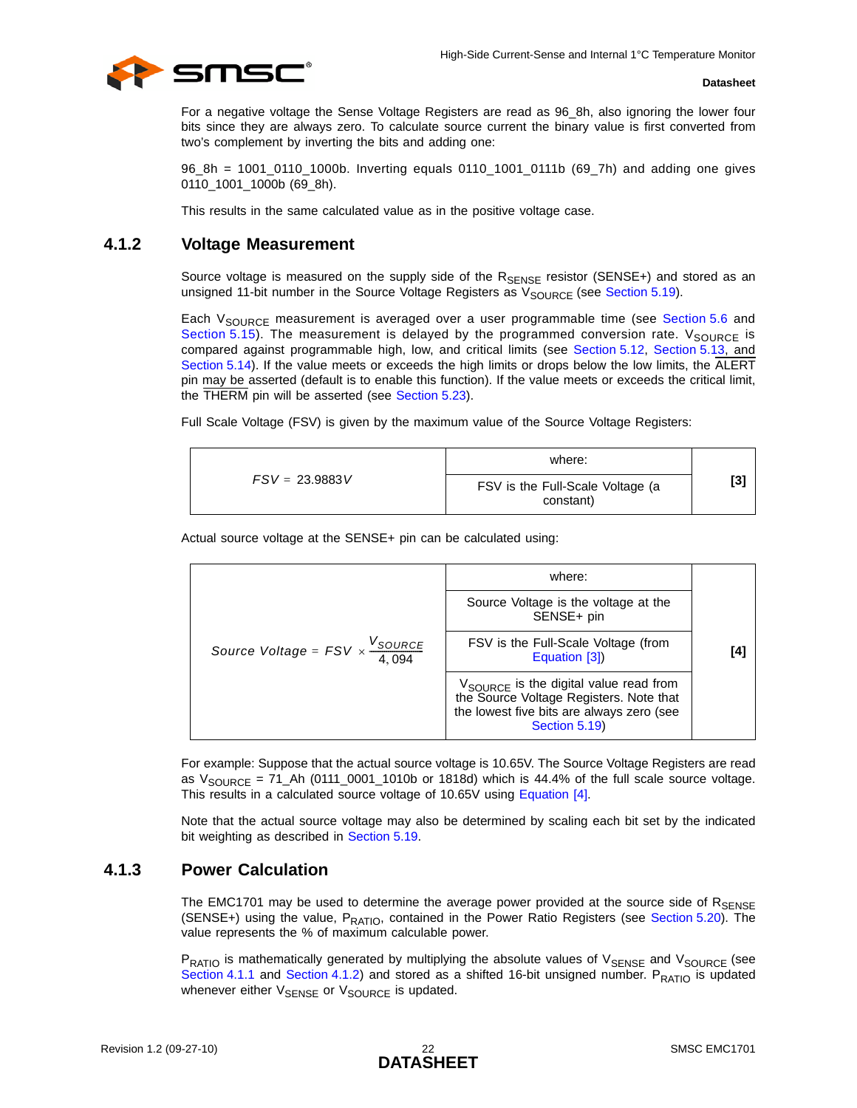

For a negative voltage the Sense Voltage Registers are read as 96\_8h, also ignoring the lower four bits since they are always zero. To calculate source current the binary value is first converted from two's complement by inverting the bits and adding one:

96\_8h = 1001\_0110\_1000b. Inverting equals 0110\_1001\_0111b (69\_7h) and adding one gives 0110\_1001\_1000b (69\_8h).

<span id="page-21-2"></span>This results in the same calculated value as in the positive voltage case.

### <span id="page-21-0"></span>**4.1.2 Voltage Measurement**

Source voltage is measured on the supply side of the  $R_{\text{SENSE}}$  resistor (SENSE+) and stored as an unsigned 11-bit number in the Source Voltage Registers as  $V_{SOLRCE}$  (see [Section 5.19\)](#page-42-4).

Each V<sub>SOURCE</sub> measurement is averaged over a user programmable time (see [Section 5.6](#page-32-5) and [Section 5.15\)](#page-36-4). The measurement is delayed by the programmed conversion rate.  $V_{\text{SOLRCE}}$  is compared against programmable high, low, and critical limits (see [Section 5.12,](#page-35-5) [Section 5.13,](#page-35-6) and [Section 5.14\)](#page-36-5). If the value meets or exceeds the high limits or drops below the low limits, the ALERT pin may be asserted (default is to enable this function). If the value meets or exceeds the critical limit, the THERM pin will be asserted (see [Section 5.23](#page-43-7)).

Full Scale Voltage (FSV) is given by the maximum value of the Source Voltage Registers:

<span id="page-21-4"></span>

|                  | where:                                        |     |
|------------------|-----------------------------------------------|-----|
| $FSV = 23.9883V$ | FSV is the Full-Scale Voltage (a<br>constant) | [3] |

Actual source voltage at the SENSE+ pin can be calculated using:

<span id="page-21-3"></span>

| where:                                                                                                                                               |                                                      |
|------------------------------------------------------------------------------------------------------------------------------------------------------|------------------------------------------------------|
| Source Voltage is the voltage at the<br>SENSE+ pin                                                                                                   |                                                      |
| Source Voltage = $FSV \times \frac{V_{SOURCE}}{4,094}$                                                                                               | FSV is the Full-Scale Voltage (from<br>Equation [3]) |
| $V_{SOURCE}$ is the digital value read from<br>the Source Voltage registers. Note that<br>the lowest five bits are always zero (see<br>Section 5.19) |                                                      |

For example: Suppose that the actual source voltage is 10.65V. The Source Voltage Registers are read as  $V_{\text{SOURCE}} = 71_A h (0111_0001_1010b)$  or 1818d) which is 44.4% of the full scale source voltage. This results in a calculated source voltage of 10.65V using [Equation \[4\].](#page-21-3)

<span id="page-21-5"></span>Note that the actual source voltage may also be determined by scaling each bit set by the indicated bit weighting as described in [Section 5.19.](#page-42-4)

### <span id="page-21-1"></span>**4.1.3 Power Calculation**

The EMC1701 may be used to determine the average power provided at the source side of  $R_{\text{SENSE}}$ (SENSE+) using the value,  $P_{RATIO}$ , contained in the Power Ratio Registers (see [Section 5.20](#page-42-5)). The value represents the % of maximum calculable power.

P<sub>RATIO</sub> is mathematically generated by multiplying the absolute values of V<sub>SENSE</sub> and V<sub>SOURCE</sub> (see [Section 4.1.1](#page-20-1) and [Section 4.1.2](#page-21-0)) and stored as a shifted 16-bit unsigned number.  $P_{\text{RATIO}}$  is updated whenever either V<sub>SENSE</sub> or V<sub>SOURCE</sub> is updated.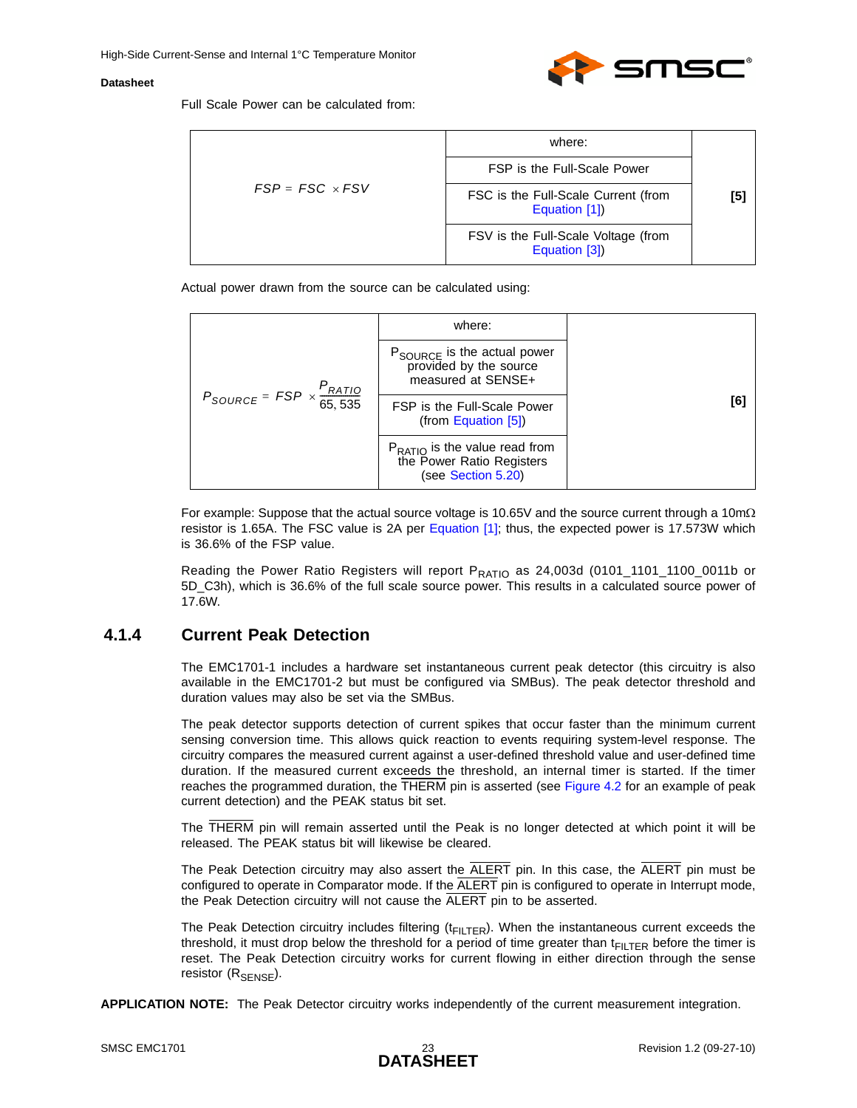<span id="page-22-1"></span>

Full Scale Power can be calculated from:

|                        | where:                                               |     |
|------------------------|------------------------------------------------------|-----|
|                        | FSP is the Full-Scale Power                          | [5] |
| $FSP = FSC \times FSV$ | FSC is the Full-Scale Current (from<br>Equation [1]) |     |
|                        | FSV is the Full-Scale Voltage (from<br>Equation [3]) |     |

Actual power drawn from the source can be calculated using:

|                                                                  | where:                                                                                  |     |
|------------------------------------------------------------------|-----------------------------------------------------------------------------------------|-----|
|                                                                  | P <sub>SOURCE</sub> is the actual power<br>provided by the source<br>measured at SENSE+ |     |
| $P_{\text{SOURCE}} = FSP \times \frac{P_{\text{RATIO}}}{65,535}$ | FSP is the Full-Scale Power<br>(from Equation $[5]$ )                                   | [6] |
|                                                                  | $P_{RATIO}$ is the value read from<br>the Power Ratio Registers<br>(see Section 5.20)   |     |

For example: Suppose that the actual source voltage is 10.65V and the source current through a 10mΩ resistor is 1.65A. The FSC value is 2A per [Equation \[1\];](#page-20-2) thus, the expected power is 17.573W which is 36.6% of the FSP value.

Reading the Power Ratio Registers will report P<sub>RATIO</sub> as 24,003d (0101\_1101\_1100\_0011b or 5D\_C3h), which is 36.6% of the full scale source power. This results in a calculated source power of 17.6W.

### <span id="page-22-0"></span>**4.1.4 Current Peak Detection**

The EMC1701-1 includes a hardware set instantaneous current peak detector (this circuitry is also available in the EMC1701-2 but must be configured via SMBus). The peak detector threshold and duration values may also be set via the SMBus.

The peak detector supports detection of current spikes that occur faster than the minimum current sensing conversion time. This allows quick reaction to events requiring system-level response. The circuitry compares the measured current against a user-defined threshold value and user-defined time duration. If the measured current exceeds the threshold, an internal timer is started. If the timer reaches the programmed duration, the THERM pin is asserted (see [Figure 4.2](#page-23-0) for an example of peak current detection) and the PEAK status bit set.

The THERM pin will remain asserted until the Peak is no longer detected at which point it will be released. The PEAK status bit will likewise be cleared.

The Peak Detection circuitry may also assert the ALERT pin. In this case, the ALERT pin must be configured to operate in Comparator mode. If the ALERT pin is configured to operate in Interrupt mode, the Peak Detection circuitry will not cause the ALERT pin to be asserted.

The Peak Detection circuitry includes filtering  $(t_{F|LTER})$ . When the instantaneous current exceeds the threshold, it must drop below the threshold for a period of time greater than  $t_{FILTER}$  before the timer is reset. The Peak Detection circuitry works for current flowing in either direction through the sense resistor  $(R_{\text{SFNSF}})$ .

**APPLICATION NOTE:** The Peak Detector circuitry works independently of the current measurement integration.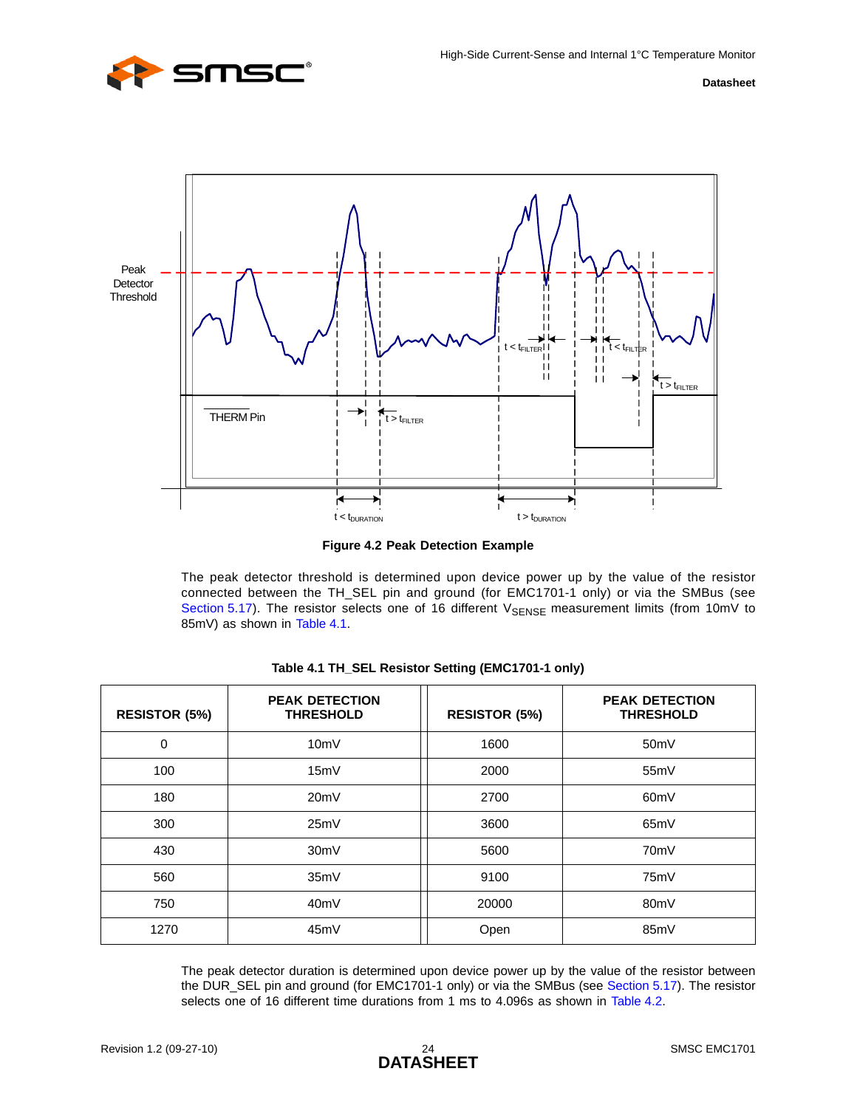



**Figure 4.2 Peak Detection Example**

<span id="page-23-0"></span>The peak detector threshold is determined upon device power up by the value of the resistor connected between the TH\_SEL pin and ground (for EMC1701-1 only) or via the SMBus (see [Section 5.17\)](#page-39-4). The resistor selects one of 16 different  $V_{\text{SENSE}}$  measurement limits (from 10mV to 85mV) as shown in [Table 4.1.](#page-23-1)

<span id="page-23-1"></span>

| <b>RESISTOR (5%)</b> | <b>PEAK DETECTION</b><br><b>THRESHOLD</b> | <b>RESISTOR (5%)</b> | <b>PEAK DETECTION</b><br><b>THRESHOLD</b> |
|----------------------|-------------------------------------------|----------------------|-------------------------------------------|
| $\Omega$             | 10mV                                      | 1600                 | 50 <sub>m</sub> V                         |
| 100                  | 15mV                                      | 2000                 | 55mV                                      |
| 180                  | 20mV                                      | 2700                 | 60 <sub>m</sub> V                         |
| 300                  | 25mV                                      | 3600                 | 65mV                                      |
| 430                  | 30 <sub>m</sub> V                         | 5600                 | 70mV                                      |
| 560                  | 35mV                                      | 9100                 | 75mV                                      |
| 750                  | 40mV                                      | 20000                | 80 <sub>m</sub> V                         |
| 1270                 | 45mV                                      | Open                 | 85mV                                      |

|  | Table 4.1 TH_SEL Resistor Setting (EMC1701-1 only) |  |  |  |
|--|----------------------------------------------------|--|--|--|
|--|----------------------------------------------------|--|--|--|

The peak detector duration is determined upon device power up by the value of the resistor between the DUR\_SEL pin and ground (for EMC1701-1 only) or via the SMBus (see [Section 5.17](#page-39-4)). The resistor selects one of 16 different time durations from 1 ms to 4.096s as shown in [Table 4.2](#page-24-2).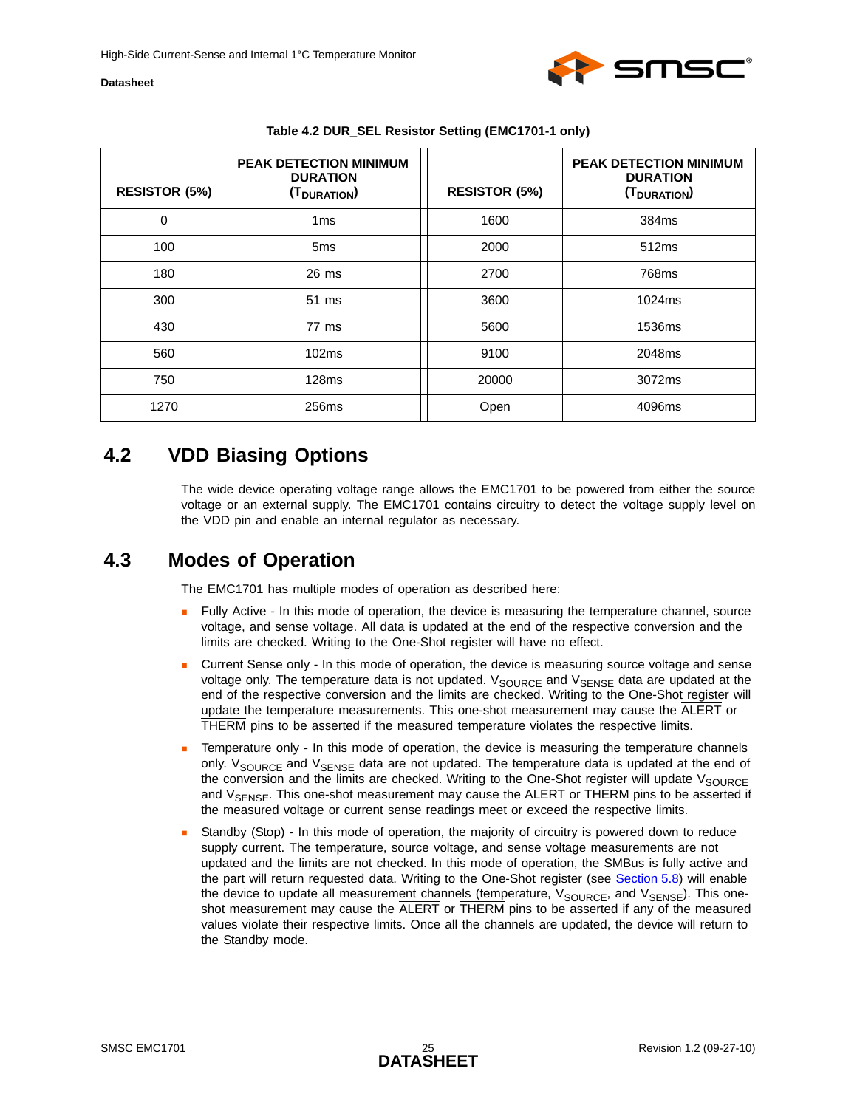

<span id="page-24-2"></span>

| <b>RESISTOR (5%)</b> | <b>PEAK DETECTION MINIMUM</b><br><b>DURATION</b><br>(T <sub>DURATION</sub> ) | <b>RESISTOR (5%)</b> | <b>PEAK DETECTION MINIMUM</b><br><b>DURATION</b><br>(T <sub>DURATION</sub> ) |
|----------------------|------------------------------------------------------------------------------|----------------------|------------------------------------------------------------------------------|
| 0                    | 1 <sub>ms</sub>                                                              | 1600                 | 384ms                                                                        |
| 100                  | 5 <sub>ms</sub>                                                              | 2000                 | 512 <sub>ms</sub>                                                            |
| 180                  | $26 \text{ ms}$                                                              | 2700                 | 768ms                                                                        |
| 300                  | 51 ms                                                                        | 3600                 | 1024ms                                                                       |
| 430                  | 77 ms                                                                        | 5600                 | 1536ms                                                                       |
| 560                  | 102ms                                                                        | 9100                 | 2048ms                                                                       |
| 750                  | 128ms                                                                        | 20000                | 3072ms                                                                       |
| 1270                 | 256ms                                                                        | Open                 | 4096ms                                                                       |

#### **Table 4.2 DUR\_SEL Resistor Setting (EMC1701-1 only)**

## <span id="page-24-0"></span>**4.2 VDD Biasing Options**

The wide device operating voltage range allows the EMC1701 to be powered from either the source voltage or an external supply. The EMC1701 contains circuitry to detect the voltage supply level on the VDD pin and enable an internal regulator as necessary.

### <span id="page-24-1"></span>**4.3 Modes of Operation**

The EMC1701 has multiple modes of operation as described here:

- Fully Active In this mode of operation, the device is measuring the temperature channel, source voltage, and sense voltage. All data is updated at the end of the respective conversion and the limits are checked. Writing to the One-Shot register will have no effect.
- Current Sense only In this mode of operation, the device is measuring source voltage and sense voltage only. The temperature data is not updated.  $V_{\text{SOURCE}}$  and  $V_{\text{SENSE}}$  data are updated at the end of the respective conversion and the limits are checked. Writing to the One-Shot register will update the temperature measurements. This one-shot measurement may cause the ALERT or THERM pins to be asserted if the measured temperature violates the respective limits.
- Temperature only In this mode of operation, the device is measuring the temperature channels only.  $V_{SOLIRCF}$  and  $V_{SENSE}$  data are not updated. The temperature data is updated at the end of the conversion and the limits are checked. Writing to the One-Shot register will update  $V_{\text{SOLRCE}}$ and  $V_{\text{SENSF}}$ . This one-shot measurement may cause the  $\overline{\text{ALERT}}$  or THERM pins to be asserted if the measured voltage or current sense readings meet or exceed the respective limits.
- Standby (Stop) In this mode of operation, the majority of circuitry is powered down to reduce supply current. The temperature, source voltage, and sense voltage measurements are not updated and the limits are not checked. In this mode of operation, the SMBus is fully active and the part will return requested data. Writing to the One-Shot register (see [Section 5.8](#page-33-6)) will enable the device to update all measurement channels (temperature,  $V_{\text{SOLRCE}}$ , and  $V_{\text{SENSE}}$ ). This oneshot measurement may cause the ALERT or THERM pins to be asserted if any of the measured values violate their respective limits. Once all the channels are updated, the device will return to the Standby mode.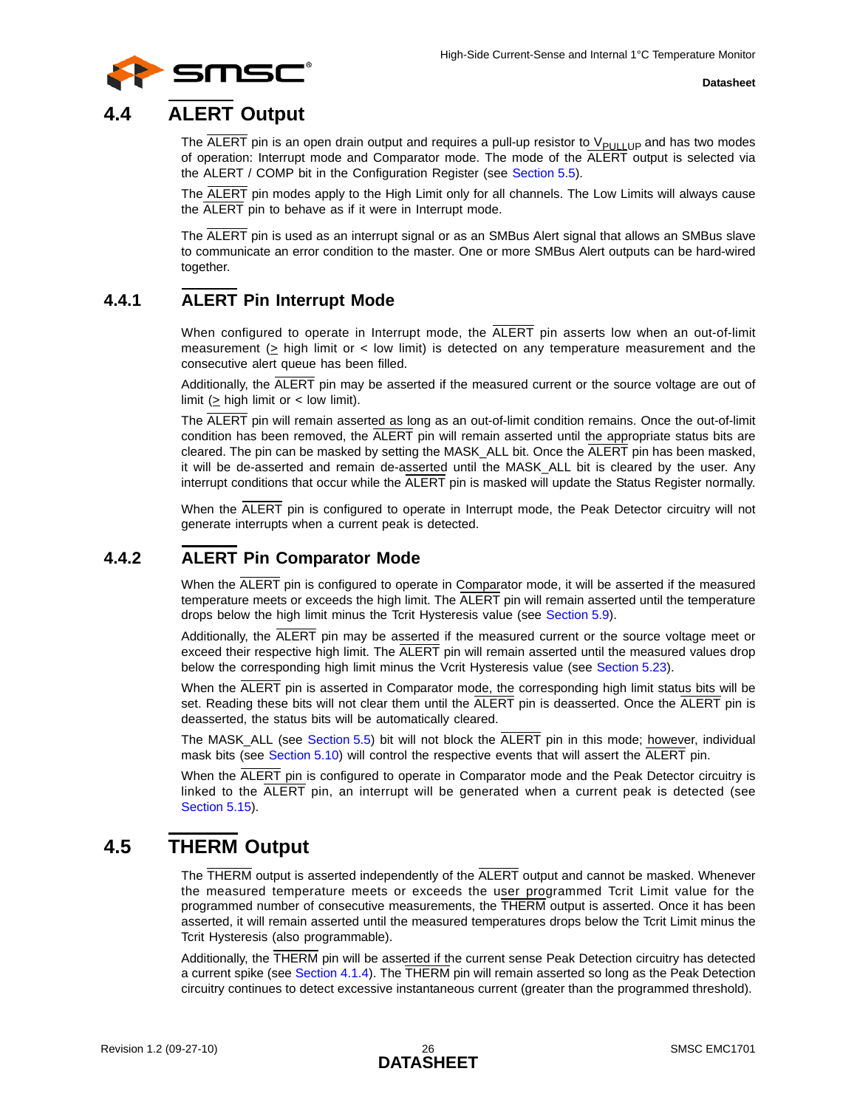

## <span id="page-25-0"></span>**4.4 ALERT Output**

The  $\overline{ALERT}$  pin is an open drain output and requires a pull-up resistor to  $V_{\text{PULLUP}}$  and has two modes of operation: Interrupt mode and Comparator mode. The mode of the ALERT output is selected via the ALERT / COMP bit in the Configuration Register (see [Section 5.5](#page-31-2)).

The ALERT pin modes apply to the High Limit only for all channels. The Low Limits will always cause the ALERT pin to behave as if it were in Interrupt mode.

The ALERT pin is used as an interrupt signal or as an SMBus Alert signal that allows an SMBus slave to communicate an error condition to the master. One or more SMBus Alert outputs can be hard-wired together.

### <span id="page-25-1"></span>**4.4.1 ALERT Pin Interrupt Mode**

<span id="page-25-4"></span>When configured to operate in Interrupt mode, the ALERT pin asserts low when an out-of-limit measurement ( $>$  high limit or  $<$  low limit) is detected on any temperature measurement and the consecutive alert queue has been filled.

Additionally, the ALERT pin may be asserted if the measured current or the source voltage are out of limit ( $\geq$  high limit or < low limit).

The ALERT pin will remain asserted as long as an out-of-limit condition remains. Once the out-of-limit condition has been removed, the ALERT pin will remain asserted until the appropriate status bits are cleared. The pin can be masked by setting the MASK\_ALL bit. Once the ALERT pin has been masked, it will be de-asserted and remain de-asserted until the MASK\_ALL bit is cleared by the user. Any interrupt conditions that occur while the ALERT pin is masked will update the Status Register normally.

<span id="page-25-5"></span>When the ALERT pin is configured to operate in Interrupt mode, the Peak Detector circuitry will not generate interrupts when a current peak is detected.

### <span id="page-25-2"></span>**4.4.2 ALERT Pin Comparator Mode**

When the ALERT pin is configured to operate in Comparator mode, it will be asserted if the measured temperature meets or exceeds the high limit. The ALERT pin will remain asserted until the temperature drops below the high limit minus the Tcrit Hysteresis value (see [Section 5.9](#page-33-7)).

Additionally, the ALERT pin may be asserted if the measured current or the source voltage meet or exceed their respective high limit. The ALERT pin will remain asserted until the measured values drop below the corresponding high limit minus the Vcrit Hysteresis value (see [Section 5.23\)](#page-43-7).

When the ALERT pin is asserted in Comparator mode, the corresponding high limit status bits will be set. Reading these bits will not clear them until the ALERT pin is deasserted. Once the ALERT pin is deasserted, the status bits will be automatically cleared.

The MASK\_ALL (see [Section 5.5\)](#page-31-2) bit will not block the ALERT pin in this mode; however, individual mask bits (see [Section 5.10](#page-33-8)) will control the respective events that will assert the ALERT pin.

When the ALERT pin is configured to operate in Comparator mode and the Peak Detector circuitry is linked to the ALERT pin, an interrupt will be generated when a current peak is detected (see [Section 5.15\)](#page-36-4).

## <span id="page-25-3"></span>**4.5 THERM Output**

The THERM output is asserted independently of the ALERT output and cannot be masked. Whenever the measured temperature meets or exceeds the user programmed Tcrit Limit value for the programmed number of consecutive measurements, the THERM output is asserted. Once it has been asserted, it will remain asserted until the measured temperatures drops below the Tcrit Limit minus the Tcrit Hysteresis (also programmable).

Additionally, the THERM pin will be asserted if the current sense Peak Detection circuitry has detected a current spike (see [Section 4.1.4\)](#page-22-0). The THERM pin will remain asserted so long as the Peak Detection circuitry continues to detect excessive instantaneous current (greater than the programmed threshold).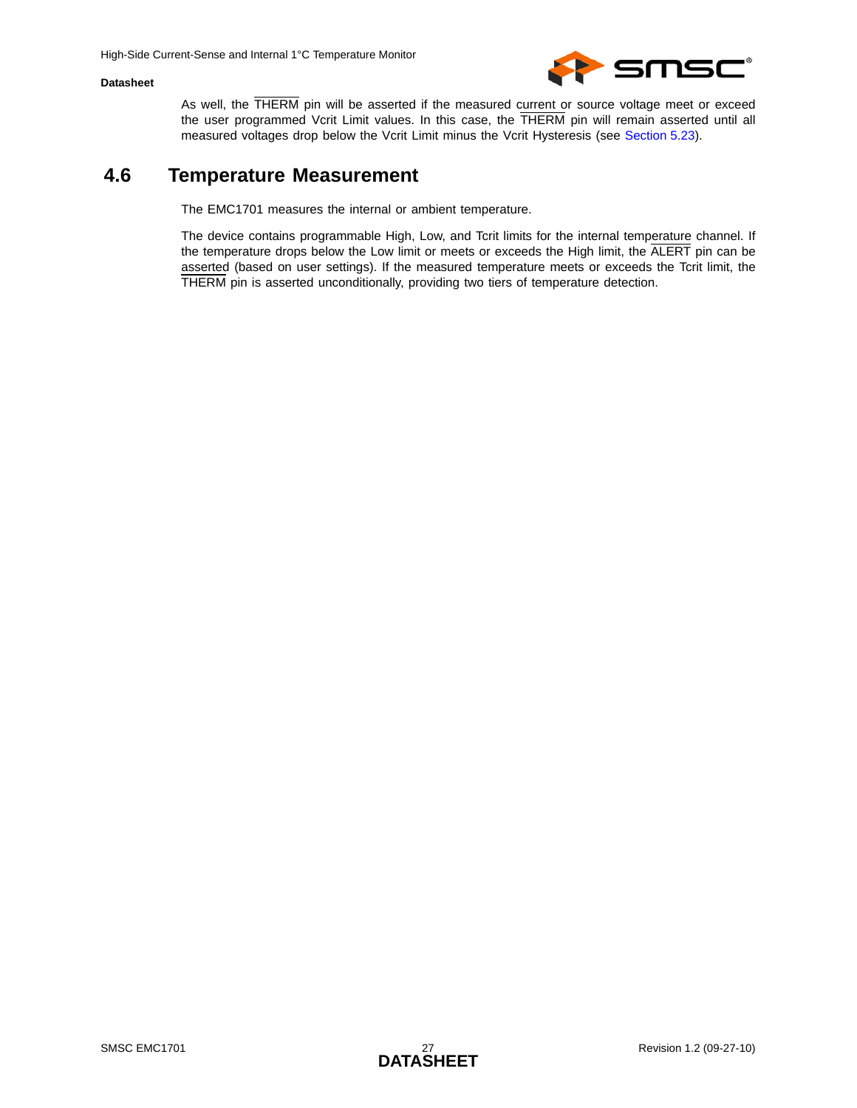

As well, the THERM pin will be asserted if the measured current or source voltage meet or exceed the user programmed Vcrit Limit values. In this case, the THERM pin will remain asserted until all measured voltages drop below the Vcrit Limit minus the Vcrit Hysteresis (see [Section 5.23\)](#page-43-7).

### <span id="page-26-0"></span>**4.6 Temperature Measurement**

The EMC1701 measures the internal or ambient temperature.

The device contains programmable High, Low, and Tcrit limits for the internal temperature channel. If the temperature drops below the Low limit or meets or exceeds the High limit, the ALERT pin can be asserted (based on user settings). If the measured temperature meets or exceeds the Tcrit limit, the THERM pin is asserted unconditionally, providing two tiers of temperature detection.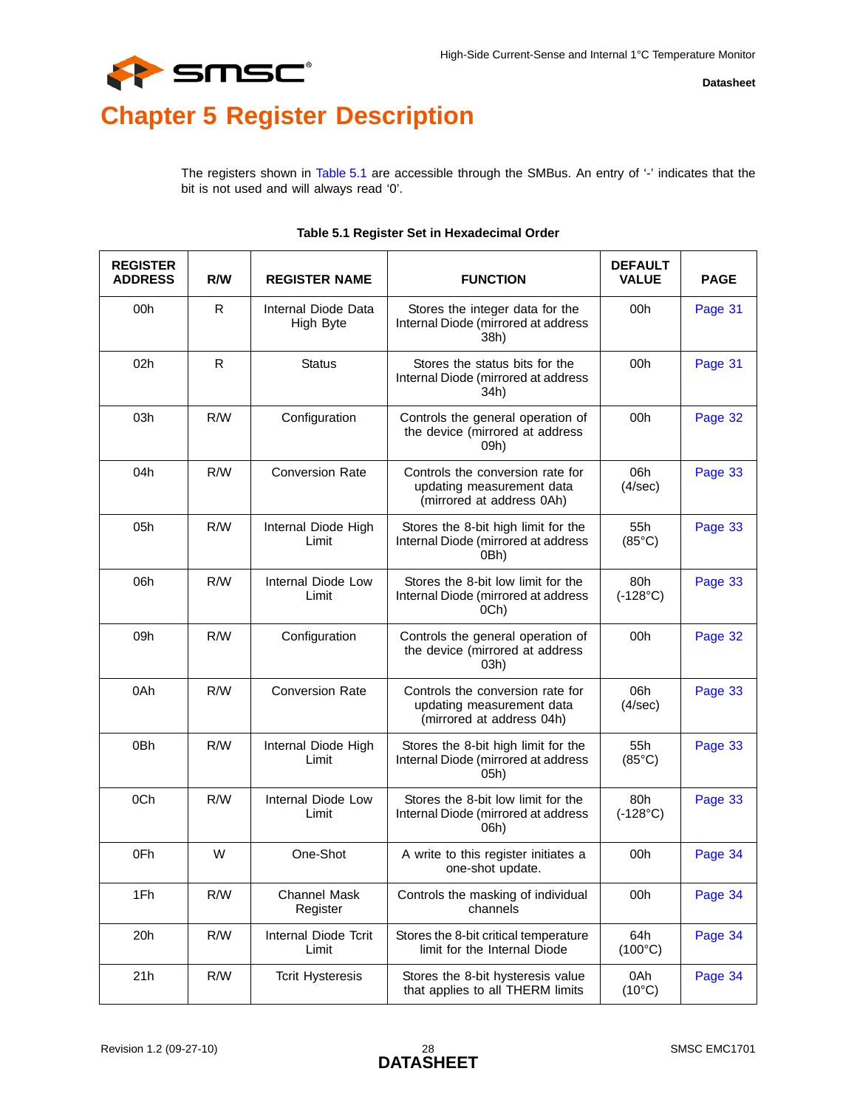

# <span id="page-27-0"></span>**Chapter 5 Register Description**

The registers shown in [Table 5.1](#page-27-1) are accessible through the SMBus. An entry of '-' indicates that the bit is not used and will always read '0'.

<span id="page-27-1"></span>

| <b>REGISTER</b><br><b>ADDRESS</b> | R/W | <b>REGISTER NAME</b>             | <b>FUNCTION</b>                                                                            | <b>DEFAULT</b><br><b>VALUE</b> | <b>PAGE</b> |
|-----------------------------------|-----|----------------------------------|--------------------------------------------------------------------------------------------|--------------------------------|-------------|
| 00h                               | R.  | Internal Diode Data<br>High Byte | Stores the integer data for the<br>Internal Diode (mirrored at address<br>38h)             | 00h                            | Page 31     |
| 02h                               | R.  | <b>Status</b>                    | Stores the status bits for the<br>Internal Diode (mirrored at address<br>34h)              | 00h                            | Page 31     |
| 03h                               | R/W | Configuration                    | Controls the general operation of<br>the device (mirrored at address<br>09h)               | 00h                            | Page 32     |
| 04h                               | R/W | <b>Conversion Rate</b>           | Controls the conversion rate for<br>updating measurement data<br>(mirrored at address 0Ah) | 06h<br>(4/sec)                 | Page 33     |
| 05h                               | R/W | Internal Diode High<br>Limit     | Stores the 8-bit high limit for the<br>Internal Diode (mirrored at address<br>0Bh)         | 55h<br>$(85^{\circ}C)$         | Page 33     |
| 06h                               | R/W | Internal Diode Low<br>Limit      | Stores the 8-bit low limit for the<br>Internal Diode (mirrored at address<br>0Ch)          | 80h<br>$(-128^{\circ}C)$       | Page 33     |
| 09h                               | R/W | Configuration                    | Controls the general operation of<br>the device (mirrored at address<br>03h)               | 00h                            | Page 32     |
| 0Ah                               | R/W | <b>Conversion Rate</b>           | Controls the conversion rate for<br>updating measurement data<br>(mirrored at address 04h) | 06h<br>(4/sec)                 | Page 33     |
| 0Bh                               | R/W | Internal Diode High<br>Limit     | Stores the 8-bit high limit for the<br>Internal Diode (mirrored at address<br>05h)         | 55h<br>$(85^{\circ}C)$         | Page 33     |
| 0Ch                               | R/W | Internal Diode Low<br>Limit      | Stores the 8-bit low limit for the<br>Internal Diode (mirrored at address<br>06h)          | 80h<br>$(-128^{\circ}C)$       | Page 33     |
| 0Fh                               | W   | One-Shot                         | A write to this register initiates a<br>one-shot update.                                   | 00h                            | Page 34     |
| 1Fh                               | R/W | <b>Channel Mask</b><br>Register  | Controls the masking of individual<br>channels                                             | 00h                            | Page 34     |
| 20h                               | R/W | Internal Diode Tcrit<br>Limit    | Stores the 8-bit critical temperature<br>limit for the Internal Diode                      | 64h<br>$(100^{\circ}C)$        | Page 34     |
| 21h                               | R/W | <b>Tcrit Hysteresis</b>          | Stores the 8-bit hysteresis value<br>that applies to all THERM limits                      | 0Ah<br>$(10^{\circ}C)$         | Page 34     |

#### **Table 5.1 Register Set in Hexadecimal Order**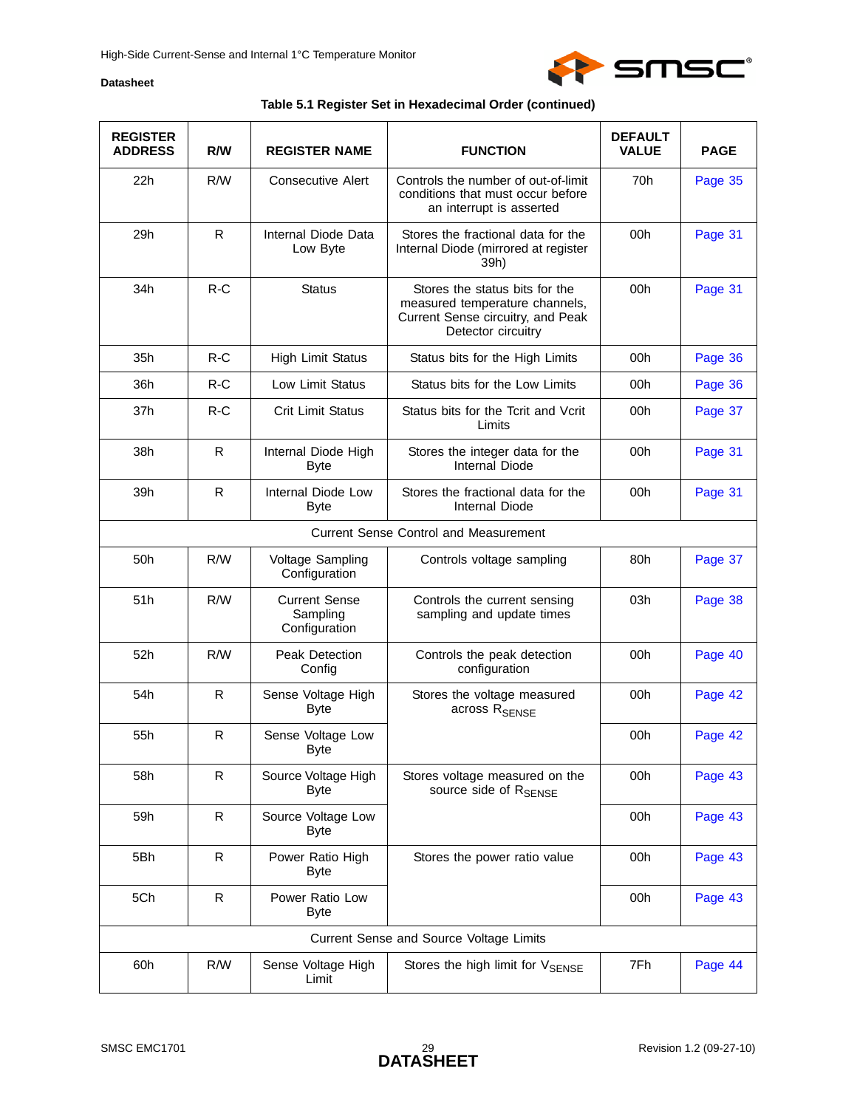

| <b>REGISTER</b><br><b>ADDRESS</b> | R/W          | <b>REGISTER NAME</b>                              | <b>FUNCTION</b>                                                                                                             | <b>DEFAULT</b><br><b>VALUE</b> | <b>PAGE</b> |
|-----------------------------------|--------------|---------------------------------------------------|-----------------------------------------------------------------------------------------------------------------------------|--------------------------------|-------------|
| 22h                               | R/W          | <b>Consecutive Alert</b>                          | Controls the number of out-of-limit<br>conditions that must occur before<br>an interrupt is asserted                        | 70h                            | Page 35     |
| 29h                               | $\mathsf{R}$ | Internal Diode Data<br>Low Byte                   | Stores the fractional data for the<br>Internal Diode (mirrored at register<br>39h)                                          | 00h                            | Page 31     |
| 34h                               | $R-C$        | <b>Status</b>                                     | Stores the status bits for the<br>measured temperature channels,<br>Current Sense circuitry, and Peak<br>Detector circuitry | 00h                            | Page 31     |
| 35h                               | $R-C$        | <b>High Limit Status</b>                          | Status bits for the High Limits                                                                                             | 00h                            | Page 36     |
| 36h                               | $R-C$        | Low Limit Status                                  | Status bits for the Low Limits                                                                                              | 00h                            | Page 36     |
| 37h                               | $R-C$        | Crit Limit Status                                 | Status bits for the Tcrit and Vcrit<br>Limits                                                                               | 00h                            | Page 37     |
| 38h                               | R            | Internal Diode High<br><b>Byte</b>                | Stores the integer data for the<br>Internal Diode                                                                           | 00h                            | Page 31     |
| 39h                               | $\mathsf{R}$ | Internal Diode Low<br><b>Byte</b>                 | Stores the fractional data for the<br>Internal Diode                                                                        | 00h                            | Page 31     |
|                                   |              |                                                   | <b>Current Sense Control and Measurement</b>                                                                                |                                |             |
| 50h                               | R/W          | Voltage Sampling<br>Configuration                 | Controls voltage sampling                                                                                                   | 80h                            | Page 37     |
| 51h                               | R/W          | <b>Current Sense</b><br>Sampling<br>Configuration | Controls the current sensing<br>sampling and update times                                                                   | 03h                            | Page 38     |
| 52h                               | R/W          | Peak Detection<br>Config                          | Controls the peak detection<br>configuration                                                                                | 00h                            | Page 40     |
| 54h                               | ${\sf R}$    | Sense Voltage High<br><b>Byte</b>                 | Stores the voltage measured<br>across R <sub>SENSE</sub>                                                                    | 00h                            | Page 42     |
| 55h                               | $\mathsf{R}$ | Sense Voltage Low<br>Byte                         |                                                                                                                             | 00h                            | Page 42     |
| 58h                               | R            | Source Voltage High<br><b>Byte</b>                | Stores voltage measured on the<br>source side of R <sub>SENSE</sub>                                                         | 00h                            | Page 43     |
| 59h                               | $\mathsf{R}$ | Source Voltage Low<br>Byte                        |                                                                                                                             | 00h                            | Page 43     |
| 5Bh                               | $\mathsf{R}$ | Power Ratio High<br><b>Byte</b>                   | Stores the power ratio value                                                                                                | 00h                            | Page 43     |
| 5Ch                               | $\mathsf{R}$ | Power Ratio Low<br><b>Byte</b>                    |                                                                                                                             | 00h                            | Page 43     |
|                                   |              |                                                   | Current Sense and Source Voltage Limits                                                                                     |                                |             |
| 60h                               | R/W          | Sense Voltage High<br>Limit                       | Stores the high limit for VSENSE                                                                                            | 7Fh                            | Page 44     |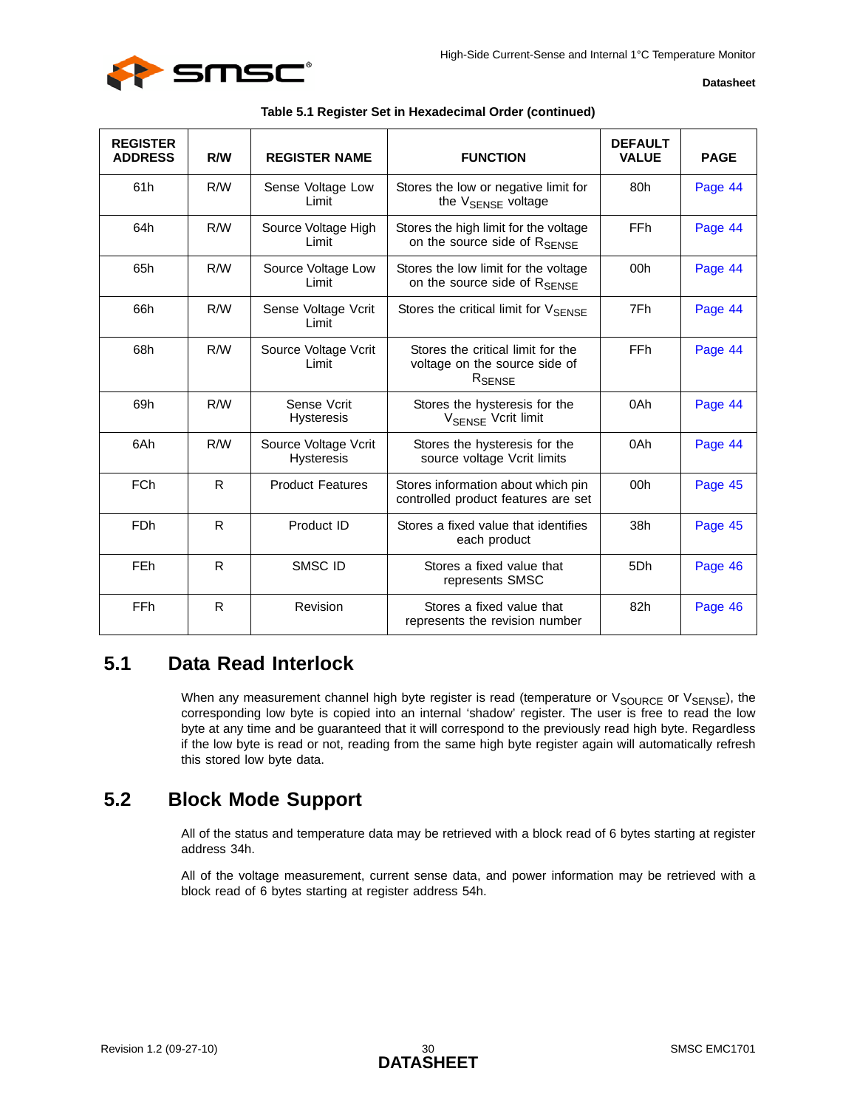

| <b>REGISTER</b><br><b>ADDRESS</b> | R/W          | <b>REGISTER NAME</b>                      | <b>FUNCTION</b>                                                                          | <b>DEFAULT</b><br><b>VALUE</b> | <b>PAGE</b> |
|-----------------------------------|--------------|-------------------------------------------|------------------------------------------------------------------------------------------|--------------------------------|-------------|
| 61h                               | R/W          | Sense Voltage Low<br>Limit                | Stores the low or negative limit for<br>the V <sub>SFNSF</sub> voltage                   | 80h                            | Page 44     |
| 64h                               | R/W          | Source Voltage High<br>Limit              | Stores the high limit for the voltage<br>on the source side of RSENSE                    | <b>FFh</b>                     | Page 44     |
| 65h                               | R/W          | Source Voltage Low<br>Limit               | Stores the low limit for the voltage<br>on the source side of RSENSE                     | 00h                            | Page 44     |
| 66h                               | R/W          | Sense Voltage Vcrit<br>Limit              | Stores the critical limit for $V_{\text{SFNSF}}$                                         | 7Fh                            | Page 44     |
| 68h                               | R/W          | Source Voltage Vcrit<br>Limit             | Stores the critical limit for the<br>voltage on the source side of<br>R <sub>SENSE</sub> | FFh                            | Page 44     |
| 69h                               | R/W          | Sense Vcrit<br><b>Hysteresis</b>          | Stores the hysteresis for the<br>V <sub>SENSE</sub> Vcrit limit                          | 0Ah                            | Page 44     |
| 6Ah                               | R/W          | Source Voltage Vcrit<br><b>Hysteresis</b> | Stores the hysteresis for the<br>source voltage Vcrit limits                             | 0Ah                            | Page 44     |
| <b>FCh</b>                        | R            | <b>Product Features</b>                   | Stores information about which pin<br>controlled product features are set                | 00h                            | Page 45     |
| FDh                               | R            | Product ID                                | Stores a fixed value that identifies<br>each product                                     | 38h                            | Page 45     |
| FEh                               | $\mathsf{R}$ | SMSC ID                                   | Stores a fixed value that<br>represents SMSC                                             | 5Dh                            | Page 46     |
| FFh                               | R            | Revision                                  | Stores a fixed value that<br>represents the revision number                              | 82h                            | Page 46     |

|  | Table 5.1 Register Set in Hexadecimal Order (continued) |  |
|--|---------------------------------------------------------|--|
|  |                                                         |  |

## <span id="page-29-0"></span>**5.1 Data Read Interlock**

When any measurement channel high byte register is read (temperature or  $V_{\text{SOURCE}}$  or  $V_{\text{SENSE}}$ [\), th](#page-33-1)e corresponding low byte is copied into an internal 'shadow' register. The user is free to read the low byte at any time and be guaranteed that it will correspond to the previously read high byte. Regardless if the low byte is read or not, reading from the same high byte register again will automatically refresh this stored low byte data.

## <span id="page-29-1"></span>**5.2 Block Mode Support**

All of the status and temperature data may be retrieved with a block read of 6 bytes starting at register address 34h.

All of the voltage measurement, current sense data, and power information may be retrieved with a block read of 6 bytes starting at register address 54h.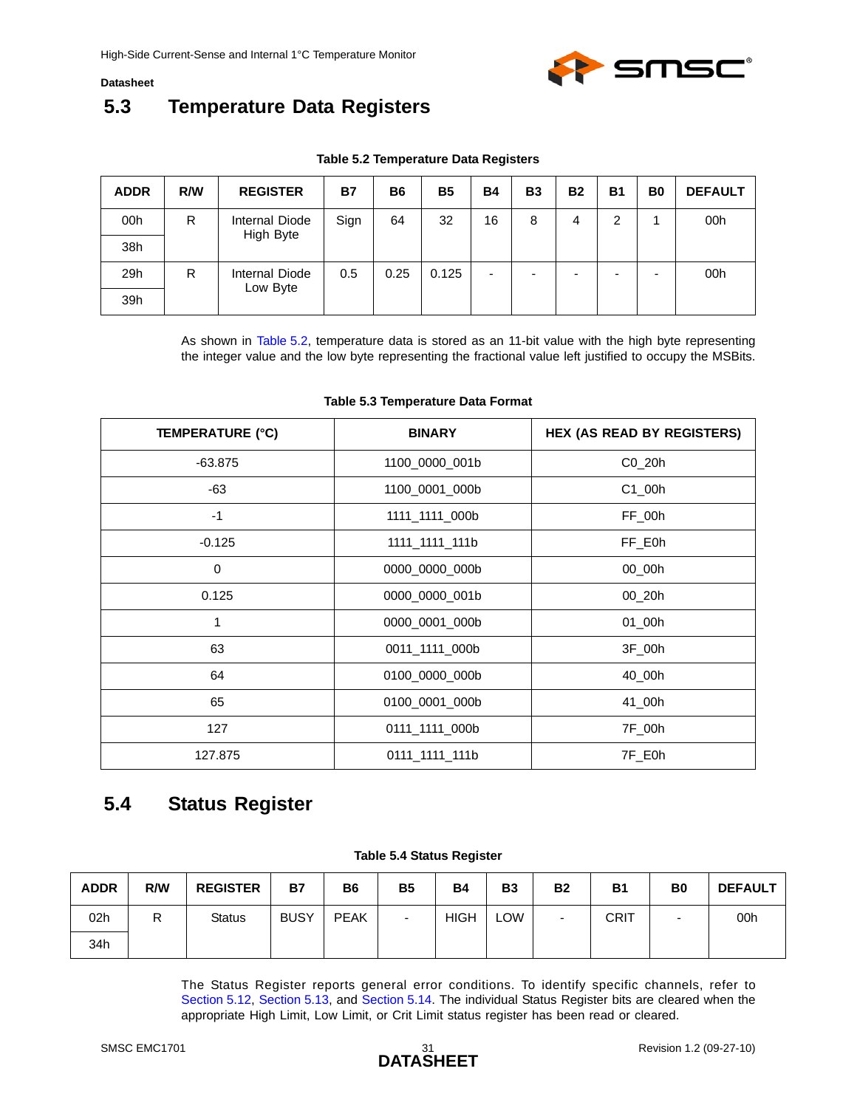

## <span id="page-30-0"></span>**5.3 Temperature Data Registers**

| Table 5.2 Temperature Data Registers |  |
|--------------------------------------|--|
|--------------------------------------|--|

<span id="page-30-2"></span>

| <b>ADDR</b> | R/W | <b>REGISTER</b> | <b>B7</b> | <b>B6</b> | <b>B5</b> | <b>B4</b> | <b>B3</b> | <b>B2</b> | <b>B1</b> | B <sub>0</sub> | <b>DEFAULT</b> |
|-------------|-----|-----------------|-----------|-----------|-----------|-----------|-----------|-----------|-----------|----------------|----------------|
| 00h         | R   | Internal Diode  | Sign      | 64        | 32        | 16        | 8         | 4         | 2         |                | 00h            |
| 38h         |     | High Byte       |           |           |           |           |           |           |           |                |                |
| 29h         | R   | Internal Diode  | 0.5       | 0.25      | 0.125     | ۰         | -         |           |           | -              | 00h            |
| 39h         |     | Low Byte        |           |           |           |           |           |           |           |                |                |

As shown in [Table 5.2,](#page-30-2) temperature data is stored as an 11-bit value with the high byte r[epresentin](#page-30-0)g the integer value and the low byte representing the fractional value left justified to occupy the MSBits.

<span id="page-30-3"></span>

| <b>TEMPERATURE (°C)</b> | <b>BINARY</b>  | <b>HEX (AS READ BY REGISTERS)</b> |
|-------------------------|----------------|-----------------------------------|
| $-63.875$               | 1100 0000 001b | $CO_20h$                          |
| -63                     | 1100_0001_000b | $C1$ _00h                         |
| $-1$                    | 1111 1111 000b | FF_00h                            |
| $-0.125$                | 1111_1111_111b | FF_E0h                            |
| 0                       | 0000_0000_000b | 00_00h                            |
| 0.125                   | 0000_0000_001b | $00_2$ 20h                        |
| 1                       | 0000_0001_000b | 01_00h                            |
| 63                      | 0011_1111_000b | 3F_00h                            |
| 64                      | 0100_0000_000b | 40_00h                            |
| 65                      | 0100_0001_000b | 41_00h                            |
| 127                     | 0111_1111_000b | 7F_00h                            |
| 127.875                 | 0111 1111 111b | 7F_E0h                            |

#### **Table 5.3 Temperature Data Format**

## <span id="page-30-1"></span>**5.4 Status Register**

|  |  |  | <b>Table 5.4 Status Register</b> |
|--|--|--|----------------------------------|
|--|--|--|----------------------------------|

<span id="page-30-4"></span>

| <b>ADDR</b>     | R/W     | <b>REGISTER</b> | <b>B7</b>   | <b>B6</b>   | <b>B5</b> | <b>B4</b>   | <b>B3</b>  | <b>B2</b>                | <b>B1</b>   | B <sub>0</sub>           | <b>DEFAULT</b> |
|-----------------|---------|-----------------|-------------|-------------|-----------|-------------|------------|--------------------------|-------------|--------------------------|----------------|
| 02 <sub>h</sub> | רו<br>ĸ | <b>Status</b>   | <b>BUSY</b> | <b>PEAK</b> | $\sim$    | <b>HIGH</b> | <b>LOW</b> | $\overline{\phantom{0}}$ | <b>CRIT</b> | $\overline{\phantom{a}}$ | 00h            |
| 34h             |         |                 |             |             |           |             |            |                          |             |                          |                |

The Status Register reports general error conditions. To identify specific channels, refer to [Section 5.12,](#page-35-0) [Section 5.13](#page-35-1), and [Section 5.14.](#page-36-0) The individual Status Register bits are cleared when the appropriate High Limit, Low Limit, or Crit Limit status register has been read or cleared.

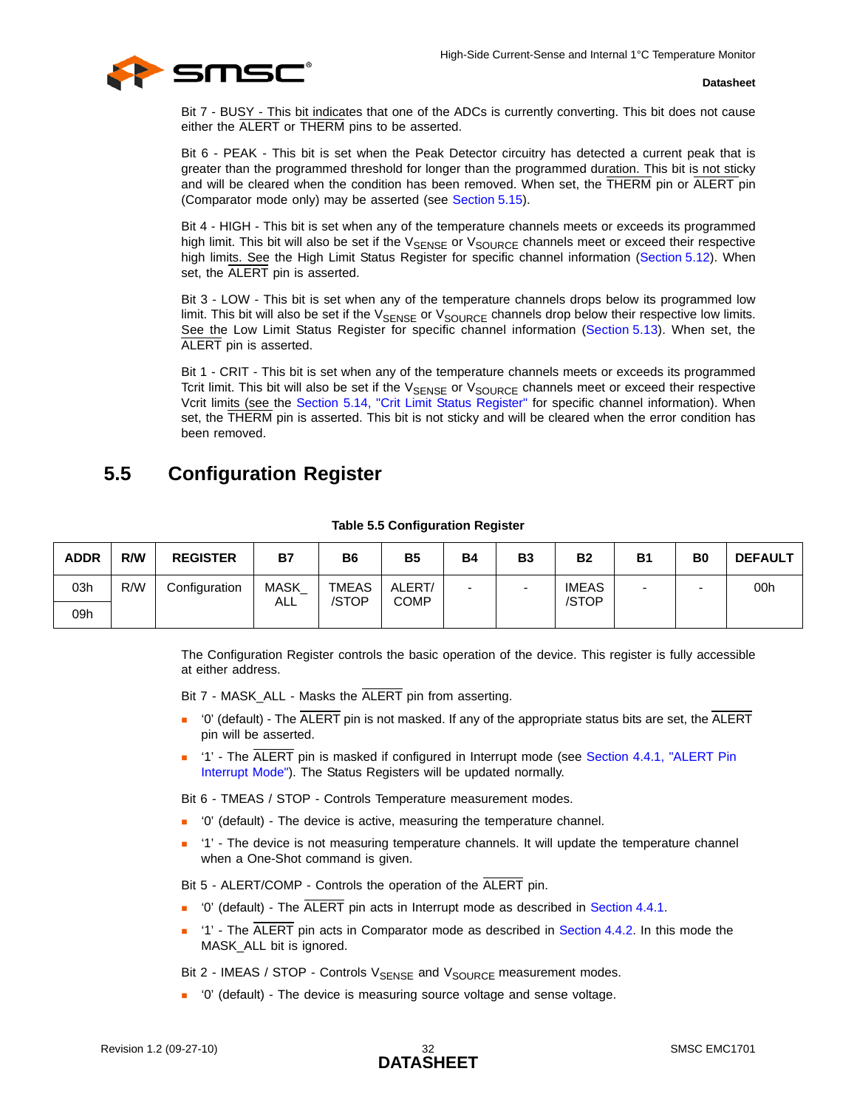

Bit 7 - BUSY - This bit indicates that one of the ADCs is currently converting. This bit does not cause either the ALERT or THERM pins to be asserted.

Bit 6 - PEAK - This bit is set when the Peak Detector circuitry has detected a current peak that is greater than the programmed threshold for longer than the programmed duration. This bit is not sticky and will be cleared when the condition has been removed. When set, the THERM pin or ALERT pin (Comparator mode only) may be asserted (see [Section 5.15\)](#page-36-1).

Bit 4 - HIGH - This bit is set when any of the temperature channels meets or exceeds its programmed high limit. This bit will also be set if the V<sub>SENSE</sub> or V<sub>SOURCE</sub> channels meet or exceed their respective high limits. See the High Limit Status Register for specific channel information [\(Section 5.12](#page-35-0)). When set, the ALERT pin is asserted.

Bit 3 - LOW - This bit is set when any of the temperature channels drops below its programmed low limit. This bit will also be set if the  $V_{\text{SENSE}}$  or  $V_{\text{SOURCE}}$  channels drop below their respective low limits. See the Low Limit Status Register for specific channel information ([Section 5.13](#page-35-1)). When set, the ALERT pin is asserted.

Bit 1 - CRIT - This bit is set when any of the temperature channels meets or exceeds its programmed Tcrit limit. This bit will also be set if the V<sub>SENSE</sub> or V<sub>SOURCE</sub> channels meet or exceed their respective Vcrit limits (see the [Section 5.14, "Crit Limit Status Register"](#page-36-0) for specific channel information). When set, the THERM pin is asserted. This bit is not sticky and will be cleared when the error condition has been removed.

## <span id="page-31-2"></span><span id="page-31-0"></span>**5.5 Configuration Register**

<span id="page-31-1"></span>

| <b>ADDR</b> | R/W | <b>REGISTER</b> | <b>B7</b>          | <b>B6</b>             | <b>B5</b>      | <b>B4</b> | <b>B3</b>                | <b>B2</b>      | <b>B1</b> | B <sub>0</sub> | <b>DEFAULT</b> |
|-------------|-----|-----------------|--------------------|-----------------------|----------------|-----------|--------------------------|----------------|-----------|----------------|----------------|
| 03h         | R/W | Configuration   | <b>MASK</b><br>ALL | <b>TMEAS</b><br>/STOP | ALERT/<br>COMP |           | $\overline{\phantom{0}}$ | IMEAS<br>/STOP | -         |                | 00h            |
| 09h         |     |                 |                    |                       |                |           |                          |                |           |                |                |

#### **Table 5.5 Configuration Register**

The Configuration Register controls the basic operation of the device. This register is fully accessible at either address.

Bit 7 - MASK\_ALL - Masks the ALERT pin from asserting.

- $\blacksquare$  '0' (default) The ALERT pin is not masked. If any of the appropriate status bits are set, the ALERT pin will be asserted.
- '1' The ALERT pin is masked if configured in Interrupt mode (see [Section 4.4.1, "ALERT Pin](#page-25-4)  [Interrupt Mode"](#page-25-4)). The Status Registers will be updated normally.

Bit 6 - TMEAS / STOP - Controls Temperature measurement modes.

- '0' (default) The device is active, measuring the temperature channel.
- <sup>1</sup> '1' The device is not measuring temperature channels. It will update the temperature channel when a One-Shot command is given.

Bit 5 - ALERT/COMP - Controls the operation of the ALERT pin.

- $\blacksquare$  '0' (default) The  $\overline{\text{ALERT}}$  pin acts in Interrupt mode as described in [Section 4.4.1.](#page-25-4)
- '1' The ALERT pin acts in Comparator mode as described in [Section 4.4.2](#page-25-5). In this mode the MASK\_ALL bit is ignored.

Bit 2 - IMEAS / STOP - Controls  $V_{\text{SENSE}}$  and  $V_{\text{SOURCE}}$  measurement modes.

'0' (default) - The device is measuring source voltage and sense voltage.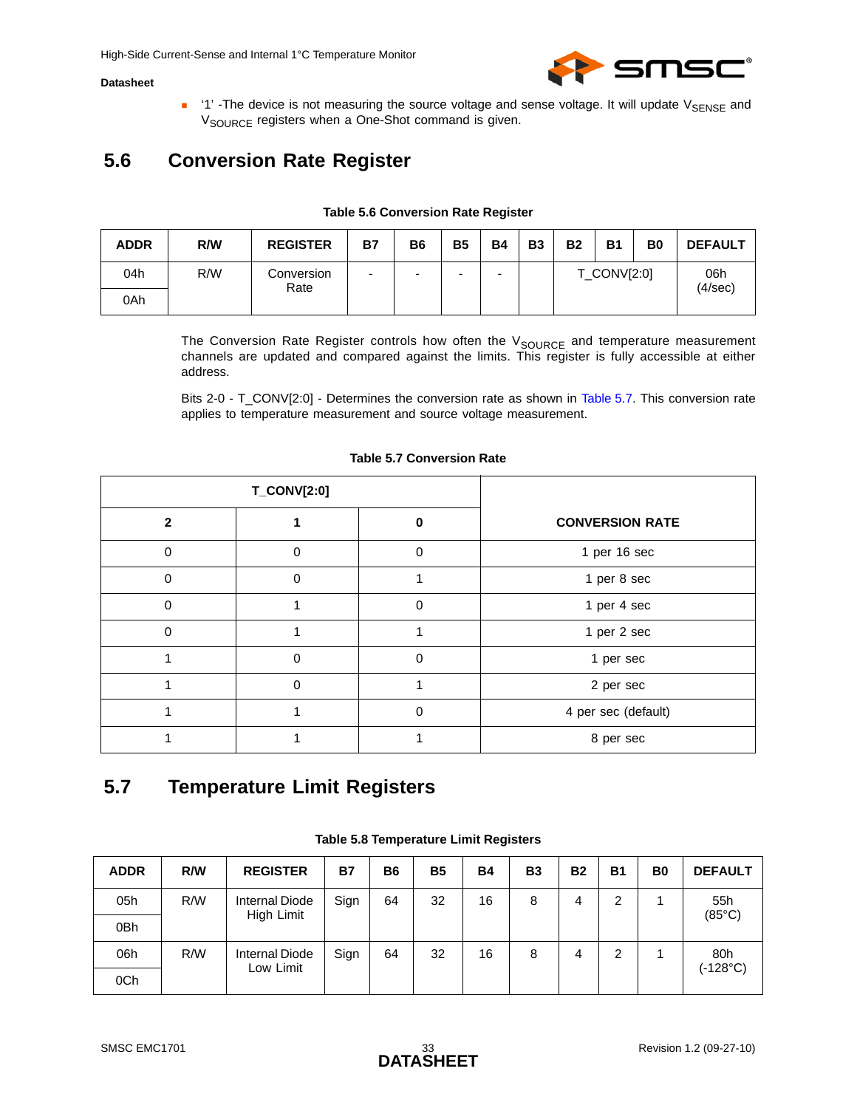

<span id="page-32-5"></span> $\blacksquare$  '1' -The device is not measuring the source voltage and sense voltage. It will update V<sub>SENSE</sub> and V<sub>SOURCE</sub> registers when a One-Shot command is given.

## <span id="page-32-0"></span>**5.6 Conversion Rate Register**

<span id="page-32-2"></span>

| <b>ADDR</b> | R/W | <b>REGISTER</b>    | <b>B7</b>                | <b>B6</b> | <b>B5</b> | <b>B4</b> | <b>B3</b> | <b>B2</b> | <b>B1</b>   | B <sub>0</sub> | <b>DEFAULT</b> |
|-------------|-----|--------------------|--------------------------|-----------|-----------|-----------|-----------|-----------|-------------|----------------|----------------|
| 04h         | R/W | Conversion<br>Rate | $\overline{\phantom{0}}$ | -         | -         | -         |           |           | T_CONV[2:0] |                | 06h<br>(4/sec) |
| 0Ah         |     |                    |                          |           |           |           |           |           |             |                |                |

#### **Table 5.6 Conversion Rate Register**

The Conversion Rate Register controls how often the  $V_{\text{SOURCE}}$  and temperature measurement channels are updated and compared against the limits. This register is fully accessible at either address.

Bits 2-0 - T\_CONV[2:0] - Determines the conversion rate as shown in [Table 5.7.](#page-32-3) This conversion rate applies to temperature measurement and source voltage measurement.

<span id="page-32-3"></span>

|              | <b>T_CONV[2:0]</b> |          |                        |
|--------------|--------------------|----------|------------------------|
| $\mathbf{2}$ |                    | ŋ        | <b>CONVERSION RATE</b> |
| $\Omega$     | 0                  | 0        | 1 per 16 sec           |
| $\mathbf{0}$ | 0                  |          | 1 per 8 sec            |
| $\mathbf{0}$ |                    | $\Omega$ | 1 per 4 sec            |
| $\Omega$     |                    |          | 1 per 2 sec            |
|              | $\Omega$           | $\Omega$ | 1 per sec              |
|              | $\Omega$           |          | 2 per sec              |
|              |                    | 0        | 4 per sec (default)    |
|              |                    |          | 8 per sec              |

#### **Table 5.7 Conversion Rate**

## <span id="page-32-1"></span>**5.7 Temperature Limit Registers**

<span id="page-32-4"></span>

| <b>ADDR</b> | R/W | <b>REGISTER</b>                     | <b>B7</b> | <b>B6</b> | <b>B5</b> | <b>B4</b> | <b>B3</b> | <b>B2</b> | <b>B1</b> | B <sub>0</sub> | <b>DEFAULT</b>         |
|-------------|-----|-------------------------------------|-----------|-----------|-----------|-----------|-----------|-----------|-----------|----------------|------------------------|
| 05h         | R/W | <b>Internal Diode</b><br>High Limit | Sign      | 64        | 32        | 16        | 8         | 4         | 2         |                | 55h<br>$(85^{\circ}C)$ |
| 0Bh         |     |                                     |           |           |           |           |           |           |           |                |                        |
| 06h         | R/W | <b>Internal Diode</b>               | Sign      | 64        | 32        | 16        | 8         | 4         | 2         |                | 80h                    |
| 0Ch         |     | Low Limit                           |           |           |           |           |           |           |           |                | (-128°C)               |

**Table 5.8 Temperature Limit Registers**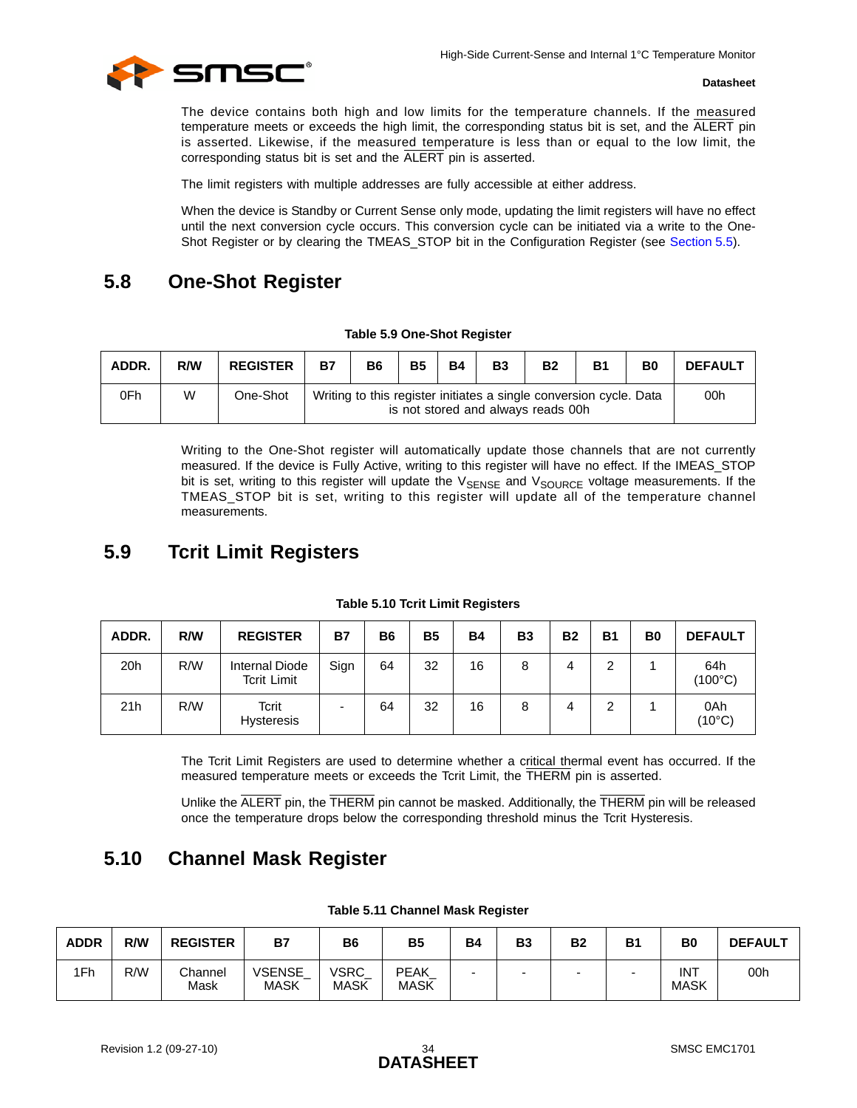

The device contains both high and low limits for the temperature channels. If the measured temperature meets or exceeds the high limit, the corresponding status bit is set, and the ALERT pin is asserted. Likewise, if the measured temperature is less than or equal to the low limit, the corresponding status bit is set and the ALERT pin is asserted.

The limit registers with multiple addresses are fully accessible at either address.

<span id="page-33-6"></span>When the device is Standby or Current Sense only mode, updating the limit registers will have no effect until the next conversion cycle occurs. This conversion cycle can be initiated via a write to the One-Shot Register or by clearing the TMEAS\_STOP bit in the Configuration Register (see [Section 5.5\)](#page-31-0).

## <span id="page-33-0"></span>**5.8 One-Shot Register**

#### **Table 5.9 One-Shot Register**

<span id="page-33-3"></span>

| ADDR. | R/W | <b>REGISTER</b> | <b>B7</b> | <b>B6</b> | <b>B5</b> | <b>B4</b> | <b>B3</b> | <b>B2</b>                                                                                                | <b>B1</b> | B <sub>0</sub> | <b>DEFAULT</b> |
|-------|-----|-----------------|-----------|-----------|-----------|-----------|-----------|----------------------------------------------------------------------------------------------------------|-----------|----------------|----------------|
| 0Fh   | W   | One-Shot        |           |           |           |           |           | Writing to this register initiates a single conversion cycle. Data<br>is not stored and always reads 00h |           |                | 00h            |

Writing to the One-Shot register will automatically update those channels that are not currently measured. If the device is Fully Active, writing to this register will have no effect. If the IMEAS\_STOP bit is set, writing to this register will update the V<sub>SENSE</sub> and V<sub>SOURCE</sub> voltage measurements. If the TMEAS\_STOP bit is set, writing to this register will update all of the temperature channel measurements.

### <span id="page-33-7"></span><span id="page-33-1"></span>**5.9 Tcrit Limit Registers**

<span id="page-33-4"></span>

| ADDR. | R/W | <b>REGISTER</b>                      | <b>B7</b>                | B <sub>6</sub> | <b>B5</b> | <b>B4</b> | <b>B3</b> | <b>B2</b> | <b>B1</b> | B <sub>0</sub> | <b>DEFAULT</b>          |
|-------|-----|--------------------------------------|--------------------------|----------------|-----------|-----------|-----------|-----------|-----------|----------------|-------------------------|
| 20h   | R/W | Internal Diode<br><b>Tcrit Limit</b> | Sign                     | 64             | 32        | 16        | 8         |           | 2         |                | 64h<br>$(100^{\circ}C)$ |
| 21h   | R/W | Tcrit<br>Hysteresis                  | $\overline{\phantom{0}}$ | 64             | 32        | 16        | 8         | 4         | 2         |                | 0Ah<br>$(10^{\circ}C)$  |

**Table 5.10 Tcrit Limit Registers**

The Tcrit Limit Registers are used to determine whether a critical thermal event has occurred. If the measured temperature meets or exceeds the Tcrit Limit, the THERM pin is asserted.

<span id="page-33-8"></span>Unlike the ALERT pin, the THERM pin cannot be masked. Additionally, the THERM pin will [be release](#page-44-1)d once the temperature drops below the corresponding threshold minus the Tcrit Hysteresis.

## <span id="page-33-2"></span>**5.10 Channel Mask Register**

<span id="page-33-5"></span>

| <b>ADDR</b> | R/W | <b>REGISTER</b> | <b>B7</b>                    | B6                  | <b>B5</b>                  | <b>B4</b> | <b>B3</b> | <b>B2</b> | <b>B1</b> | B <sub>0</sub>            | <b>DEFAULT</b> |
|-------------|-----|-----------------|------------------------------|---------------------|----------------------------|-----------|-----------|-----------|-----------|---------------------------|----------------|
| 1Fh         | R/W | Channel<br>Mask | <b>VSENSE</b><br><b>MASK</b> | VSRC<br><b>MASK</b> | <b>PEAK</b><br><b>MASK</b> |           |           | -         |           | <b>INT</b><br><b>MASK</b> | 00h            |

#### **Table 5.11 Channel Mask Register**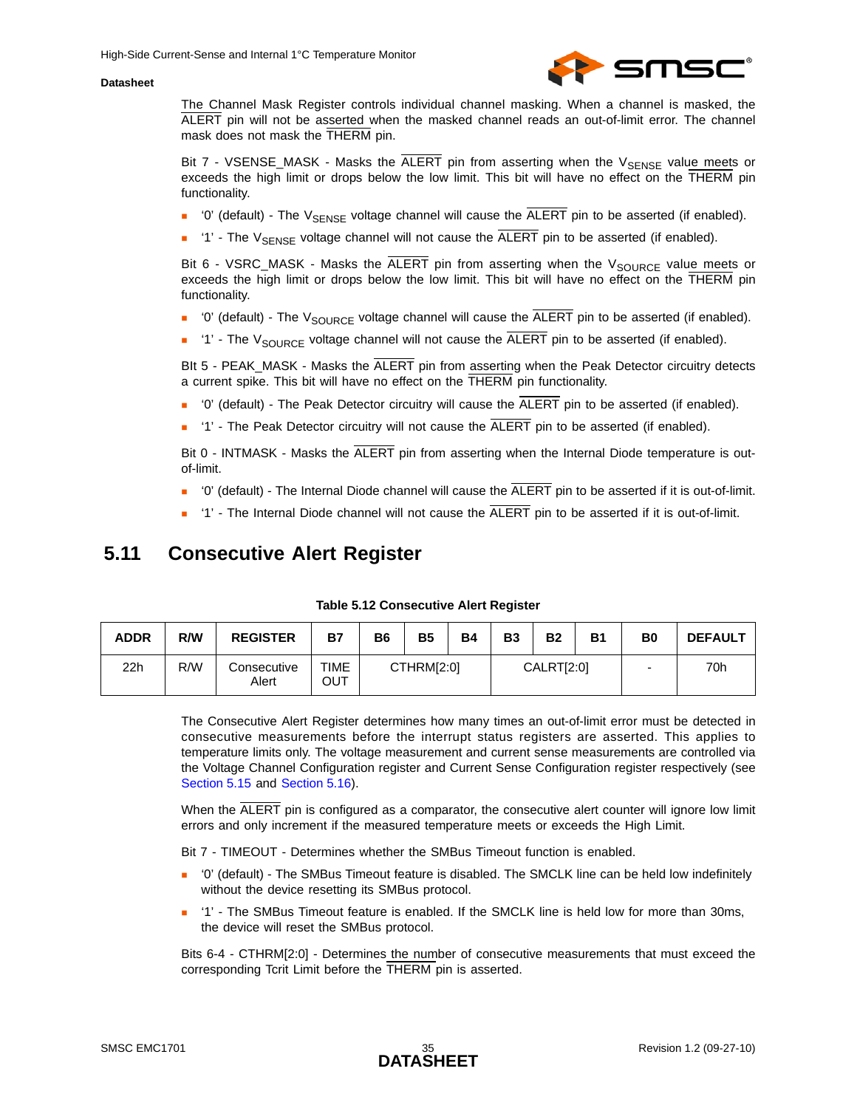

The Channel Mask Register controls individual channel masking. When a channel is masked, the ALERT pin will not be asserted when the masked channel reads an out-of-limit error. The channel mask does not mask the THERM pin.

Bit  $7$  - VSENSE\_MASK - Masks the ALERT pin from asserting when the  $V_{\text{SENSE}}$  value meets or exceeds the high limit or drops below the low limit. This bit will have no effect on the THERM pin functionality.

- $\blacksquare$  '0' (default) The V<sub>SENSE</sub> voltage channel will cause the  $\overline{ALERT}$  pin to be asserted (if enabled).
- $\blacksquare$  '1' The V<sub>SENSE</sub> voltage channel will not cause the  $\overline{ALERT}$  pin to be asserted (if enabled).

Bit 6 - VSRC\_MASK - Masks the  $\overline{ALERT}$  pin from asserting when the  $V_{SOLRCE}$  value meets or exceeds the high limit or drops below the low limit. This bit will have no effect on the THERM pin functionality.

- '0' (default) The  $V_{\text{SOLRCE}}$  voltage channel will cause the  $\overline{\text{ALERT}}$  pin to be asserted (if enabled).
- <sup>1</sup>' The V<sub>SOURCE</sub> voltage channel will not cause the  $\overline{ALERT}$  pin to be asserted (if enabled).

BIt 5 - PEAK\_MASK - Masks the ALERT pin from asserting when the Peak Detector circuitry detects a current spike. This bit will have no effect on the THERM pin functionality.

- $\blacksquare$  '0' (default) The Peak Detector circuitry will cause the  $\overline{ALERT}$  pin to be asserted (if enabled).
- $\blacksquare$  '1' The Peak Detector circuitry will not cause the  $\overline{\mathsf{ALERT}}$  pin to be asserted (if enabled).

Bit 0 - INTMASK - Masks the ALERT pin from asserting when the Internal Diode temperature is outof-limit.

- $\blacksquare$  '0' (default) The Internal Diode channel will cause the  $\overline{ALERT}$  pin to be asserted if it is out-of-limit.
- <span id="page-34-2"></span> $\blacksquare$  '1' - The Internal Diode channel will not cause the  $\overline{\text{ALERT}}$  pin to be asserted if it is out-of-limit.

### <span id="page-34-0"></span>**5.11 Consecutive Alert Register**

<span id="page-34-1"></span>

| <b>ADDR</b> | R/W | <b>REGISTER</b>      | <b>B7</b>          | <b>B6</b> | <b>B5</b>  | <b>B4</b> | B <sub>3</sub> | <b>B2</b>  | <b>B1</b> | B <sub>0</sub> | <b>DEFAULT</b> |
|-------------|-----|----------------------|--------------------|-----------|------------|-----------|----------------|------------|-----------|----------------|----------------|
| 22h         | R/W | Consecutive<br>Alert | <b>TIME</b><br>Ουτ |           | CTHRM[2:0] |           |                | CALRT[2:0] |           | -              | 70h            |

**Table 5.12 Consecutive Alert Register**

The Consecutive Alert Register determines how many times an out-of-limit error must be detected in consecutive measurements before the interrupt status registers are asserted. This applies to temperature limits only. The voltage measurement and current sense measurements are controlled via the Voltage Channel Configuration register and Current Sense Configuration register respectively (see [Section 5.15](#page-36-1) and [Section 5.16\)](#page-37-0).

When the ALERT pin is configured as a comparator, the consecutive alert counter will ignore low limit errors and only increment if the measured temperature meets or exceeds the High Limit.

Bit 7 - TIMEOUT - Determines whether the SMBus Timeout function is enabled.

- '0' (default) The SMBus Timeout feature is disabled. The SMCLK line can be held low indefinitely without the device resetting its SMBus protocol.
- '1' The SMBus Timeout feature is enabled. If the SMCLK line is held low for more than 30ms, the device will reset the SMBus protocol.

Bits 6-4 - CTHRM[2:0] - Determines the number of consecutive measurements that must exceed the corresponding Tcrit Limit before the THERM pin is asserted.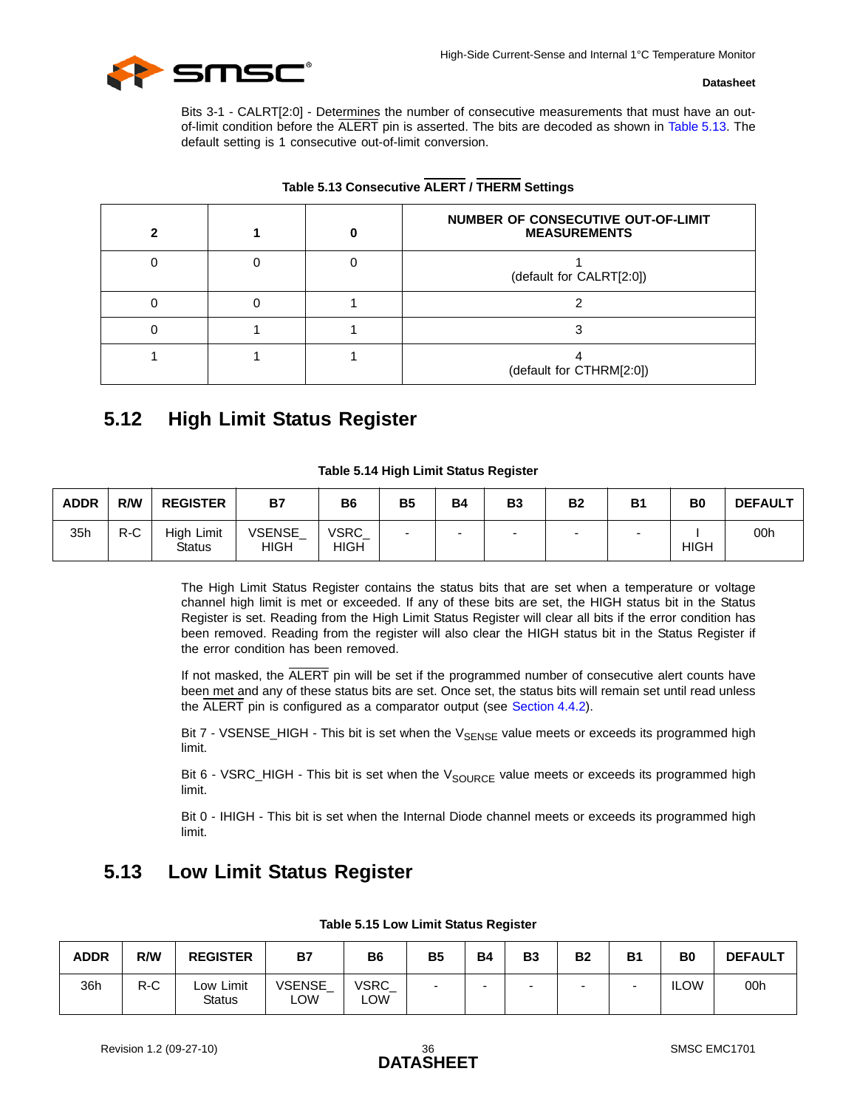

Bits 3-1 - CALRT[2:0] - Determines the number of consecutive measurements that must have an outof-limit condition before the ALERT pin is asserted. The bits are decoded as shown in [Table 5.13](#page-35-2). The default setting is 1 consecutive out-of-limit conversion.

<span id="page-35-2"></span>

|  | NUMBER OF CONSECUTIVE OUT-OF-LIMIT<br><b>MEASUREMENTS</b> |
|--|-----------------------------------------------------------|
|  | (default for CALRT[2:0])                                  |
|  |                                                           |
|  |                                                           |
|  | (default for CTHRM[2:0])                                  |

### **Table 5.13 Consecutive ALERT / THERM Settings**

## <span id="page-35-5"></span><span id="page-35-0"></span>**5.12 High Limit Status Register**

<span id="page-35-3"></span>

| <b>ADDR</b> | R/W   | <b>REGISTER</b>             | B7                           | B <sub>6</sub>       | <b>B5</b>                | <b>B4</b>                | B <sub>3</sub> | <b>B2</b>                | <b>B1</b>                | B <sub>0</sub> | <b>DEFAULT</b> |
|-------------|-------|-----------------------------|------------------------------|----------------------|--------------------------|--------------------------|----------------|--------------------------|--------------------------|----------------|----------------|
| 35h         | $R-C$ | High Limit<br><b>Status</b> | <b>VSENSE</b><br><b>HIGH</b> | VSRC_<br><b>HIGH</b> | $\overline{\phantom{0}}$ | $\overline{\phantom{0}}$ | -              | $\overline{\phantom{0}}$ | $\overline{\phantom{0}}$ | <b>HIGH</b>    | 00h            |

| Table 5.14 High Limit Status Register |  |
|---------------------------------------|--|
|---------------------------------------|--|

The High Limit Status Register contains the status bits that are set when a temperature or voltage channel high limit is met or exceeded. If any of these bits are set, the HIGH status bit in the Status Register is set. Reading from the High Limit Status Register will clear all bits if the error condition has been removed. Reading from the register will also clear the HIGH status bit in the Status Register if the error condition has been removed.

If not masked, the ALERT pin will be set if the programmed number of consecutive alert counts have been met and any of these status bits are set. Once set, the status bits will remain set until read unless the ALERT pin is configured as a comparator output (see [Section 4.4.2\)](#page-25-5).

Bit  $7 - VSENSE_HIGH$  - This bit is set when the  $V_{SENSE}$  value meets or exceeds its programmed high limit.

Bit 6 - VSRC\_HIGH - This bit is set when the  $V_{SOLRCE}$  value meets or exceeds its programmed high limit.

<span id="page-35-6"></span>Bit 0 - IHIGH - This bit is set when the Internal Diode channel meets or exceeds its programmed high limit.

## <span id="page-35-1"></span>**5.13 Low Limit Status Register**

<span id="page-35-4"></span>

| <b>ADDR</b> | R/W   | <b>REGISTER</b>               | B7                   | <b>B6</b>           | <b>B5</b> | B <sub>4</sub> | <b>B3</b> | <b>B2</b> | <b>B1</b> | B0          | <b>DEFAULT</b> |
|-------------|-------|-------------------------------|----------------------|---------------------|-----------|----------------|-----------|-----------|-----------|-------------|----------------|
| 36h         | $R-C$ | Limit<br>Low<br><b>Status</b> | <b>VSENSE</b><br>∟OW | VSRC_<br><b>LOW</b> | ۰         |                |           |           | -         | <b>ILOW</b> | 00h            |

#### **Table 5.15 Low Limit Status Register**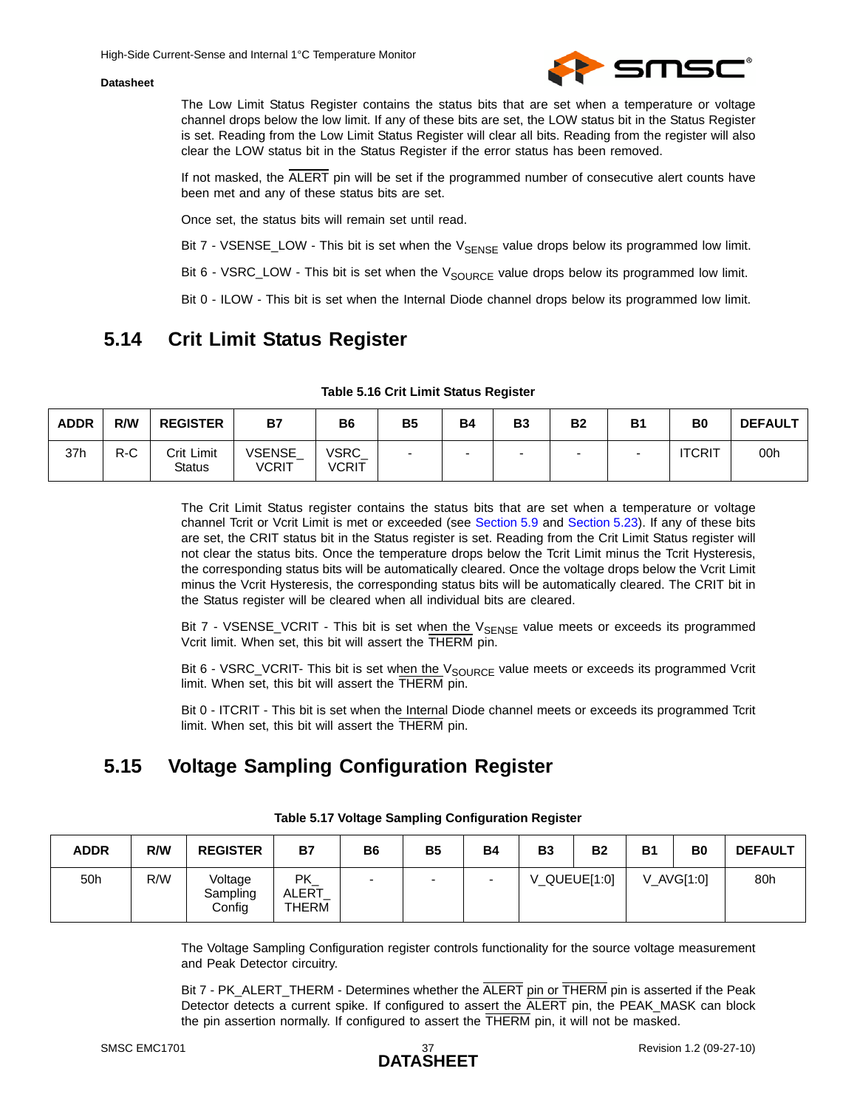

The Low Limit Status Register contains the status bits that are set when a temperature or voltage channel drops below the low limit. If any of these bits are set, the LOW status bit in the Status Register is set. Reading from the Low Limit Status Register will clear all bits. Reading from the register will also clear the LOW status bit in the Status Register if the error status has been removed.

If not masked, the ALERT pin will be set if the programmed number of consecutive alert counts have been met and any of these status bits are set.

Once set, the status bits will remain set until read.

Bit  $7 - VSENSE\_LOW - This bit is set when the  $V_{SENSE}$  value drops below its programmed low limit.$ 

Bit 6 - VSRC\_LOW - This bit is set when the  $V_{\text{SOLRCE}}$  value drops below its programmed low limit.

<span id="page-36-5"></span>Bit 0 - ILOW - This bit is set when the Internal Diode channel drops below its programmed low limit.

## <span id="page-36-0"></span>**5.14 Crit Limit Status Register**

<span id="page-36-2"></span>

| <b>ADDR</b> | R/W | <b>REGISTER</b>      | <b>B7</b>              | B6             | <b>B5</b> | <b>B4</b> | B <sub>3</sub> | <b>B2</b> | <b>B1</b> | B <sub>0</sub> | <b>DEFAULT</b> |
|-------------|-----|----------------------|------------------------|----------------|-----------|-----------|----------------|-----------|-----------|----------------|----------------|
| 37h         | R-C | Crit Limit<br>Status | VSENSE<br><b>VCRIT</b> | VSRC_<br>VCRIT | -         | $\sim$    | -              | -         |           | <b>ITCRIT</b>  | 00h            |

| Table 5.16 Crit Limit Status Register |  |  |  |  |  |  |
|---------------------------------------|--|--|--|--|--|--|
|---------------------------------------|--|--|--|--|--|--|

The Crit Limit Status register contains the status bits that are set when a temperature or voltage channel Tcrit or Vcrit Limit is met or exceeded (see [Section 5.9](#page-33-1) and [Section 5.23\)](#page-43-2). If any of these bits are set, the CRIT status bit in the Status register is set. Reading from the Crit Limit Status register will not clear the status bits. Once the temperature drops below the Tcrit Limit minus the Tcrit Hysteresis, the corresponding status bits will be automatically cleared. Once the voltage drops below the Vcrit Limit minus the Vcrit Hysteresis, the corresponding status bits will be automatically cleared. The CRIT bit in the Status register will be cleared when all individual bits are cleared.

Bit 7 - VSENSE\_VCRIT - This bit is set when the V<sub>SENSE</sub> value meets or exceeds its programmed Vcrit limit. When set, this bit will assert the THERM pin.

Bit 6 - VSRC\_VCRIT- This bit is set when the  $V_{SOLRCE}$  value meets or exceeds its programmed Vcrit limit. When set, this bit will assert the THERM pin.

<span id="page-36-4"></span>Bit 0 - ITCRIT - This bit is set when the Internal Diode channel meets or exceeds its programmed Tcrit limit. When set, this bit will assert the THERM pin.

## <span id="page-36-1"></span>**5.15 Voltage Sampling Configuration Register**

<span id="page-36-3"></span>

| <b>ADDR</b> | R/W | <b>REGISTER</b>               | <b>B7</b>                   | <b>B6</b> | <b>B5</b> | <b>B4</b> | <b>B3</b> | <b>B2</b>    | <b>B1</b> | B <sub>0</sub> | <b>DEFAULT</b> |
|-------------|-----|-------------------------------|-----------------------------|-----------|-----------|-----------|-----------|--------------|-----------|----------------|----------------|
| 50h         | R/W | Voltage<br>Sampling<br>Config | PK<br><b>ALERT</b><br>THERM |           |           |           |           | V_QUEUE[1:0] |           | V AVG[1:0]     | 80h            |

#### **Table 5.17 Voltage Sampling Configuration Register**

The Voltage Sampling Configuration register controls functionality for the source voltage measurement and Peak Detector circuitry.

Bit 7 - PK\_ALERT\_THERM - Determines whether the ALERT pin or THERM pin is asserted if the Peak Detector detects a current spike. If configured to assert the ALERT pin, the PEAK\_MASK can block the pin assertion normally. If configured to assert the THERM pin, it will not be masked.

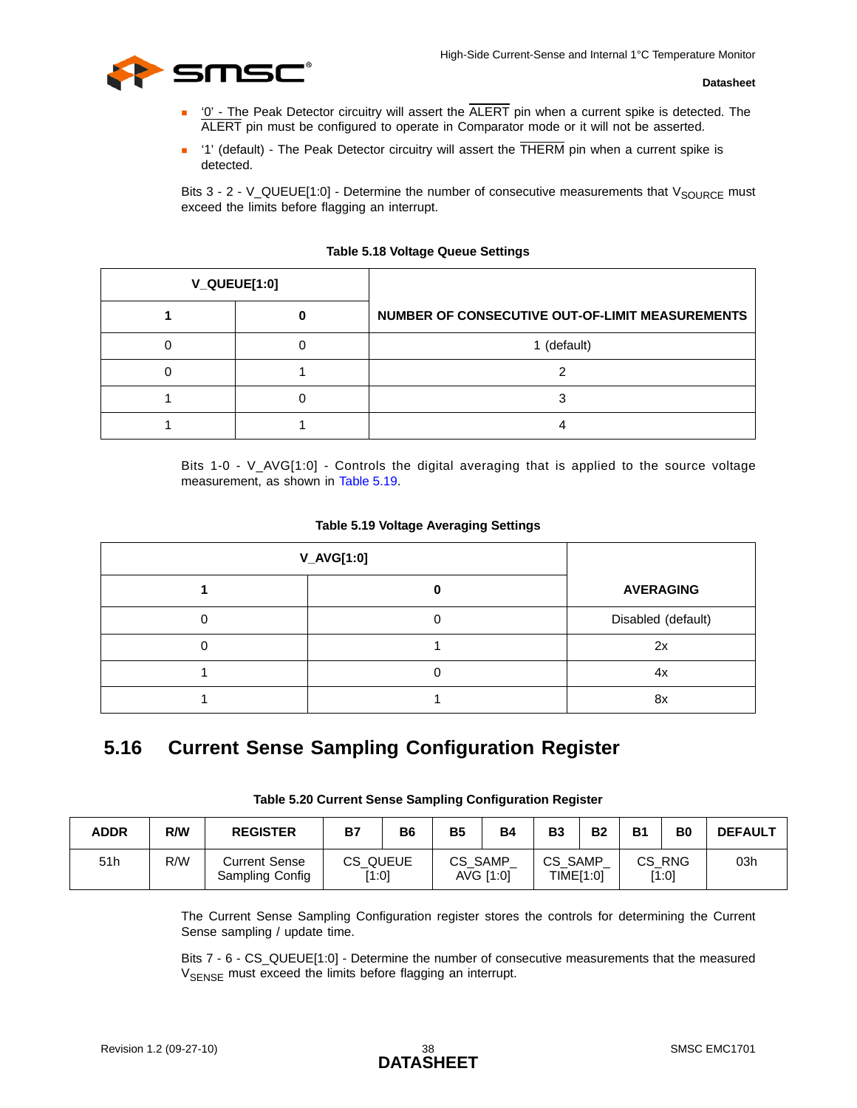

- $\blacksquare$  '0' The Peak Detector circuitry will assert the  $\overline{\mathsf{ALERT}}$  pin when a current spike is detected. The ALERT pin must be configured to operate in Comparator mode or it will not be asserted.
- $\blacksquare$  '1' (default) The Peak Detector circuitry will assert the  $\overline{\sf{THERM}}$  pin when a current spike is detected.

Bits  $3 - 2 - V_$ QUEUE[1:0] - Determine the number of consecutive measurements that  $V_{\text{SOURCE}}$  must exceed the limits before flagging an interrupt.

<span id="page-37-1"></span>

| V_QUEUE[1:0] |                                                 |
|--------------|-------------------------------------------------|
|              | NUMBER OF CONSECUTIVE OUT-OF-LIMIT MEASUREMENTS |
|              | 1 (default)                                     |
|              | ◠                                               |
|              |                                                 |
|              |                                                 |

#### **Table 5.18 Voltage Queue Settings**

Bits 1-0 - V\_AVG[1:0] - Controls the digital averaging that is applied to the source voltage measurement, as shown in [Table 5.19.](#page-37-2)

#### **Table 5.19 Voltage Averaging Settings**

<span id="page-37-2"></span>

| <b>V_AVG[1:0]</b> |                    |
|-------------------|--------------------|
|                   | <b>AVERAGING</b>   |
|                   | Disabled (default) |
|                   | 2x                 |
|                   | 4x                 |
|                   | 8x                 |

## <span id="page-37-4"></span><span id="page-37-0"></span>**5.16 Current Sense Sampling Configuration Register**

| Table 5.20 Current Sense Sampling Configuration Register |  |  |  |
|----------------------------------------------------------|--|--|--|
|----------------------------------------------------------|--|--|--|

<span id="page-37-3"></span>

| <b>ADDR</b> | R/W | <b>REGISTER</b>                         | <b>B7</b>         | <b>B6</b> | <b>B5</b> | <b>B4</b> | <b>B3</b>        | <b>B2</b> | <b>B1</b> | B <sub>0</sub>  | <b>DEFAULT</b> |
|-------------|-----|-----------------------------------------|-------------------|-----------|-----------|-----------|------------------|-----------|-----------|-----------------|----------------|
| 51h         | R/W | <b>Current Sense</b><br>Sampling Config | CS QUEUE<br>[1:0] |           | CS SAMP   | AVG [1:0] | CS.<br>TIME[1:0] | SAMP      |           | CS RNG<br>[1:0] | 03h            |

The Current Sense Sampling Configuration register stores the controls for determining the Current Sense sampling / update time.

Bits 7 - 6 - CS\_QUEUE[1:0] - Determine the number of consecutive measurements that the measured V<sub>SENSE</sub> must exceed the limits before flagging an interrupt.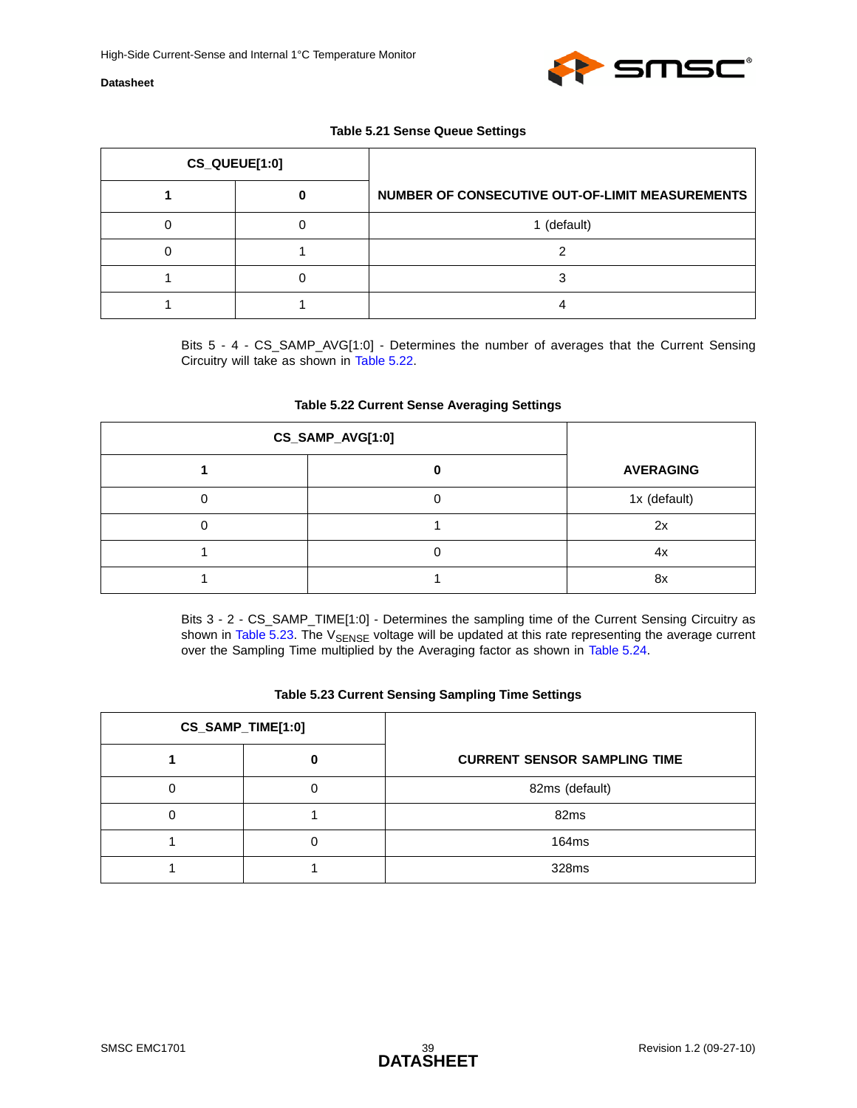

#### **Table 5.21 Sense Queue Settings**

<span id="page-38-0"></span>

| CS_QUEUE[1:0] |                                                 |
|---------------|-------------------------------------------------|
|               | NUMBER OF CONSECUTIVE OUT-OF-LIMIT MEASUREMENTS |
|               | 1 (default)                                     |
|               |                                                 |
|               |                                                 |
|               |                                                 |

Bits 5 - 4 - CS\_SAMP\_AVG[1:0] - Determines the number of averages that the Current Sensing Circuitry will take as shown in [Table 5.22](#page-38-1).

#### **Table 5.22 Current Sense Averaging Settings**

<span id="page-38-1"></span>

| CS_SAMP_AVG[1:0] |  |                  |
|------------------|--|------------------|
|                  |  | <b>AVERAGING</b> |
|                  |  | 1x (default)     |
|                  |  | 2x               |
|                  |  | 4x               |
|                  |  | 8x               |

Bits 3 - 2 - CS\_SAMP\_TIME[1:0] - Determines the sampling time of the Current Sensing Circuitry as shown in [Table 5.23.](#page-38-2) The V<sub>SENSE</sub> voltage will be updated at this rate representing the average current over the Sampling Time multiplied by the Averaging factor as shown in [Table 5.24](#page-39-1).

#### **Table 5.23 Current Sensing Sampling Time Settings**

<span id="page-38-2"></span>

| CS_SAMP_TIME[1:0] |                                     |
|-------------------|-------------------------------------|
|                   | <b>CURRENT SENSOR SAMPLING TIME</b> |
|                   | 82ms (default)                      |
|                   | 82 <sub>ms</sub>                    |
|                   | 164ms                               |
|                   | 328ms                               |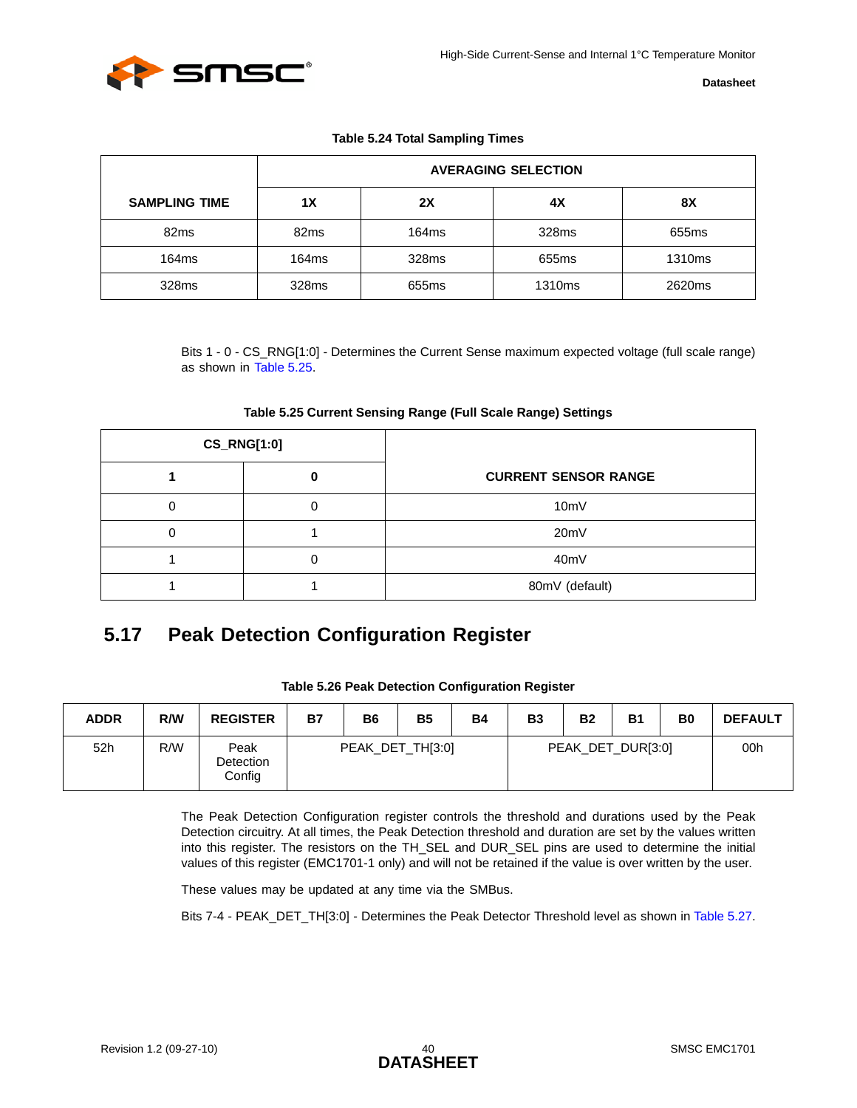

#### **Table 5.24 Total Sampling Times**

<span id="page-39-1"></span>

|                      | <b>AVERAGING SELECTION</b> |       |                    |                    |  |  |  |
|----------------------|----------------------------|-------|--------------------|--------------------|--|--|--|
| <b>SAMPLING TIME</b> | 1X                         | 2X    | 4Х                 | 8X                 |  |  |  |
| 82 <sub>ms</sub>     | 82 <sub>ms</sub>           | 164ms | 328ms              | 655 <sub>ms</sub>  |  |  |  |
| 164ms                | 164ms                      | 328ms | 655ms              | 1310 <sub>ms</sub> |  |  |  |
| 328ms                | 328ms                      | 655ms | 1310 <sub>ms</sub> | 2620ms             |  |  |  |

Bits 1 - 0 - CS\_RNG[1:0] - Determines the Current Sense maximum expected voltage (full scale range) as shown in [Table 5.25](#page-39-2).

<span id="page-39-2"></span>

| <b>CS_RNG[1:0]</b> |                             |
|--------------------|-----------------------------|
|                    | <b>CURRENT SENSOR RANGE</b> |
|                    | 10mV                        |
|                    | 20mV                        |
|                    | 40mV                        |
|                    | 80mV (default)              |

#### <span id="page-39-5"></span>**Table 5.25 Current Sensing Range (Full Scale Range) Settings**

## <span id="page-39-4"></span><span id="page-39-0"></span>**5.17 Peak Detection Configuration Register**

<span id="page-39-3"></span>

| <b>ADDR</b> | R/W | <b>REGISTER</b>             | <b>B7</b> | <b>B6</b> | <b>B5</b>        | <b>B4</b> | <b>B3</b> | <b>B2</b>         | <b>B1</b> | B <sub>0</sub> | <b>DEFAULT</b> |
|-------------|-----|-----------------------------|-----------|-----------|------------------|-----------|-----------|-------------------|-----------|----------------|----------------|
| 52h         | R/W | Peak<br>Detection<br>Config |           |           | PEAK_DET_TH[3:0] |           |           | PEAK_DET_DUR[3:0] |           |                | 00h            |

#### **Table 5.26 Peak Detection Configuration Register**

The Peak Detection Configuration register controls the threshold and durations used by the Peak Detection circuitry. At all times, the Peak Detection threshold and duration are set by the values written into this register. The resistors on the TH\_SEL and DUR\_SEL pins are used to determine the initial values of this register (EMC1701-1 only) and will not be retained if the value is over written by the user.

These values may be updated at any time via the SMBus.

Bits 7-4 - PEAK\_DET\_TH[3:0] - Determines the Peak Detector Threshold level as shown in [Table 5.27.](#page-40-0)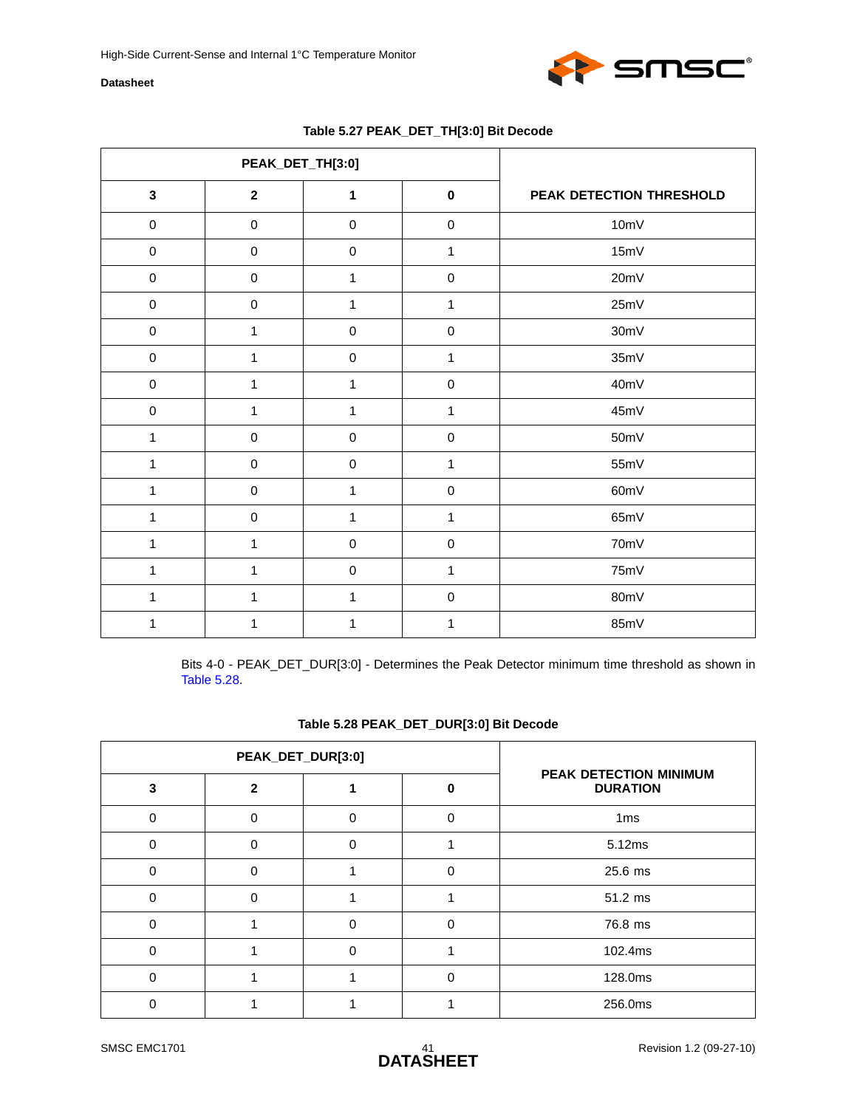

<span id="page-40-0"></span>

|              | PEAK_DET_TH[3:0]        |              |              |                          |
|--------------|-------------------------|--------------|--------------|--------------------------|
| $\mathbf 3$  | $\overline{\mathbf{2}}$ | 1            | $\pmb{0}$    | PEAK DETECTION THRESHOLD |
| $\mathbf 0$  | $\pmb{0}$               | $\pmb{0}$    | $\pmb{0}$    | 10mV                     |
| $\pmb{0}$    | $\pmb{0}$               | $\pmb{0}$    | 1            | 15mV                     |
| $\mathbf 0$  | $\pmb{0}$               | $\mathbf{1}$ | $\pmb{0}$    | 20mV                     |
| $\mathbf 0$  | $\pmb{0}$               | $\mathbf{1}$ | $\mathbf{1}$ | 25mV                     |
| $\pmb{0}$    | $\mathbf 1$             | $\pmb{0}$    | $\pmb{0}$    | 30mV                     |
| $\pmb{0}$    | 1                       | $\pmb{0}$    | 1            | 35mV                     |
| $\pmb{0}$    | 1                       | $\mathbf{1}$ | $\pmb{0}$    | 40mV                     |
| $\pmb{0}$    | 1                       | $\mathbf{1}$ | 1            | 45mV                     |
| $\mathbf{1}$ | $\pmb{0}$               | $\pmb{0}$    | $\pmb{0}$    | 50mV                     |
| $\mathbf{1}$ | $\pmb{0}$               | $\mathbf 0$  | $\mathbf{1}$ | 55mV                     |
| $\mathbf{1}$ | $\pmb{0}$               | 1            | $\pmb{0}$    | 60mV                     |
| 1            | $\pmb{0}$               | $\mathbf{1}$ | 1            | 65mV                     |
| 1            | 1                       | $\pmb{0}$    | $\pmb{0}$    | 70mV                     |
| $\mathbf{1}$ | 1                       | $\mathbf 0$  | 1            | 75mV                     |
| 1            | 1                       | 1            | $\pmb{0}$    | 80mV                     |
| 1            | 1                       | 1            | 1            | 85mV                     |

### **Table 5.27 PEAK\_DET\_TH[3:0] Bit Decode**

Bits 4-0 - PEAK\_DET\_DUR[3:0] - Determines the Peak Detector minimum time threshold as shown in [Table 5.28](#page-40-1).

#### **Table 5.28 PEAK\_DET\_DUR[3:0] Bit Decode**

<span id="page-40-1"></span>

|   | PEAK_DET_DUR[3:0] |          |   |                                           |
|---|-------------------|----------|---|-------------------------------------------|
| 3 | 2                 |          | O | PEAK DETECTION MINIMUM<br><b>DURATION</b> |
| 0 | O                 | $\Omega$ | O | 1ms                                       |
| 0 | $\Omega$          | $\Omega$ |   | 5.12ms                                    |
| O | O                 |          | 0 | 25.6 ms                                   |
| 0 | $\Omega$          |          |   | 51.2 ms                                   |
| 0 |                   | $\Omega$ | 0 | 76.8 ms                                   |
| 0 |                   | $\Omega$ |   | 102.4ms                                   |
| O |                   |          | ი | 128.0ms                                   |
|   |                   |          |   | 256.0ms                                   |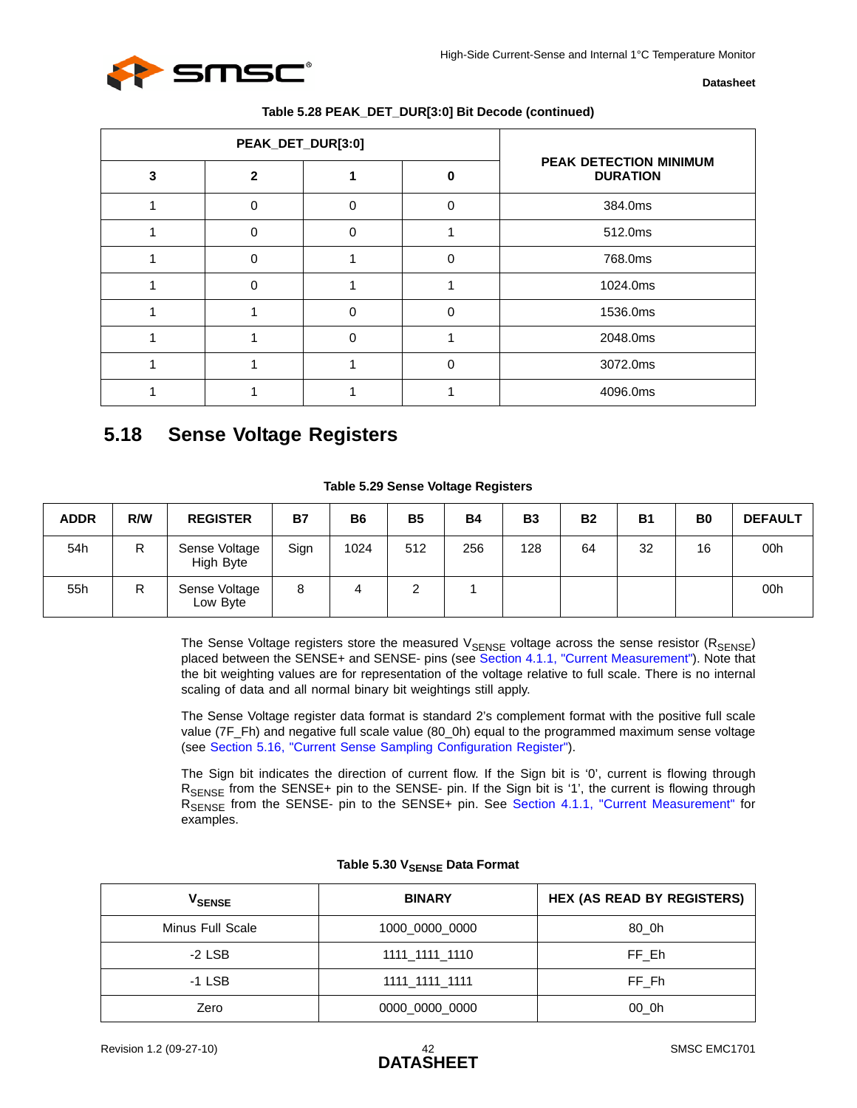

|   | PEAK_DET_DUR[3:0] |          |   |                                           |
|---|-------------------|----------|---|-------------------------------------------|
| 3 |                   |          |   | PEAK DETECTION MINIMUM<br><b>DURATION</b> |
|   | O                 | O        | 0 | 384.0ms                                   |
|   | $\Omega$          | $\Omega$ |   | 512.0ms                                   |
|   |                   |          | 0 | 768.0ms                                   |
|   | 0                 |          |   | 1024.0ms                                  |
|   |                   | $\Omega$ | 0 | 1536.0ms                                  |
|   |                   | $\Omega$ |   | 2048.0ms                                  |
|   |                   |          | ი | 3072.0ms                                  |
|   |                   |          |   | 4096.0ms                                  |

## <span id="page-41-3"></span><span id="page-41-0"></span>**5.18 Sense Voltage Registers**

#### **Table 5.29 Sense Voltage Registers**

<span id="page-41-1"></span>

| <b>ADDR</b> | R/W | <b>REGISTER</b>            | <b>B7</b> | <b>B6</b> | <b>B5</b> | <b>B4</b> | <b>B3</b> | <b>B2</b> | <b>B1</b> | B <sub>0</sub> | <b>DEFAULT</b> |
|-------------|-----|----------------------------|-----------|-----------|-----------|-----------|-----------|-----------|-----------|----------------|----------------|
| 54h         | R   | Sense Voltage<br>High Byte | Sign      | 1024      | 512       | 256       | 128       | 64        | 32        | 16             | 00h            |
| 55h         | R   | Sense Voltage<br>Low Byte  | 8         | 4         |           |           |           |           |           |                | 00h            |

The Sense Voltage registers store the measured V<sub>SENSE</sub> voltage across the sense resistor (R<sub>SENSE</sub>) placed between the SENSE+ and SENSE- pins (see [Section 4.1.1, "Current Measurement"\)](#page-20-4). Note that the bit weighting values are for representation of the voltage relative to full scale. There is no internal scaling of data and all normal binary bit weightings still apply.

The Sense Voltage register data format is standard 2's complement format with the positive full scale value (7F\_Fh) and negative full scale value (80\_0h) equal to the programmed maximum sense voltage (see [Section 5.16, "Current Sense Sampling Configuration Register"\)](#page-37-0).

The Sign bit indicates the direction of current flow. If the Sign bit is '0', current is flowing through RSENSE from the SENSE+ pin to the SENSE- pin. If the Sign bit is '1', the current is flowing through R<sub>SENSE</sub> from the SENSE- pin to the SENSE+ pin. See [Section 4.1.1, "Current Measurement"](#page-20-4) for examples.

<span id="page-41-2"></span>

| <b>V<sub>SENSE</sub></b> | <b>BINARY</b>  | <b>HEX (AS READ BY REGISTERS)</b> |
|--------------------------|----------------|-----------------------------------|
| Minus Full Scale         | 1000 0000 0000 | 80 Oh                             |
| $-2$ LSB                 | 1111 1111 1110 | FF Eh                             |
| $-1$ LSB                 | 1111 1111 1111 | FF Fh                             |
| Zero                     | 0000_0000_0000 | 00 0h                             |

#### **Table 5.30 VSENSE Data Format**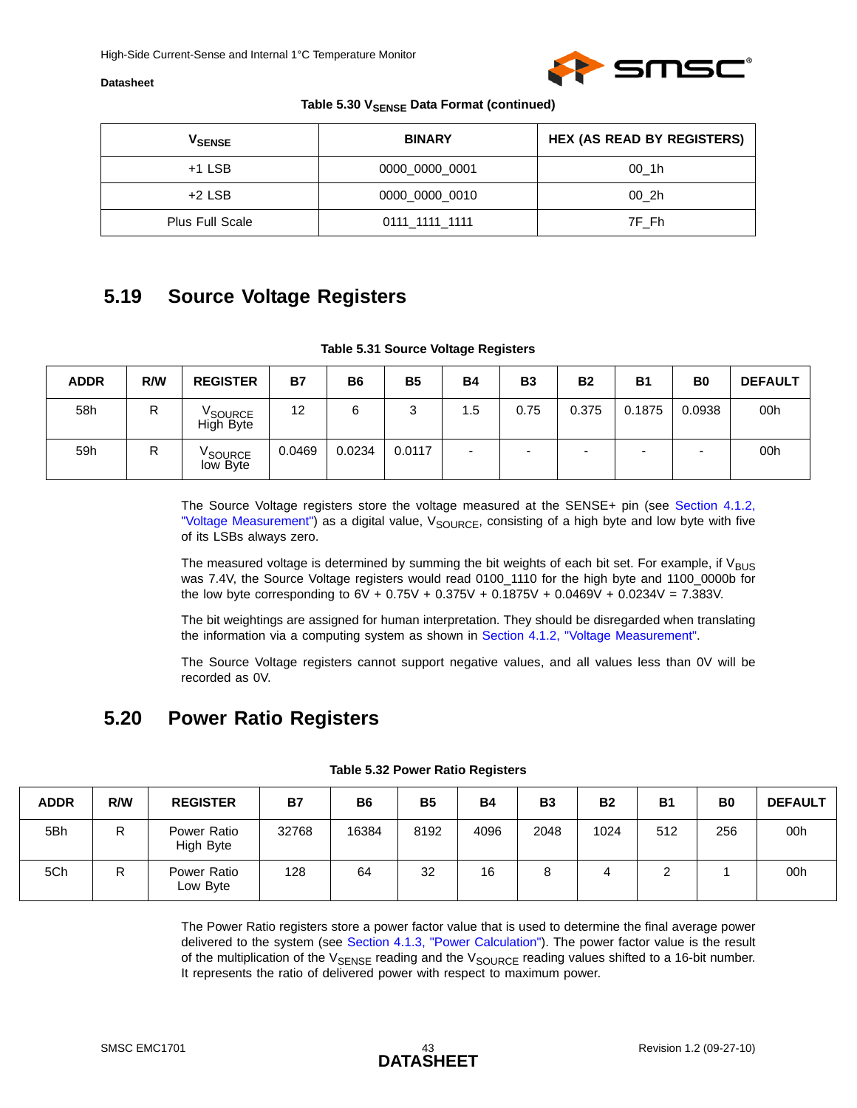

#### Table 5.30 V<sub>SENSE</sub> Data Format (continued)

| V <sub>SENSE</sub>     | <b>BINARY</b>  | <b>HEX (AS READ BY REGISTERS)</b> |
|------------------------|----------------|-----------------------------------|
| $+1$ LSB               | 0000 0000 0001 | 00 1h                             |
| $+2$ LSB               | 0000 0000 0010 | 00 2h                             |
| <b>Plus Full Scale</b> | 0111_1111_1111 | 7F Fh                             |

### <span id="page-42-4"></span><span id="page-42-0"></span>**5.19 Source Voltage Registers**

#### **Table 5.31 Source Voltage Registers**

<span id="page-42-2"></span>

| <b>ADDR</b> | R/W | <b>REGISTER</b>                  | <b>B7</b> | B <sub>6</sub> | <b>B5</b> | <b>B4</b> | <b>B3</b> | <b>B2</b> | <b>B1</b> | B <sub>0</sub> | <b>DEFAULT</b> |
|-------------|-----|----------------------------------|-----------|----------------|-----------|-----------|-----------|-----------|-----------|----------------|----------------|
| 58h         | R   | <sup>V</sup> SOURCE<br>High Byte | 12        | 6              | າ<br>J    | 1.5       | 0.75      | 0.375     | 0.1875    | 0.0938         | 00h            |
| 59h         | R   | V <sub>SOURCE</sub><br>low Byte  | 0.0469    | 0.0234         | 0.0117    | -         | -         |           | ۰         |                | 00h            |

The Source Voltage registers store the voltage measured at the SENSE+ pin (see [Section 4.1.2,](#page-21-2) ["Voltage Measurement"](#page-21-2)) as a digital value, V<sub>SOURCE</sub>, consisting of a high byte and low byte with five of its LSBs always zero.

The measured voltage is determined by summing the bit weights of each bit set. For example, if  $V_{\text{BUS}}$ was 7.4V, the Source Voltage registers would read 0100\_1110 for the high byte and 1100\_0000b for the low byte corresponding to  $6V + 0.75V + 0.375V + 0.1875V + 0.0469V + 0.0234V = 7.383V$ .

The bit weightings are assigned for human interpretation. They should be disregarded when translating the information via a computing system as shown in [Section 4.1.2, "Voltage Measurement".](#page-21-2)

<span id="page-42-5"></span>The Source Voltage registers cannot support negative values, and all values less than 0V will be recorded as 0V.

### <span id="page-42-1"></span>**5.20 Power Ratio Registers**

<span id="page-42-3"></span>

| <b>ADDR</b> | R/W | <b>REGISTER</b>          | <b>B7</b> | <b>B6</b> | <b>B5</b> | <b>B4</b> | <b>B3</b> | <b>B2</b> | <b>B1</b> | B <sub>0</sub> | <b>DEFAULT</b> |
|-------------|-----|--------------------------|-----------|-----------|-----------|-----------|-----------|-----------|-----------|----------------|----------------|
| 5Bh         | R   | Power Ratio<br>High Byte | 32768     | 16384     | 8192      | 4096      | 2048      | 1024      | 512       | 256            | 00h            |
| 5Ch         | R   | Power Ratio<br>Low Byte  | 128       | 64        | 32        | 16        | 8         | 4         |           |                | 00h            |

#### **Table 5.32 Power Ratio Registers**

The Power Ratio registers store a power factor value that is used to determine the final average power delivered to the system (see [Section 4.1.3, "Power Calculation"\)](#page-21-5). The power factor value is the result of the multiplication of the  $V_{SENSE}$  reading and the  $V_{SOLRCE}$  reading values shifted to a 16-bit number. It represents the ratio of delivered power with respect to maximum power.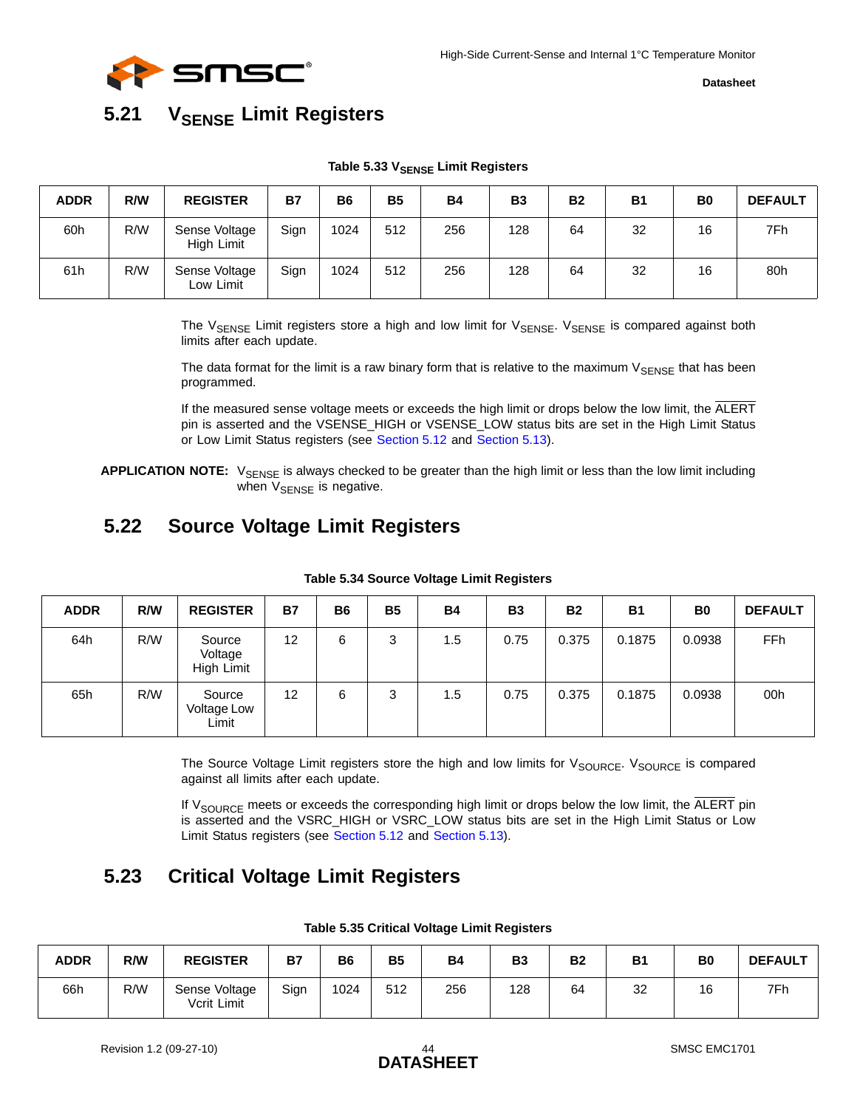

## <span id="page-43-6"></span><span id="page-43-0"></span>**5.21 VSENSE Limit Registers**

#### Table 5.33 V<sub>SENSE</sub> Limit Registers

<span id="page-43-3"></span>

| <b>ADDR</b> | R/W | <b>REGISTER</b>             | <b>B7</b> | <b>B6</b> | <b>B5</b> | <b>B4</b> | <b>B3</b> | <b>B2</b> | <b>B1</b> | B <sub>0</sub> | <b>DEFAULT</b> |
|-------------|-----|-----------------------------|-----------|-----------|-----------|-----------|-----------|-----------|-----------|----------------|----------------|
| 60h         | R/W | Sense Voltage<br>High Limit | Sign      | 1024      | 512       | 256       | 128       | 64        | 32        | 16             | 7Fh            |
| 61h         | R/W | Sense Voltage<br>Low Limit  | Sign      | 1024      | 512       | 256       | 128       | 64        | 32        | 16             | 80h            |

The  $V_{\text{SENSE}}$  Limit registers store a high and low limit for  $V_{\text{SENSE}}$ .  $V_{\text{SENSE}}$  is compared against both limits after each update.

The data format for the limit is a raw binary form that is relative to the maximum  $V_{\text{SENSE}}$  that has been programmed.

If the measured sense voltage meets or exceeds the high limit or drops below the low limit, the ALERT pin is asserted and the VSENSE\_HIGH or VSENSE\_LOW status bits are set in the High Limit Status or Low Limit Status registers (see [Section 5.12](#page-35-0) and [Section 5.13\)](#page-35-1).

**APPLICATION NOTE:** V<sub>SENSE</sub> is always checked to be greater than the high limit or less than the low limit including when  $V_{\text{SENSE}}$  is negative.

## <span id="page-43-1"></span>**5.22 Source Voltage Limit Registers**

<span id="page-43-4"></span>

| <b>ADDR</b> | R/W | <b>REGISTER</b>                 | <b>B7</b> | <b>B6</b> | <b>B5</b> | <b>B4</b> | <b>B3</b> | <b>B2</b> | <b>B1</b> | B <sub>0</sub> | <b>DEFAULT</b> |
|-------------|-----|---------------------------------|-----------|-----------|-----------|-----------|-----------|-----------|-----------|----------------|----------------|
| 64h         | R/W | Source<br>Voltage<br>High Limit | 12        | 6         | 3         | 1.5       | 0.75      | 0.375     | 0.1875    | 0.0938         | FFh            |
| 65h         | R/W | Source<br>Voltage Low<br>Limit  | 12        | 6         | 3         | 1.5       | 0.75      | 0.375     | 0.1875    | 0.0938         | 00h            |

#### **Table 5.34 Source Voltage Limit Registers**

The Source Voltage Limit registers store the high and low limits for V<sub>SOURCE</sub>. V<sub>SOURCE</sub> is compared against all limits after each update.

<span id="page-43-7"></span>If V<sub>SOURCE</sub> meets or exceeds the corresponding high limit or drops below the low limit, the ALERT pin is asserted and the VSRC\_HIGH or VSRC\_LOW status bits are set in the High Limit Status or Low Limit Status registers (see [Section 5.12](#page-35-0) and [Section 5.13\)](#page-35-1).

## <span id="page-43-2"></span>**5.23 Critical Voltage Limit Registers**

<span id="page-43-5"></span>

| <b>ADDR</b> | R/W | <b>REGISTER</b>              | Β7   | B <sub>6</sub> | <b>B5</b> | <b>B4</b> | <b>B3</b> | <b>B2</b> | <b>B1</b> | <b>B0</b> | <b>DEFAULT</b> |
|-------------|-----|------------------------------|------|----------------|-----------|-----------|-----------|-----------|-----------|-----------|----------------|
| 66h         | R/W | Sense Voltage<br>Vcrit Limit | Sign | 1024           | 512       | 256       | 128       | 64        | 32        | 16        | 7Fh            |

**Table 5.35 Critical Voltage Limit Registers**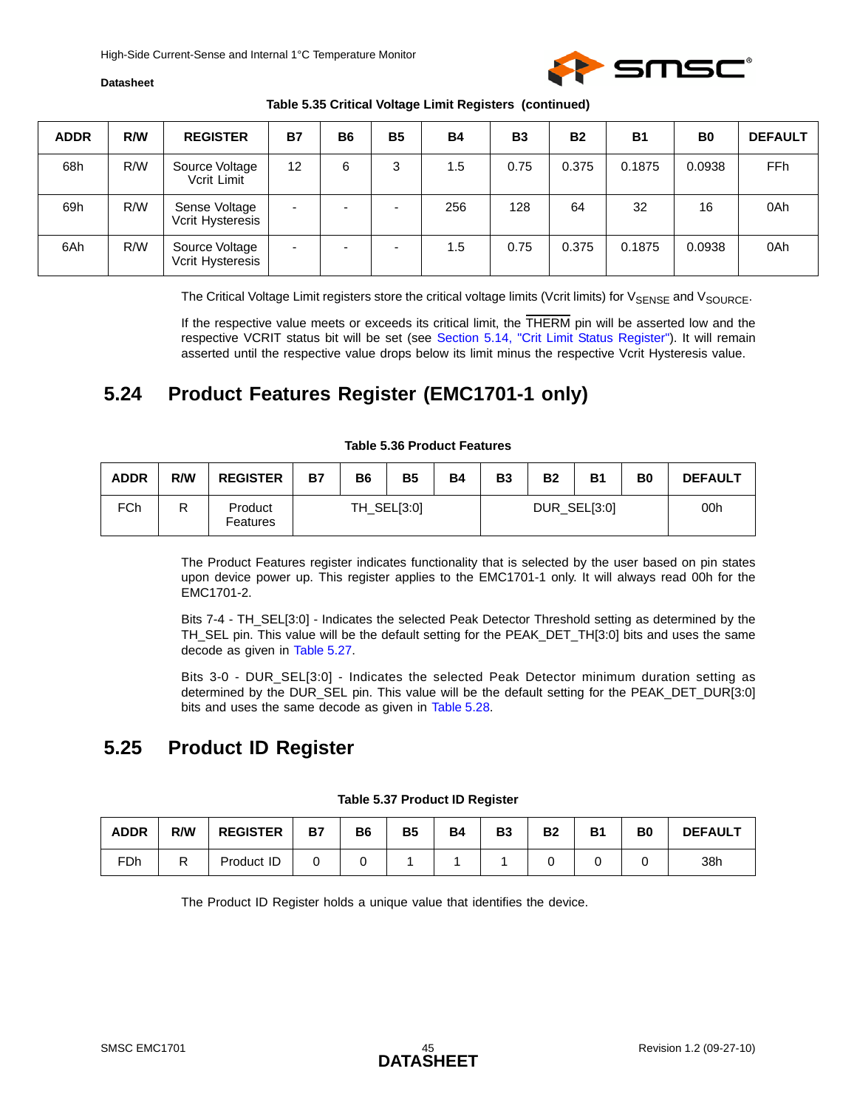

#### **Table 5.35 Critical Voltage Limit Registers (continued)**

| <b>ADDR</b> | R/W | <b>REGISTER</b>                    | <b>B7</b>                | <b>B6</b> | <b>B5</b>                | <b>B4</b> | <b>B3</b> | <b>B2</b> | <b>B1</b> | B <sub>0</sub> | <b>DEFAULT</b>  |
|-------------|-----|------------------------------------|--------------------------|-----------|--------------------------|-----------|-----------|-----------|-----------|----------------|-----------------|
| 68h         | R/W | Source Voltage<br>Vcrit Limit      | 12                       | 6         | 3                        | 1.5       | 0.75      | 0.375     | 0.1875    | 0.0938         | FF <sub>h</sub> |
| 69h         | R/W | Sense Voltage<br>Vcrit Hysteresis  | $\overline{\phantom{0}}$ |           | $\overline{\phantom{a}}$ | 256       | 128       | 64        | 32        | 16             | 0Ah             |
| 6Ah         | R/W | Source Voltage<br>Vcrit Hysteresis | ٠                        |           | $\overline{\phantom{a}}$ | 1.5       | 0.75      | 0.375     | 0.1875    | 0.0938         | 0Ah             |

The Critical Voltage Limit registers store the critical voltage limits (Vcrit limits) for V<sub>SENSE</sub> and V<sub>SOURCE</sub>.

If the respective value meets or exceeds its critical limit, the THERM pin will be asserted low and the respective VCRIT status bit will be set (see [Section 5.14, "Crit Limit Status Register"](#page-36-0)). It will remain asserted until the respective value drops below its limit minus the respective Vcrit Hysteresis value.

## <span id="page-44-0"></span>**5.24 Product Features Register (EMC1701-1 only)**

<span id="page-44-2"></span>

| <b>ADDR</b> | R/W | <b>REGISTER</b>     | Β7 | <b>B6</b> | <b>B5</b>   | <b>B4</b> | <b>B3</b> | <b>B2</b> | <b>B1</b>    | B0 | <b>DEFAULT</b> |
|-------------|-----|---------------------|----|-----------|-------------|-----------|-----------|-----------|--------------|----|----------------|
| FCh         | R   | Product<br>Features |    |           | TH_SEL[3:0] |           |           |           | DUR_SEL[3:0] |    | 00h            |

#### **Table 5.36 Product Features**

The Product Features register indicates functionality that is selected by the user based on pin states upon device power up. This register applies to the EMC1701-1 only. It will always read 00h for the EMC1701-2.

Bits 7-4 - TH\_SEL[3:0] - Indicates the selected Peak Detector Threshold setting as determined by the TH\_SEL pin. This value will be the default setting for the PEAK\_DET\_TH[3:0] bits and uses the same decode as given in [Table 5.27.](#page-40-0)

Bits 3-0 - DUR\_SEL[3:0] - Indicates the selected Peak Detector minimum duration setting as determined by the DUR\_SEL pin. This value will be the default setting for the PEAK\_DET\_DUR[3:0] bits and uses the same decode as given in [Table 5.28](#page-40-1).

## <span id="page-44-1"></span>**5.25 Product ID Register**

<span id="page-44-3"></span>

| <b>ADDR</b> | R/W | <b>REGISTER</b> | <b>B7</b> | B6 | <b>B5</b> | <b>B4</b> | B <sub>3</sub> | <b>B2</b> | <b>B1</b> | B <sub>0</sub> | <b>DEFAULT</b> |
|-------------|-----|-----------------|-----------|----|-----------|-----------|----------------|-----------|-----------|----------------|----------------|
| FDh         |     | Product ID      |           |    |           |           |                |           |           |                | 38h            |

#### **Table 5.37 Product ID Register**

The Product ID Register holds a unique value that identifies the device.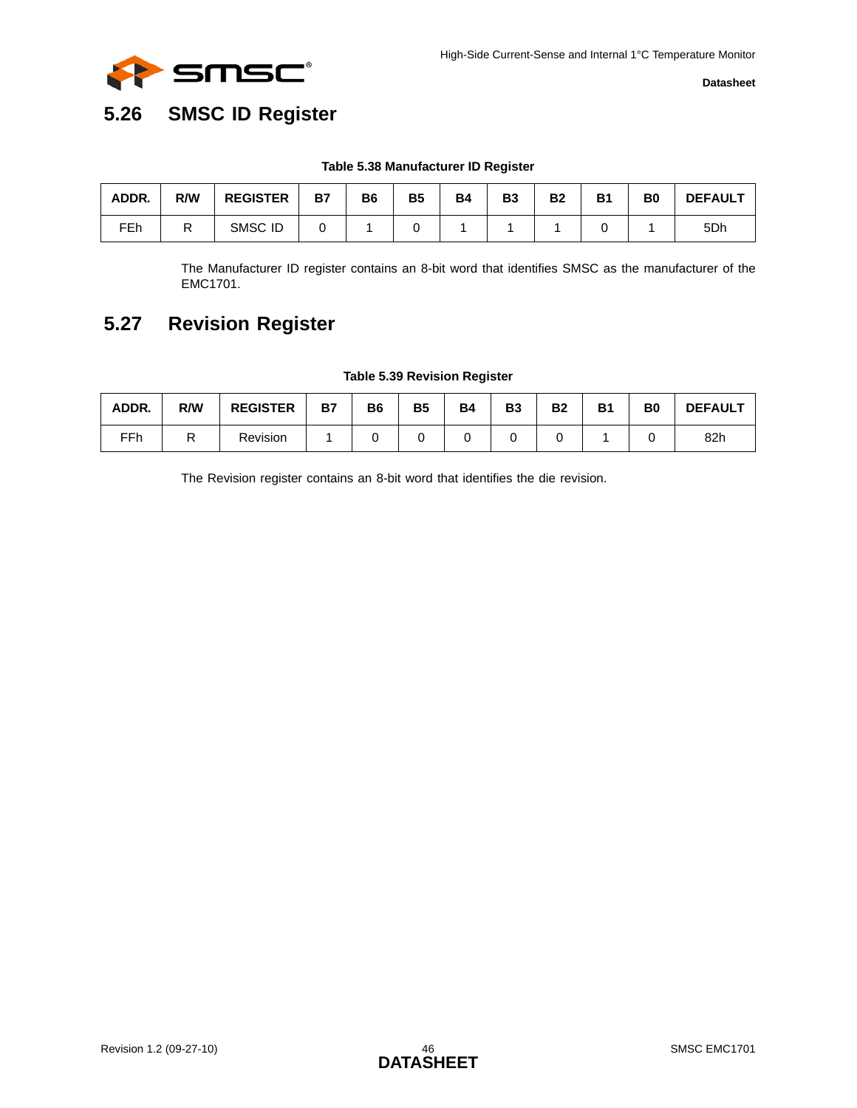

## <span id="page-45-0"></span>**5.26 SMSC ID Register**

#### **Table 5.38 Manufacturer ID Register**

<span id="page-45-2"></span>

| ADDR.           | R/W | <b>REGISTER</b> | <b>B7</b> | B <sub>6</sub> | <b>B5</b> | <b>B4</b> | B3 | <b>B2</b> | <b>B1</b> | B <sub>0</sub> | <b>DEFAULT</b>  |
|-----------------|-----|-----------------|-----------|----------------|-----------|-----------|----|-----------|-----------|----------------|-----------------|
| FE <sub>h</sub> |     | SMSC ID         |           |                |           |           |    |           |           |                | 5 <sub>Dh</sub> |

<span id="page-45-4"></span>The Manufacturer ID register contains an 8-bit word that identifies SMSC as the manufacturer of the EMC1701.

## <span id="page-45-1"></span>**5.27 Revision Register**

#### **Table 5.39 Revision Register**

<span id="page-45-3"></span>

| ADDR. | R/W     | <b>REGISTER</b> | <b>B7</b> | B6 | <b>B5</b> | <b>B4</b> | <b>B3</b> | <b>B2</b> | <b>B1</b> | B <sub>0</sub> | <b>DEFAULT</b> |
|-------|---------|-----------------|-----------|----|-----------|-----------|-----------|-----------|-----------|----------------|----------------|
| FFh   | D<br>יי | Revision        |           |    |           |           |           |           |           |                | 82h            |

The Revision register contains an 8-bit word that identifies the die revision.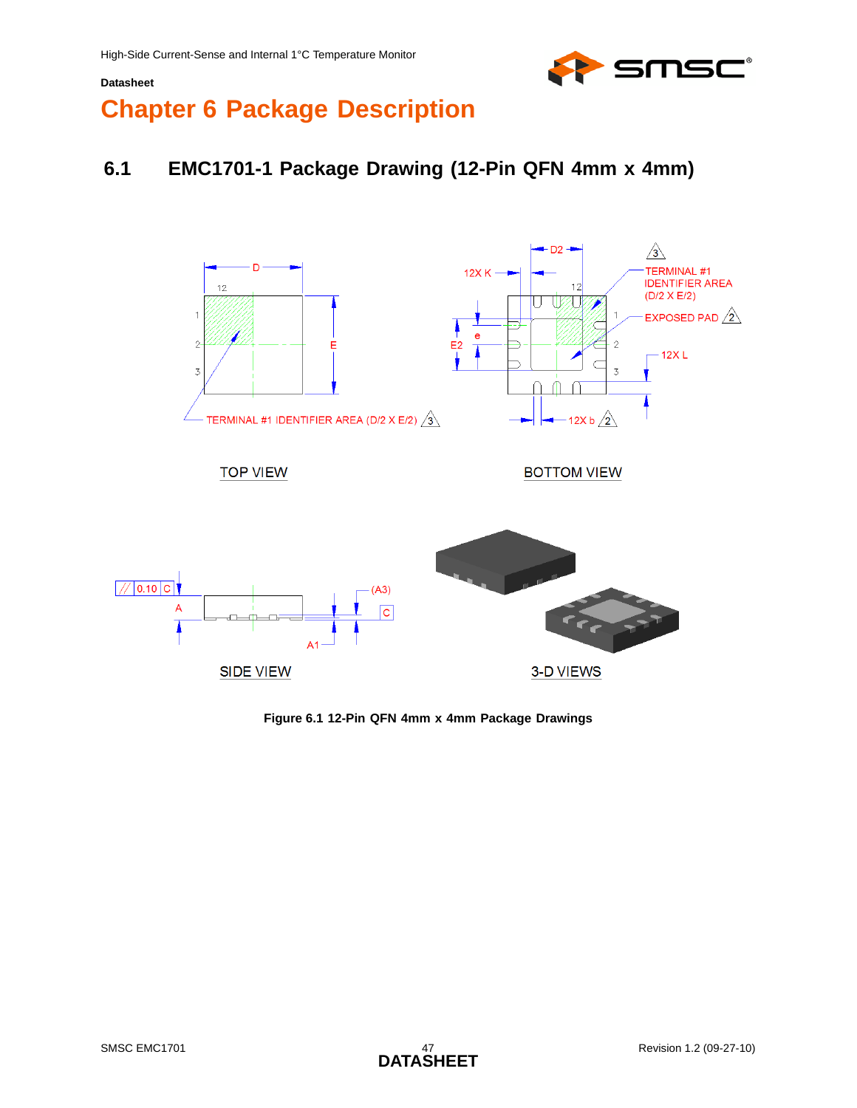

# <span id="page-46-0"></span>**Chapter 6 Package Description**

## <span id="page-46-1"></span>**6.1 EMC1701-1 Package Drawing (12-Pin QFN 4mm x 4mm)**



#### <span id="page-46-2"></span>**Figure 6.1 12-Pin QFN 4mm x 4mm Package Drawings**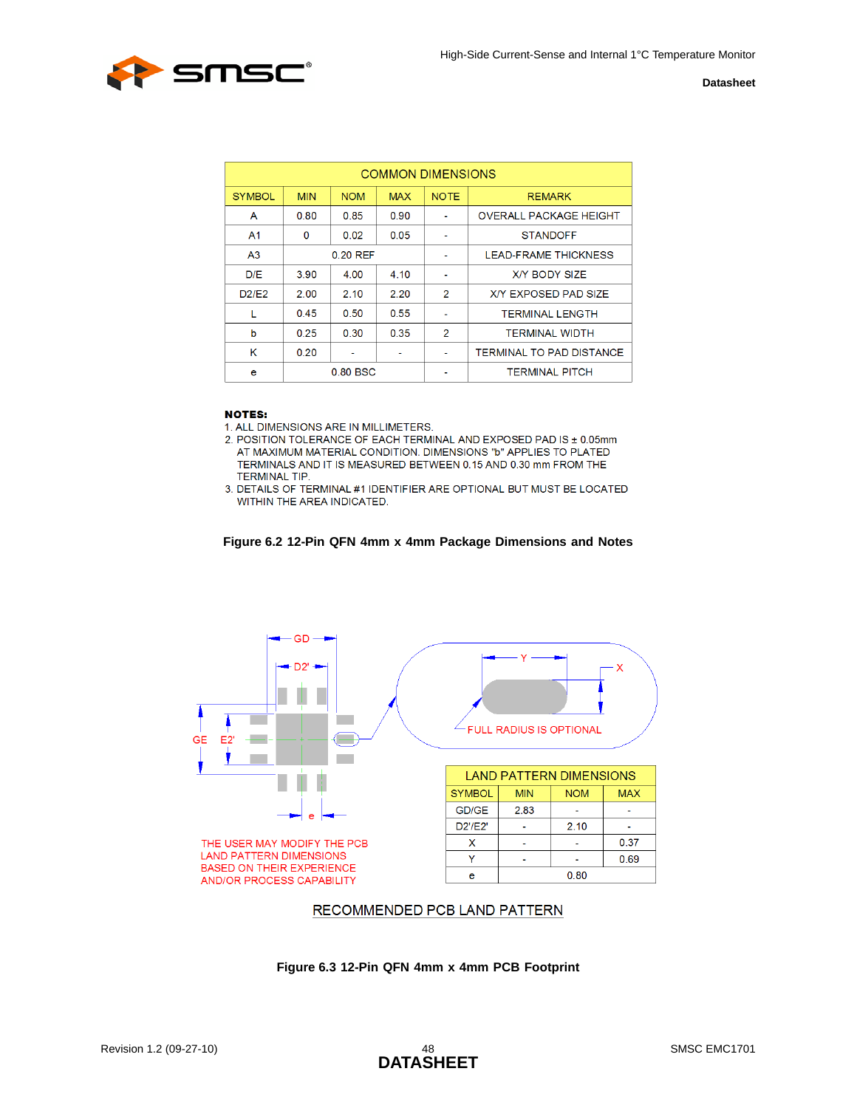

| <b>COMMON DIMENSIONS</b> |            |            |            |                |                               |  |  |
|--------------------------|------------|------------|------------|----------------|-------------------------------|--|--|
| <b>SYMBOL</b>            | <b>MIN</b> | <b>NOM</b> | <b>MAX</b> | <b>NOTE</b>    | <b>REMARK</b>                 |  |  |
| A                        | 0.80       | 0.85       | 0.90       | ۰              | <b>OVERALL PACKAGE HEIGHT</b> |  |  |
| A <sub>1</sub>           | 0          | 0.02       | 0.05       | -              | <b>STANDOFF</b>               |  |  |
| A <sub>3</sub>           | $0.20$ REF |            |            | ٠              | <b>LEAD-FRAME THICKNESS</b>   |  |  |
| D/E                      | 3.90       | 4.00       | 4.10       | ٠              | <b>X/Y BODY SIZE</b>          |  |  |
| D2/F2                    | 2.00       | 2.10       | 2.20       | $\overline{2}$ | <b>X/Y EXPOSED PAD SIZE</b>   |  |  |
| L                        | 0.45       | 0.50       | 0.55       | ٠              | <b>TERMINAL LENGTH</b>        |  |  |
| b                        | 0.25       | 0.30       | 0.35       | $\overline{2}$ | <b>TERMINAL WIDTH</b>         |  |  |
| κ                        | 0.20       |            |            | ٠              | TERMINAL TO PAD DISTANCE      |  |  |
| e                        |            | 0.80 BSC   |            |                | <b>TERMINAL PITCH</b>         |  |  |

#### **NOTES:**

1. ALL DIMENSIONS ARE IN MILLIMETERS.

2. POSITION TOLERANCE OF EACH TERMINAL AND EXPOSED PAD IS ± 0.05mm AT MAXIMUM MATERIAL CONDITION. DIMENSIONS "b" APPLIES TO PLATED TERMINALS AND IT IS MEASURED BETWEEN 0.15 AND 0.30 mm FROM THE **TERMINAL TIP.** 

3. DETAILS OF TERMINAL #1 IDENTIFIER ARE OPTIONAL BUT MUST BE LOCATED WITHIN THE AREA INDICATED.

#### **Figure 6.2 12-Pin QFN 4mm x 4mm Package Dimensions and Notes**

<span id="page-47-0"></span>

#### RECOMMENDED PCB LAND PATTERN

<span id="page-47-1"></span>**Figure 6.3 12-Pin QFN 4mm x 4mm PCB Footprint**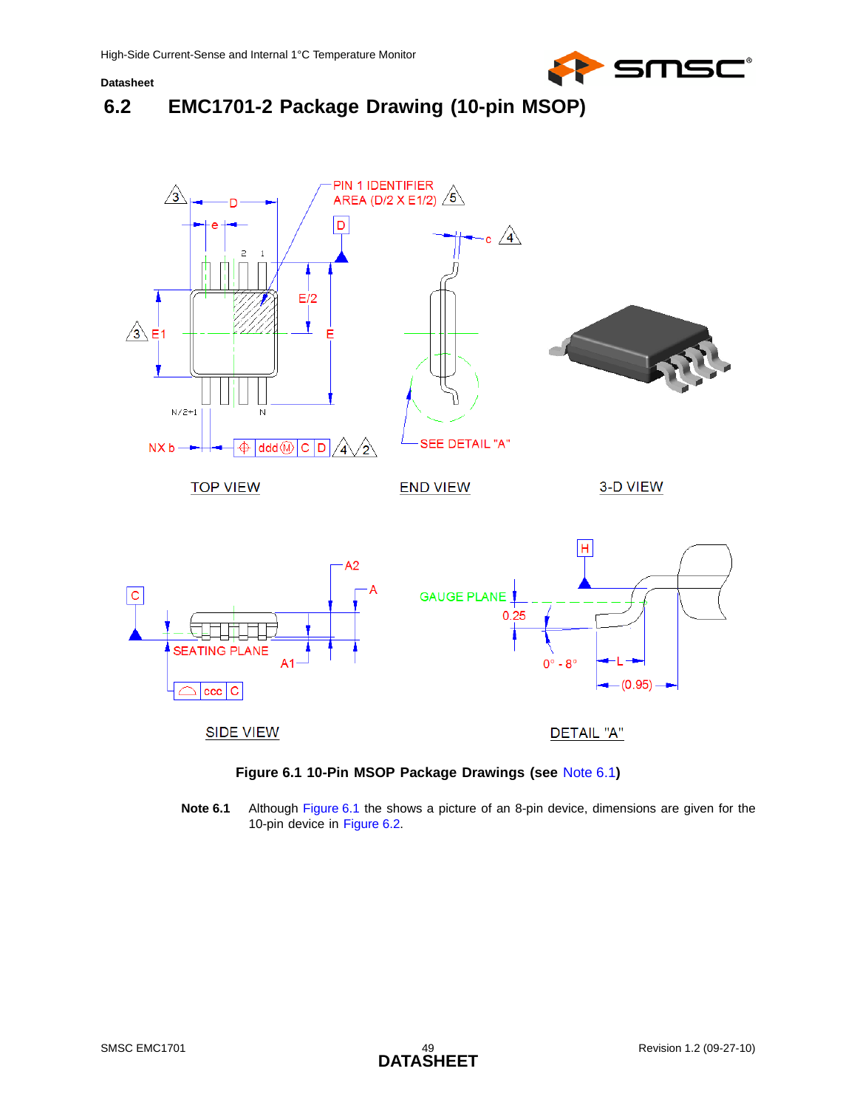

## <span id="page-48-0"></span>**6.2 EMC1701-2 Package Drawing (10-pin MSOP)**





<span id="page-48-2"></span><span id="page-48-1"></span>**Note 6.1** Although [Figure 6.1](#page-48-1) the shows a picture of an 8-pin device, dimensions are given for the 10-pin device in [Figure 6.2.](#page-49-0)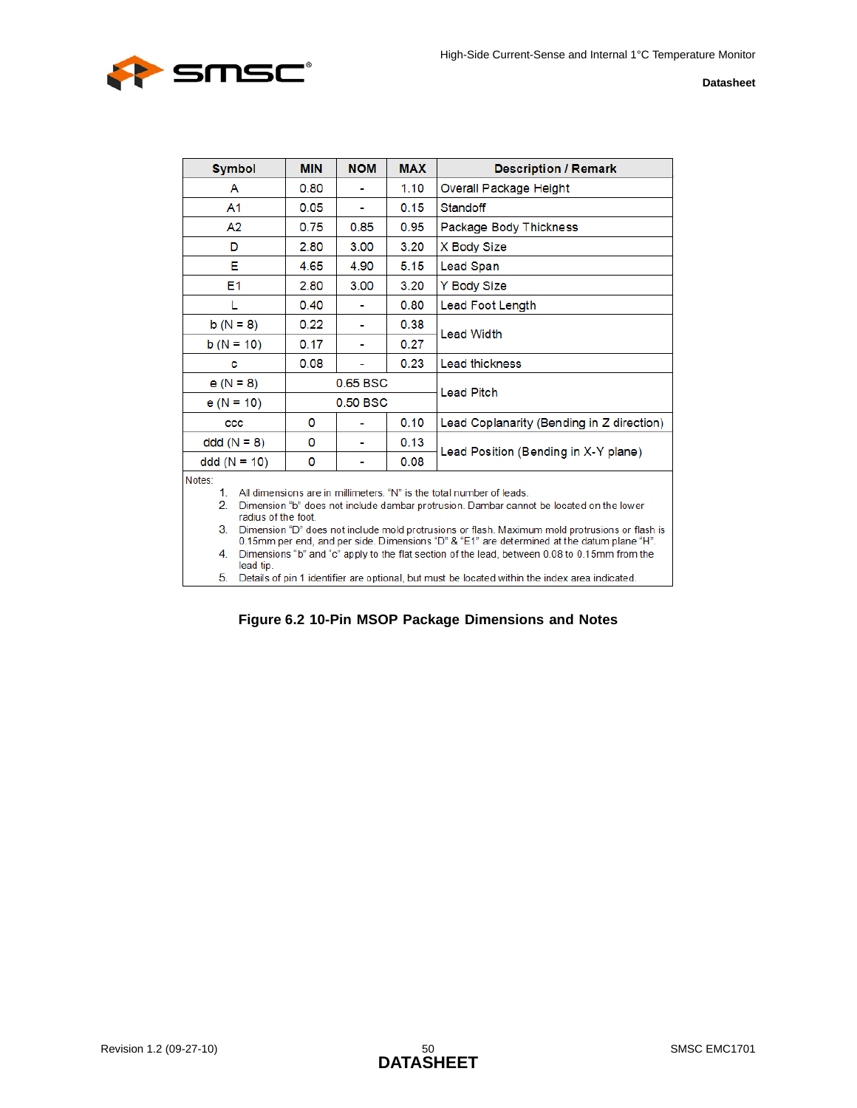

| <b>Symbol</b>                                                                                                                                                                                                                                                                                                                                                                                                                                                                                                                                                                                                                                                     | <b>MIN</b> | <b>NOM</b>     | <b>MAX</b> | <b>Description / Remark</b>               |  |  |
|-------------------------------------------------------------------------------------------------------------------------------------------------------------------------------------------------------------------------------------------------------------------------------------------------------------------------------------------------------------------------------------------------------------------------------------------------------------------------------------------------------------------------------------------------------------------------------------------------------------------------------------------------------------------|------------|----------------|------------|-------------------------------------------|--|--|
| A                                                                                                                                                                                                                                                                                                                                                                                                                                                                                                                                                                                                                                                                 | 0.80       |                | 1.10       | Overall Package Height                    |  |  |
| A <sub>1</sub>                                                                                                                                                                                                                                                                                                                                                                                                                                                                                                                                                                                                                                                    | 0.05       |                | 0.15       | Standoff                                  |  |  |
| A <sub>2</sub>                                                                                                                                                                                                                                                                                                                                                                                                                                                                                                                                                                                                                                                    | 0.75       | 0.85           | 0.95       | Package Body Thickness                    |  |  |
| D                                                                                                                                                                                                                                                                                                                                                                                                                                                                                                                                                                                                                                                                 | 2.80       | 3.00           | 3.20       | X Body Size                               |  |  |
| Е                                                                                                                                                                                                                                                                                                                                                                                                                                                                                                                                                                                                                                                                 | 4.65       | 4.90           | 5.15       | Lead Span                                 |  |  |
| E <sub>1</sub>                                                                                                                                                                                                                                                                                                                                                                                                                                                                                                                                                                                                                                                    | 2.80       | 3.00           | 3.20       | Y Body Size                               |  |  |
| L                                                                                                                                                                                                                                                                                                                                                                                                                                                                                                                                                                                                                                                                 | 0.40       |                | 0.80       | Lead Foot Length                          |  |  |
| $b(N = 8)$                                                                                                                                                                                                                                                                                                                                                                                                                                                                                                                                                                                                                                                        | 0.22       | $\blacksquare$ | 0.38       | <b>Lead Width</b>                         |  |  |
| $b(N = 10)$                                                                                                                                                                                                                                                                                                                                                                                                                                                                                                                                                                                                                                                       | 0.17       | ۰              | 0.27       |                                           |  |  |
| c                                                                                                                                                                                                                                                                                                                                                                                                                                                                                                                                                                                                                                                                 | 0.08       |                | 0.23       | <b>Lead thickness</b>                     |  |  |
| $e(N = 8)$                                                                                                                                                                                                                                                                                                                                                                                                                                                                                                                                                                                                                                                        | $0.65$ BSC |                |            | <b>Lead Pitch</b>                         |  |  |
| $e(N = 10)$                                                                                                                                                                                                                                                                                                                                                                                                                                                                                                                                                                                                                                                       | 0.50 BSC   |                |            |                                           |  |  |
| CCC                                                                                                                                                                                                                                                                                                                                                                                                                                                                                                                                                                                                                                                               | 0          |                | 0.10       | Lead Coplanarity (Bending in Z direction) |  |  |
| $ddd(N = 8)$                                                                                                                                                                                                                                                                                                                                                                                                                                                                                                                                                                                                                                                      | 0          |                | 0.13       |                                           |  |  |
| $ddd (N = 10)$                                                                                                                                                                                                                                                                                                                                                                                                                                                                                                                                                                                                                                                    | 0          |                | 0.08       | Lead Position (Bending in X-Y plane)      |  |  |
| Notes:<br>All dimensions are in millimeters. "N" is the total number of leads.<br>$1_{-}$<br>$\overline{2}$ .<br>Dimension "b" does not include dambar protrusion. Dambar cannot be located on the lower<br>radius of the foot.<br>3.<br>Dimension "D" does not include mold protrusions or flash. Maximum mold protrusions or flash is<br>0.15mm per end, and per side. Dimensions "D" & "E1" are determined at the datum plane "H".<br>Dimensions "b" and "c" apply to the flat section of the lead, between 0.08 to 0.15mm from the<br>4.<br>lead tip.<br>5.<br>Details of pin 1 identifier are optional, but must be located within the index area indicated. |            |                |            |                                           |  |  |

<span id="page-49-0"></span>**Figure 6.2 10-Pin MSOP Package Dimensions and Notes**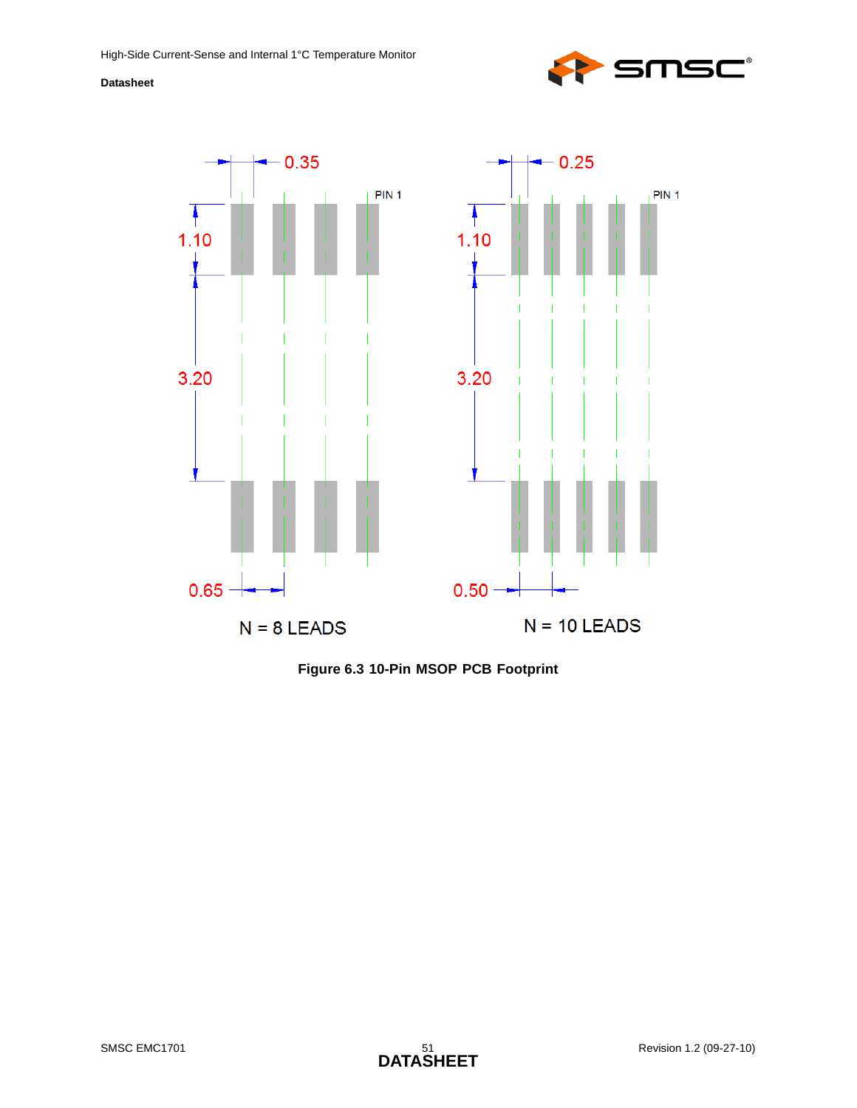



<span id="page-50-0"></span>**Figure 6.3 10-Pin MSOP PCB Footprint**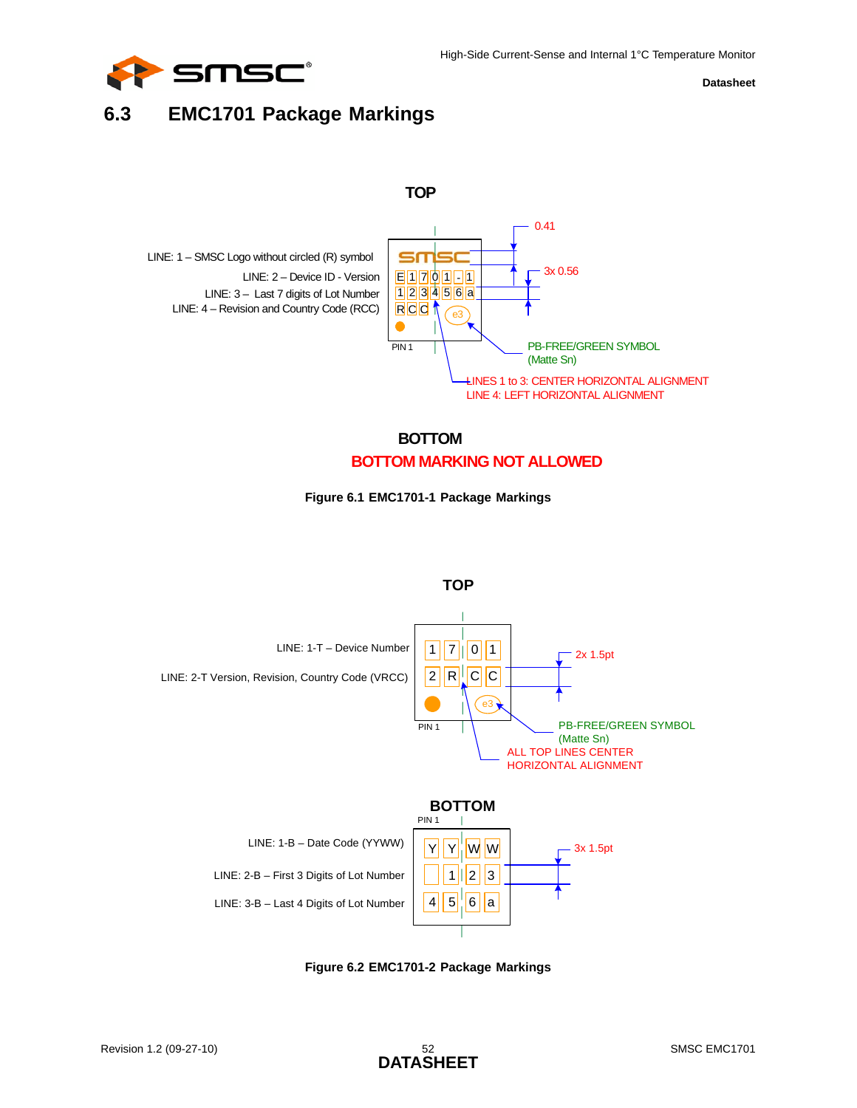

## <span id="page-51-0"></span>**6.3 EMC1701 Package Markings**







<span id="page-51-1"></span>

<span id="page-51-2"></span>**Figure 6.2 EMC1701-2 Package Markings**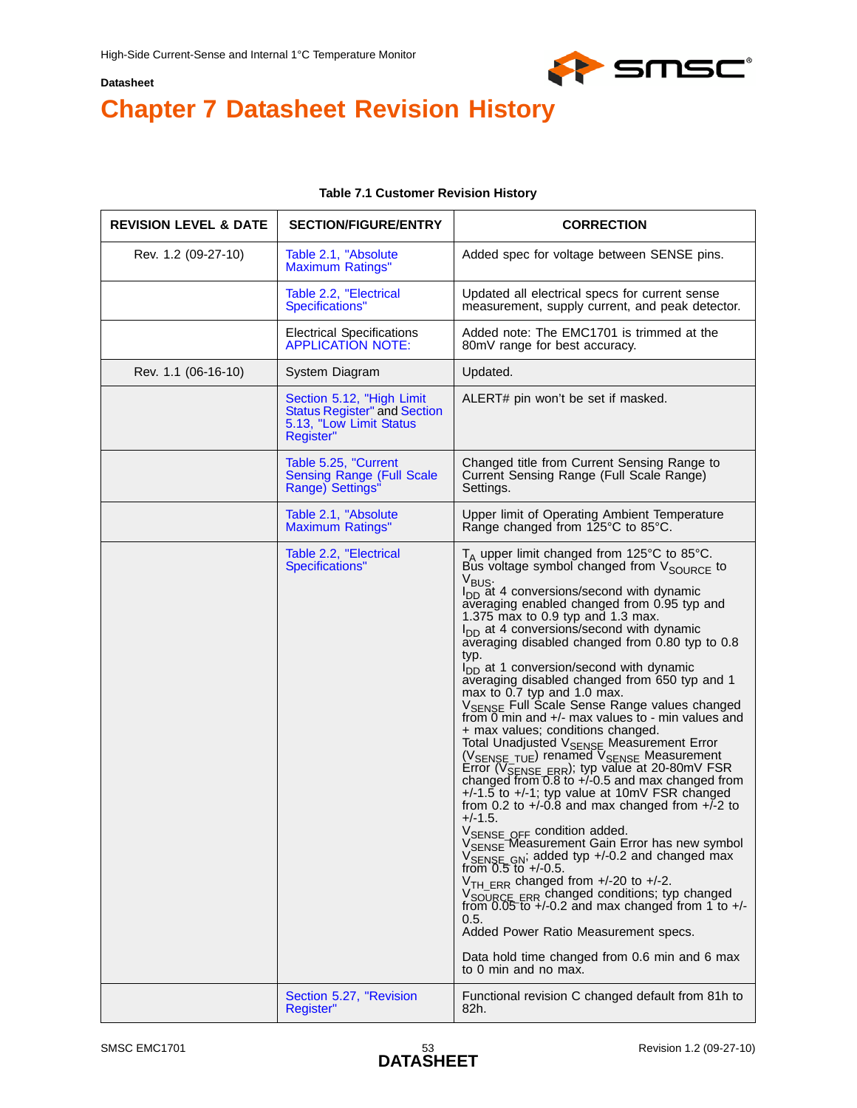

# <span id="page-52-0"></span>**Chapter 7 Datasheet Revision History**

#### **Table 7.1 Customer Revision History**

<span id="page-52-1"></span>

| <b>REVISION LEVEL &amp; DATE</b> | <b>SECTION/FIGURE/ENTRY</b>                                                                              | <b>CORRECTION</b>                                                                                                                                                                                                                                                                                                                                                                                                                                                                                                                                                                                                                                                                                                                                                                                                                                                                                                                                                                                                                                                                                                                                                                                                                                                                                                                                                                                                                                                                           |
|----------------------------------|----------------------------------------------------------------------------------------------------------|---------------------------------------------------------------------------------------------------------------------------------------------------------------------------------------------------------------------------------------------------------------------------------------------------------------------------------------------------------------------------------------------------------------------------------------------------------------------------------------------------------------------------------------------------------------------------------------------------------------------------------------------------------------------------------------------------------------------------------------------------------------------------------------------------------------------------------------------------------------------------------------------------------------------------------------------------------------------------------------------------------------------------------------------------------------------------------------------------------------------------------------------------------------------------------------------------------------------------------------------------------------------------------------------------------------------------------------------------------------------------------------------------------------------------------------------------------------------------------------------|
| Rev. 1.2 (09-27-10)              | Table 2.1, "Absolute<br><b>Maximum Ratings"</b>                                                          | Added spec for voltage between SENSE pins.                                                                                                                                                                                                                                                                                                                                                                                                                                                                                                                                                                                                                                                                                                                                                                                                                                                                                                                                                                                                                                                                                                                                                                                                                                                                                                                                                                                                                                                  |
|                                  | Table 2.2, "Electrical<br>Specifications"                                                                | Updated all electrical specs for current sense<br>measurement, supply current, and peak detector.                                                                                                                                                                                                                                                                                                                                                                                                                                                                                                                                                                                                                                                                                                                                                                                                                                                                                                                                                                                                                                                                                                                                                                                                                                                                                                                                                                                           |
|                                  | <b>Electrical Specifications</b><br><b>APPLICATION NOTE:</b>                                             | Added note: The EMC1701 is trimmed at the<br>80mV range for best accuracy.                                                                                                                                                                                                                                                                                                                                                                                                                                                                                                                                                                                                                                                                                                                                                                                                                                                                                                                                                                                                                                                                                                                                                                                                                                                                                                                                                                                                                  |
| Rev. 1.1 (06-16-10)              | System Diagram                                                                                           | Updated.                                                                                                                                                                                                                                                                                                                                                                                                                                                                                                                                                                                                                                                                                                                                                                                                                                                                                                                                                                                                                                                                                                                                                                                                                                                                                                                                                                                                                                                                                    |
|                                  | Section 5.12, "High Limit<br><b>Status Register" and Section</b><br>5.13, "Low Limit Status<br>Register" | ALERT# pin won't be set if masked.                                                                                                                                                                                                                                                                                                                                                                                                                                                                                                                                                                                                                                                                                                                                                                                                                                                                                                                                                                                                                                                                                                                                                                                                                                                                                                                                                                                                                                                          |
|                                  | Table 5.25, "Current<br><b>Sensing Range (Full Scale</b><br>Range) Settings"                             | Changed title from Current Sensing Range to<br>Current Sensing Range (Full Scale Range)<br>Settings.                                                                                                                                                                                                                                                                                                                                                                                                                                                                                                                                                                                                                                                                                                                                                                                                                                                                                                                                                                                                                                                                                                                                                                                                                                                                                                                                                                                        |
|                                  | Table 2.1, "Absolute<br><b>Maximum Ratings"</b>                                                          | Upper limit of Operating Ambient Temperature<br>Range changed from 125°C to 85°C.                                                                                                                                                                                                                                                                                                                                                                                                                                                                                                                                                                                                                                                                                                                                                                                                                                                                                                                                                                                                                                                                                                                                                                                                                                                                                                                                                                                                           |
|                                  | Table 2.2, "Electrical<br>Specifications"                                                                | $T_A$ upper limit changed from 125°C to 85°C.<br>Bus voltage symbol changed from $V_{\text{SOLRCE}}$ to<br>V <sub>BUS</sub> .<br>$I_{DD}$ at 4 conversions/second with dynamic<br>averaging enabled changed from 0.95 typ and<br>1.375 max to 0.9 typ and 1.3 max.<br>$I_{DD}$ at 4 conversions/second with dynamic<br>averaging disabled changed from 0.80 typ to 0.8<br>typ.<br>$I_{DD}$ at 1 conversion/second with dynamic<br>averaging disabled changed from 650 typ and 1<br>max to 0.7 typ and 1.0 max.<br>V <sub>SENSE</sub> Full Scale Sense Range values changed<br>from 0 min and +/- max values to - min values and<br>+ max values; conditions changed.<br>Total Unadjusted V <sub>SENSE</sub> Measurement Error<br>(V <sub>SENSE</sub> TUE) renamed V <sub>SENSE</sub> Measurement<br>Error (V <sub>SENSE ERR</sub> ); typ value at 20-80mV FSR<br>changed from 0.8 to +/-0.5 and max changed from<br>$+/-1.5$ to $+/-1$ ; typ value at 10mV FSR changed<br>from 0.2 to $+/-0.8$ and max changed from $+/-2$ to<br>$+/-1.5.$<br>VSENSE OFF condition added.<br>VSENSE Measurement Gain Error has new symbol<br>VSENSE GN; added typ +/-0.2 and changed max<br>from 0.5 to +/-0.5.<br>V <sub>TH ERR</sub> changed from +/-20 to +/-2.<br>V <sub>SOURCE</sub> ERR changed conditions; typ changed<br>from 0.05 to +/-0.2 and max changed from 1 to +/-<br>0.5.<br>Added Power Ratio Measurement specs.<br>Data hold time changed from 0.6 min and 6 max<br>to 0 min and no max. |
|                                  | Section 5.27, "Revision<br>Register"                                                                     | Functional revision C changed default from 81h to<br>82h.                                                                                                                                                                                                                                                                                                                                                                                                                                                                                                                                                                                                                                                                                                                                                                                                                                                                                                                                                                                                                                                                                                                                                                                                                                                                                                                                                                                                                                   |